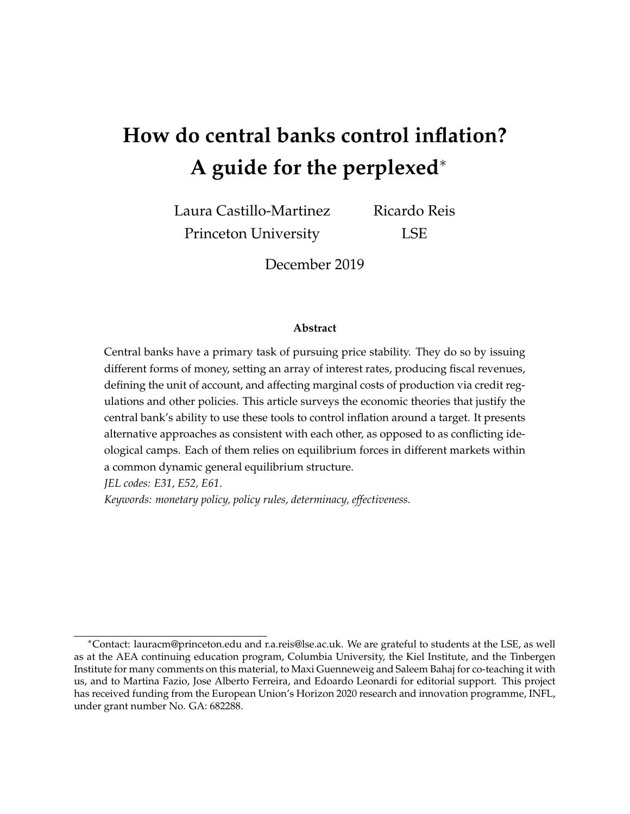# **How do central banks control inflation? A guide for the perplexed**<sup>∗</sup>

Laura Castillo-Martinez Princeton University Ricardo Reis LSE

December 2019

#### **Abstract**

Central banks have a primary task of pursuing price stability. They do so by issuing different forms of money, setting an array of interest rates, producing fiscal revenues, defining the unit of account, and affecting marginal costs of production via credit regulations and other policies. This article surveys the economic theories that justify the central bank's ability to use these tools to control inflation around a target. It presents alternative approaches as consistent with each other, as opposed to as conflicting ideological camps. Each of them relies on equilibrium forces in different markets within a common dynamic general equilibrium structure.

*JEL codes: E31, E52, E61*.

*Keywords: monetary policy, policy rules, determinacy, effectiveness.*

<sup>∗</sup>Contact: lauracm@princeton.edu and r.a.reis@lse.ac.uk. We are grateful to students at the LSE, as well as at the AEA continuing education program, Columbia University, the Kiel Institute, and the Tinbergen Institute for many comments on this material, to Maxi Guenneweig and Saleem Bahaj for co-teaching it with us, and to Martina Fazio, Jose Alberto Ferreira, and Edoardo Leonardi for editorial support. This project has received funding from the European Union's Horizon 2020 research and innovation programme, INFL, under grant number No. GA: 682288.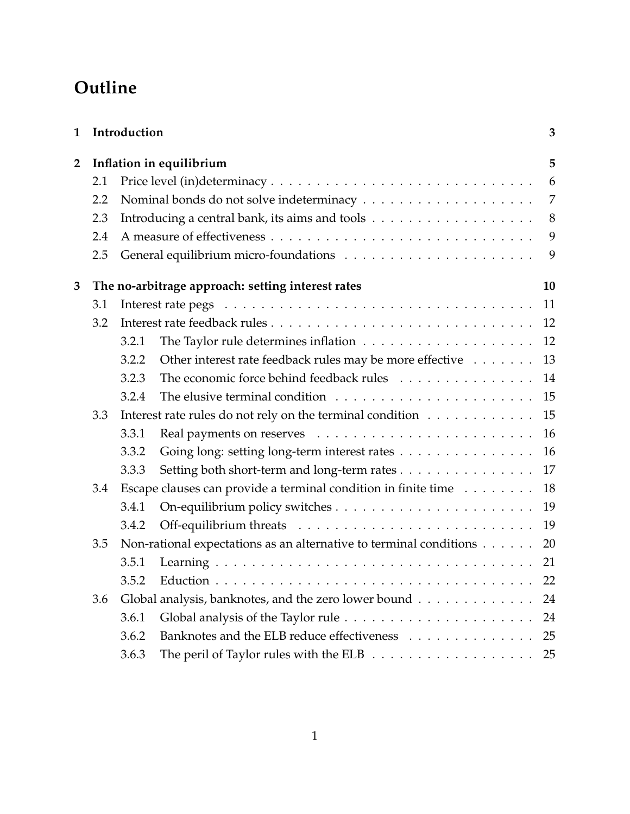# **Outline**

| Introduction<br>$\mathbf{1}$ |       |                                                          |                                                                                                                                                                                                                                                                                                                |  |  |
|------------------------------|-------|----------------------------------------------------------|----------------------------------------------------------------------------------------------------------------------------------------------------------------------------------------------------------------------------------------------------------------------------------------------------------------|--|--|
| Inflation in equilibrium     |       |                                                          |                                                                                                                                                                                                                                                                                                                |  |  |
| 2.1                          |       |                                                          | 6                                                                                                                                                                                                                                                                                                              |  |  |
| 2.2                          |       |                                                          | $\overline{7}$                                                                                                                                                                                                                                                                                                 |  |  |
| 2.3                          |       |                                                          | 8                                                                                                                                                                                                                                                                                                              |  |  |
| 2.4                          |       |                                                          | 9                                                                                                                                                                                                                                                                                                              |  |  |
| 2.5                          |       |                                                          | 9                                                                                                                                                                                                                                                                                                              |  |  |
|                              |       |                                                          | 10                                                                                                                                                                                                                                                                                                             |  |  |
| 3.1                          |       |                                                          | 11                                                                                                                                                                                                                                                                                                             |  |  |
| 3.2                          |       |                                                          | 12                                                                                                                                                                                                                                                                                                             |  |  |
|                              | 3.2.1 |                                                          | 12                                                                                                                                                                                                                                                                                                             |  |  |
|                              | 3.2.2 | Other interest rate feedback rules may be more effective | 13                                                                                                                                                                                                                                                                                                             |  |  |
|                              | 3.2.3 | The economic force behind feedback rules                 | 14                                                                                                                                                                                                                                                                                                             |  |  |
|                              | 3.2.4 |                                                          | 15                                                                                                                                                                                                                                                                                                             |  |  |
| 3.3                          |       |                                                          |                                                                                                                                                                                                                                                                                                                |  |  |
|                              | 3.3.1 |                                                          | 16                                                                                                                                                                                                                                                                                                             |  |  |
|                              | 3.3.2 | Going long: setting long-term interest rates             | 16                                                                                                                                                                                                                                                                                                             |  |  |
|                              | 3.3.3 | Setting both short-term and long-term rates              | 17                                                                                                                                                                                                                                                                                                             |  |  |
| 3.4                          |       |                                                          | 18                                                                                                                                                                                                                                                                                                             |  |  |
|                              | 3.4.1 |                                                          | 19                                                                                                                                                                                                                                                                                                             |  |  |
|                              | 3.4.2 |                                                          | 19                                                                                                                                                                                                                                                                                                             |  |  |
| 3.5                          |       |                                                          | 20                                                                                                                                                                                                                                                                                                             |  |  |
|                              | 3.5.1 |                                                          | 21                                                                                                                                                                                                                                                                                                             |  |  |
|                              | 3.5.2 |                                                          |                                                                                                                                                                                                                                                                                                                |  |  |
| 3.6                          |       |                                                          | 24                                                                                                                                                                                                                                                                                                             |  |  |
|                              | 3.6.1 |                                                          | 24                                                                                                                                                                                                                                                                                                             |  |  |
|                              | 3.6.2 | Banknotes and the ELB reduce effectiveness               | 25                                                                                                                                                                                                                                                                                                             |  |  |
|                              | 3.6.3 |                                                          | 25                                                                                                                                                                                                                                                                                                             |  |  |
|                              |       |                                                          | The no-arbitrage approach: setting interest rates<br>Interest rate rules do not rely on the terminal condition<br>Escape clauses can provide a terminal condition in finite time<br>Non-rational expectations as an alternative to terminal conditions<br>Global analysis, banknotes, and the zero lower bound |  |  |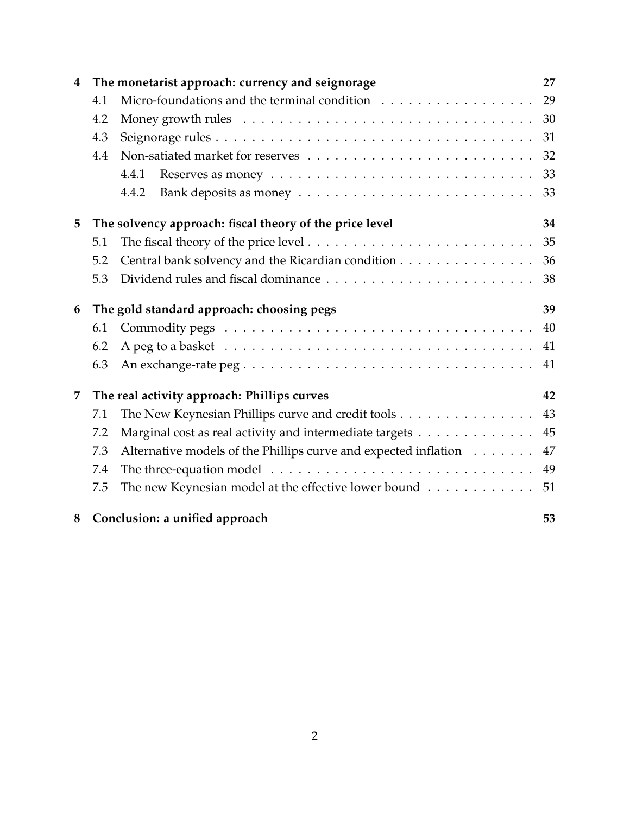| $\overline{\mathbf{4}}$ |     | The monetarist approach: currency and seignorage                                               | 27 |  |
|-------------------------|-----|------------------------------------------------------------------------------------------------|----|--|
|                         | 4.1 |                                                                                                |    |  |
|                         | 4.2 | 30                                                                                             |    |  |
|                         | 4.3 | 31                                                                                             |    |  |
|                         | 4.4 |                                                                                                |    |  |
|                         |     | Reserves as money $\dots \dots \dots \dots \dots \dots \dots \dots \dots \dots \dots$<br>4.4.1 | 33 |  |
|                         |     | 4.4.2                                                                                          | 33 |  |
| 5                       |     | The solvency approach: fiscal theory of the price level                                        |    |  |
|                         | 5.1 |                                                                                                | 35 |  |
|                         | 5.2 | Central bank solvency and the Ricardian condition                                              | 36 |  |
|                         | 5.3 |                                                                                                | 38 |  |
| 6                       |     | The gold standard approach: choosing pegs                                                      | 39 |  |
|                         | 6.1 |                                                                                                | 40 |  |
|                         | 6.2 |                                                                                                | 41 |  |
|                         | 6.3 |                                                                                                | 41 |  |
| 7                       |     | The real activity approach: Phillips curves                                                    |    |  |
|                         | 7.1 | The New Keynesian Phillips curve and credit tools                                              | 43 |  |
|                         | 7.2 | Marginal cost as real activity and intermediate targets                                        | 45 |  |
|                         | 7.3 | Alternative models of the Phillips curve and expected inflation                                | 47 |  |
|                         | 7.4 | The three-equation model $\dots \dots \dots \dots \dots \dots \dots \dots \dots \dots \dots$   | 49 |  |
|                         | 7.5 | The new Keynesian model at the effective lower bound                                           | 51 |  |
| 8                       |     | Conclusion: a unified approach                                                                 | 53 |  |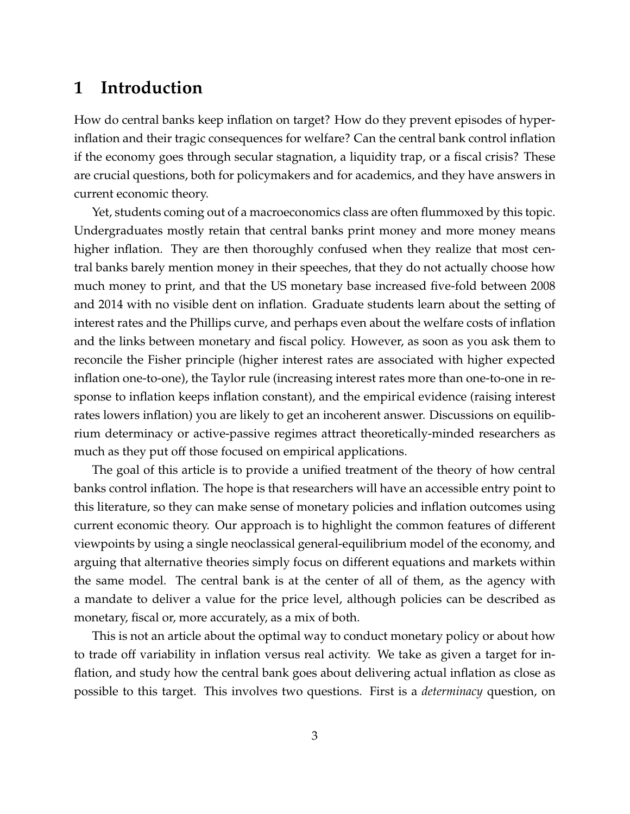## <span id="page-3-0"></span>**1 Introduction**

How do central banks keep inflation on target? How do they prevent episodes of hyperinflation and their tragic consequences for welfare? Can the central bank control inflation if the economy goes through secular stagnation, a liquidity trap, or a fiscal crisis? These are crucial questions, both for policymakers and for academics, and they have answers in current economic theory.

Yet, students coming out of a macroeconomics class are often flummoxed by this topic. Undergraduates mostly retain that central banks print money and more money means higher inflation. They are then thoroughly confused when they realize that most central banks barely mention money in their speeches, that they do not actually choose how much money to print, and that the US monetary base increased five-fold between 2008 and 2014 with no visible dent on inflation. Graduate students learn about the setting of interest rates and the Phillips curve, and perhaps even about the welfare costs of inflation and the links between monetary and fiscal policy. However, as soon as you ask them to reconcile the Fisher principle (higher interest rates are associated with higher expected inflation one-to-one), the Taylor rule (increasing interest rates more than one-to-one in response to inflation keeps inflation constant), and the empirical evidence (raising interest rates lowers inflation) you are likely to get an incoherent answer. Discussions on equilibrium determinacy or active-passive regimes attract theoretically-minded researchers as much as they put off those focused on empirical applications.

The goal of this article is to provide a unified treatment of the theory of how central banks control inflation. The hope is that researchers will have an accessible entry point to this literature, so they can make sense of monetary policies and inflation outcomes using current economic theory. Our approach is to highlight the common features of different viewpoints by using a single neoclassical general-equilibrium model of the economy, and arguing that alternative theories simply focus on different equations and markets within the same model. The central bank is at the center of all of them, as the agency with a mandate to deliver a value for the price level, although policies can be described as monetary, fiscal or, more accurately, as a mix of both.

This is not an article about the optimal way to conduct monetary policy or about how to trade off variability in inflation versus real activity. We take as given a target for inflation, and study how the central bank goes about delivering actual inflation as close as possible to this target. This involves two questions. First is a *determinacy* question, on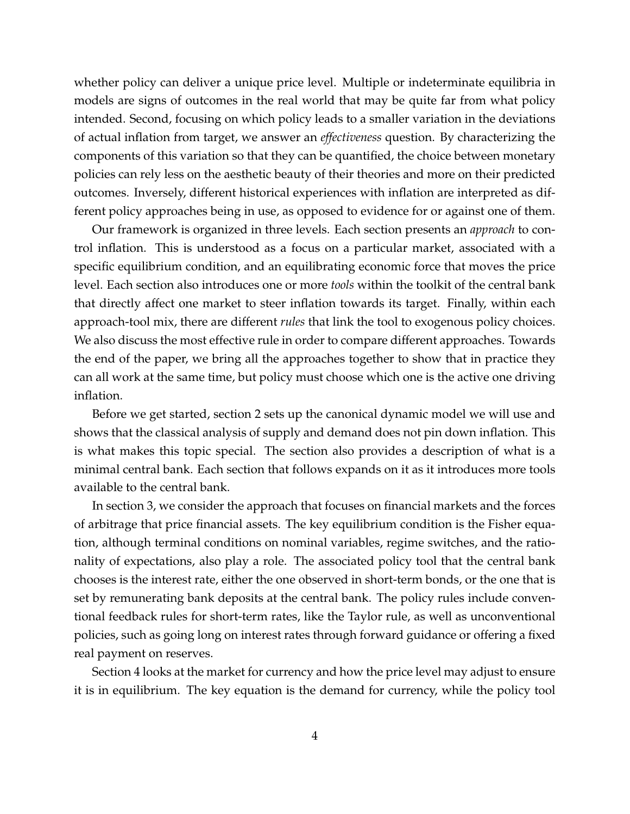whether policy can deliver a unique price level. Multiple or indeterminate equilibria in models are signs of outcomes in the real world that may be quite far from what policy intended. Second, focusing on which policy leads to a smaller variation in the deviations of actual inflation from target, we answer an *effectiveness* question. By characterizing the components of this variation so that they can be quantified, the choice between monetary policies can rely less on the aesthetic beauty of their theories and more on their predicted outcomes. Inversely, different historical experiences with inflation are interpreted as different policy approaches being in use, as opposed to evidence for or against one of them.

Our framework is organized in three levels. Each section presents an *approach* to control inflation. This is understood as a focus on a particular market, associated with a specific equilibrium condition, and an equilibrating economic force that moves the price level. Each section also introduces one or more *tools* within the toolkit of the central bank that directly affect one market to steer inflation towards its target. Finally, within each approach-tool mix, there are different *rules* that link the tool to exogenous policy choices. We also discuss the most effective rule in order to compare different approaches. Towards the end of the paper, we bring all the approaches together to show that in practice they can all work at the same time, but policy must choose which one is the active one driving inflation.

Before we get started, section [2](#page-5-0) sets up the canonical dynamic model we will use and shows that the classical analysis of supply and demand does not pin down inflation. This is what makes this topic special. The section also provides a description of what is a minimal central bank. Each section that follows expands on it as it introduces more tools available to the central bank.

In section [3,](#page-10-0) we consider the approach that focuses on financial markets and the forces of arbitrage that price financial assets. The key equilibrium condition is the Fisher equation, although terminal conditions on nominal variables, regime switches, and the rationality of expectations, also play a role. The associated policy tool that the central bank chooses is the interest rate, either the one observed in short-term bonds, or the one that is set by remunerating bank deposits at the central bank. The policy rules include conventional feedback rules for short-term rates, like the Taylor rule, as well as unconventional policies, such as going long on interest rates through forward guidance or offering a fixed real payment on reserves.

Section [4](#page-27-0) looks at the market for currency and how the price level may adjust to ensure it is in equilibrium. The key equation is the demand for currency, while the policy tool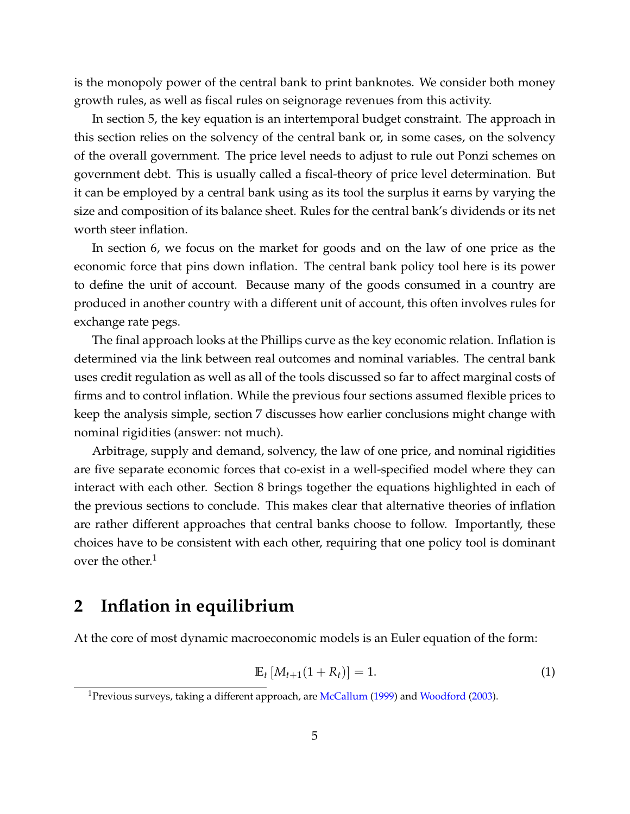is the monopoly power of the central bank to print banknotes. We consider both money growth rules, as well as fiscal rules on seignorage revenues from this activity.

In section [5,](#page-34-0) the key equation is an intertemporal budget constraint. The approach in this section relies on the solvency of the central bank or, in some cases, on the solvency of the overall government. The price level needs to adjust to rule out Ponzi schemes on government debt. This is usually called a fiscal-theory of price level determination. But it can be employed by a central bank using as its tool the surplus it earns by varying the size and composition of its balance sheet. Rules for the central bank's dividends or its net worth steer inflation.

In section [6,](#page-39-0) we focus on the market for goods and on the law of one price as the economic force that pins down inflation. The central bank policy tool here is its power to define the unit of account. Because many of the goods consumed in a country are produced in another country with a different unit of account, this often involves rules for exchange rate pegs.

The final approach looks at the Phillips curve as the key economic relation. Inflation is determined via the link between real outcomes and nominal variables. The central bank uses credit regulation as well as all of the tools discussed so far to affect marginal costs of firms and to control inflation. While the previous four sections assumed flexible prices to keep the analysis simple, section [7](#page-42-0) discusses how earlier conclusions might change with nominal rigidities (answer: not much).

Arbitrage, supply and demand, solvency, the law of one price, and nominal rigidities are five separate economic forces that co-exist in a well-specified model where they can interact with each other. Section [8](#page-53-0) brings together the equations highlighted in each of the previous sections to conclude. This makes clear that alternative theories of inflation are rather different approaches that central banks choose to follow. Importantly, these choices have to be consistent with each other, requiring that one policy tool is dominant over the other. $<sup>1</sup>$  $<sup>1</sup>$  $<sup>1</sup>$ </sup>

## <span id="page-5-0"></span>**2 Inflation in equilibrium**

At the core of most dynamic macroeconomic models is an Euler equation of the form:

<span id="page-5-2"></span>
$$
\mathbb{E}_t \left[ M_{t+1} (1 + R_t) \right] = 1. \tag{1}
$$

<span id="page-5-1"></span><sup>&</sup>lt;sup>1</sup>Previous surveys, taking a different approach, are [McCallum](#page-60-0) [\(1999\)](#page-60-0) and [Woodford](#page-61-0) [\(2003\)](#page-61-0).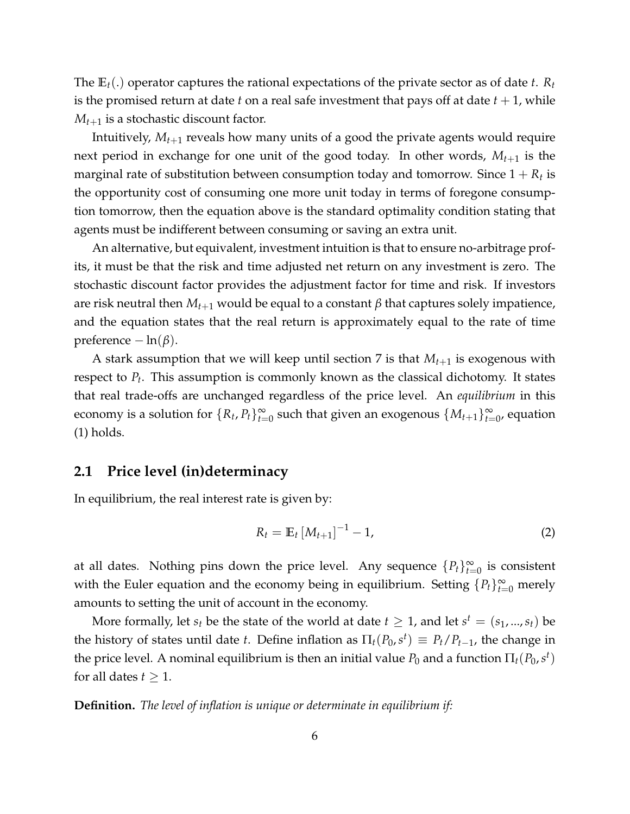The **E***t*(.) operator captures the rational expectations of the private sector as of date *t*. *R<sup>t</sup>* is the promised return at date  $t$  on a real safe investment that pays off at date  $t + 1$ , while  $M_{t+1}$  is a stochastic discount factor.

Intuitively, *Mt*+<sup>1</sup> reveals how many units of a good the private agents would require next period in exchange for one unit of the good today. In other words, *Mt*+<sup>1</sup> is the marginal rate of substitution between consumption today and tomorrow. Since  $1 + R_t$  is the opportunity cost of consuming one more unit today in terms of foregone consumption tomorrow, then the equation above is the standard optimality condition stating that agents must be indifferent between consuming or saving an extra unit.

An alternative, but equivalent, investment intuition is that to ensure no-arbitrage profits, it must be that the risk and time adjusted net return on any investment is zero. The stochastic discount factor provides the adjustment factor for time and risk. If investors are risk neutral then  $M_{t+1}$  would be equal to a constant  $β$  that captures solely impatience, and the equation states that the real return is approximately equal to the rate of time preference  $-\ln(\beta)$ .

A stark assumption that we will keep until section [7](#page-42-0) is that  $M_{t+1}$  is exogenous with respect to *P<sup>t</sup>* . This assumption is commonly known as the classical dichotomy. It states that real trade-offs are unchanged regardless of the price level. An *equilibrium* in this economy is a solution for  $\{R_t, P_t\}_{t=0}^{\infty}$  such that given an exogenous  $\{M_{t+1}\}_{t=0}^{\infty}$ , equation [\(1\)](#page-5-2) holds.

## <span id="page-6-0"></span>**2.1 Price level (in)determinacy**

In equilibrium, the real interest rate is given by:

<span id="page-6-1"></span>
$$
R_t = \mathbb{E}_t \left[ M_{t+1} \right]^{-1} - 1, \tag{2}
$$

at all dates. Nothing pins down the price level. Any sequence  $\{P_t\}_{t=0}^{\infty}$  is consistent with the Euler equation and the economy being in equilibrium. Setting  ${P_t}_{t=0}^{\infty}$  merely amounts to setting the unit of account in the economy.

More formally, let  $s_t$  be the state of the world at date  $t \geq 1$ , and let  $s^t = (s_1, ..., s_t)$  be the history of states until date *t*. Define inflation as  $\Pi_t(P_0, s^t) \equiv P_t/P_{t-1}$ , the change in the price level. A nominal equilibrium is then an initial value  $P_0$  and a function  $\Pi_t(P_0,s^t)$ for all dates  $t \geq 1$ .

**Definition.** *The level of inflation is unique or determinate in equilibrium if:*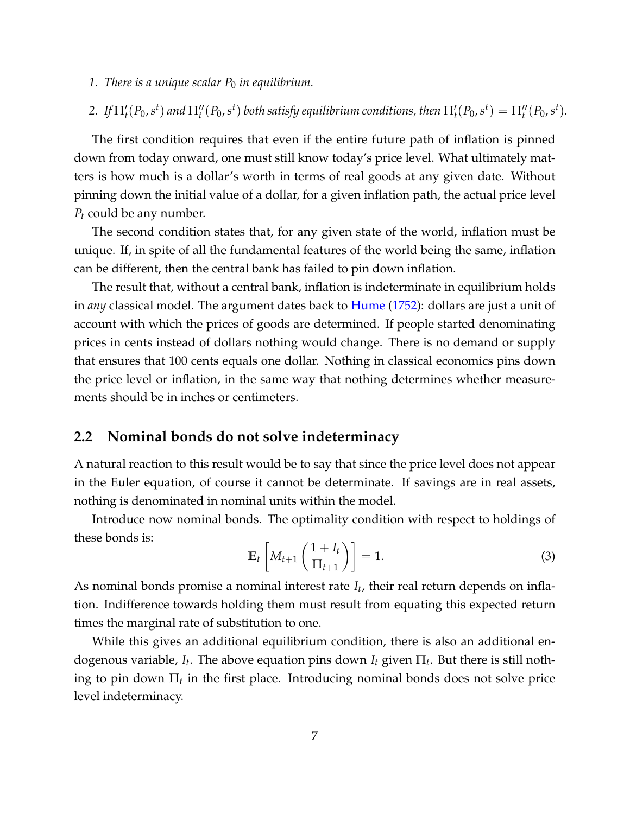- *1. There is a unique scalar*  $P_0$  *in equilibrium.*
- 2. If  $\Pi'_t(P_0,s^t)$  and  $\Pi''_t(P_0,s^t)$  both satisfy equilibrium conditions, then  $\Pi'_t(P_0,s^t) = \Pi''_t(P_0,s^t)$ .

The first condition requires that even if the entire future path of inflation is pinned down from today onward, one must still know today's price level. What ultimately matters is how much is a dollar's worth in terms of real goods at any given date. Without pinning down the initial value of a dollar, for a given inflation path, the actual price level *P<sup>t</sup>* could be any number.

The second condition states that, for any given state of the world, inflation must be unique. If, in spite of all the fundamental features of the world being the same, inflation can be different, then the central bank has failed to pin down inflation.

The result that, without a central bank, inflation is indeterminate in equilibrium holds in *any* classical model. The argument dates back to [Hume](#page-59-0) [\(1752\)](#page-59-0): dollars are just a unit of account with which the prices of goods are determined. If people started denominating prices in cents instead of dollars nothing would change. There is no demand or supply that ensures that 100 cents equals one dollar. Nothing in classical economics pins down the price level or inflation, in the same way that nothing determines whether measurements should be in inches or centimeters.

## <span id="page-7-0"></span>**2.2 Nominal bonds do not solve indeterminacy**

A natural reaction to this result would be to say that since the price level does not appear in the Euler equation, of course it cannot be determinate. If savings are in real assets, nothing is denominated in nominal units within the model.

Introduce now nominal bonds. The optimality condition with respect to holdings of these bonds is:

<span id="page-7-2"></span>
$$
\mathbb{E}_t\left[M_{t+1}\left(\frac{1+I_t}{\Pi_{t+1}}\right)\right] = 1.
$$
\n(3)

As nominal bonds promise a nominal interest rate *I<sup>t</sup>* , their real return depends on inflation. Indifference towards holding them must result from equating this expected return times the marginal rate of substitution to one.

<span id="page-7-1"></span>While this gives an additional equilibrium condition, there is also an additional endogenous variable,  $I_t$ . The above equation pins down  $I_t$  given  $\Pi_t$ . But there is still nothing to pin down  $\Pi_t$  in the first place. Introducing nominal bonds does not solve price level indeterminacy.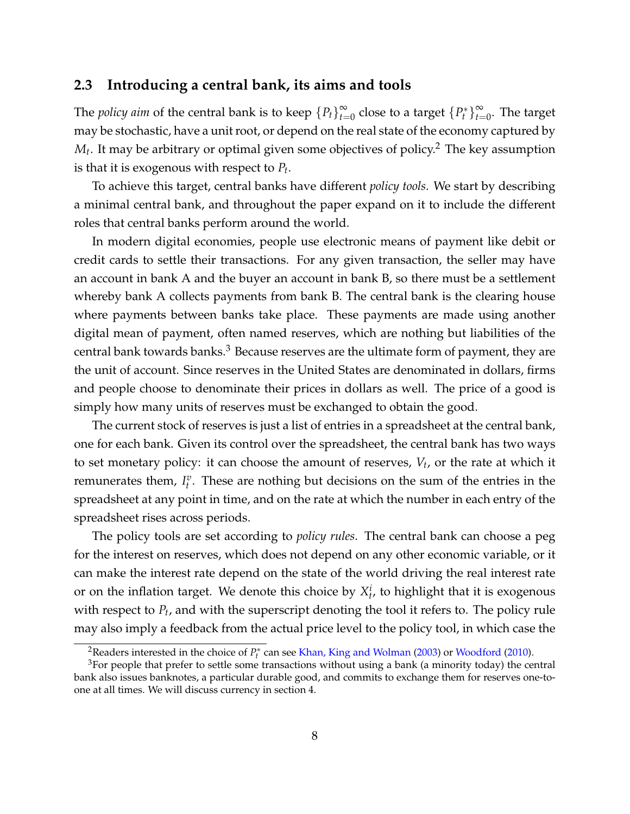## **2.3 Introducing a central bank, its aims and tools**

The *policy aim* of the central bank is to keep  ${P_t}_{t=0}^{\infty}$  $_{t=0}^{\infty}$  close to a target  $\{P_{t}^{*}% (\theta)\}_{t=0}^{t}$  $t^*$ } $\sum_{t=1}^{\infty}$  $\sum_{t=0}^{\infty}$ . The target may be stochastic, have a unit root, or depend on the real state of the economy captured by  $M_t$ . It may be arbitrary or optimal given some objectives of policy. $^2$  $^2$  The key assumption is that it is exogenous with respect to *P<sup>t</sup>* .

To achieve this target, central banks have different *policy tools*. We start by describing a minimal central bank, and throughout the paper expand on it to include the different roles that central banks perform around the world.

In modern digital economies, people use electronic means of payment like debit or credit cards to settle their transactions. For any given transaction, the seller may have an account in bank A and the buyer an account in bank B, so there must be a settlement whereby bank A collects payments from bank B. The central bank is the clearing house where payments between banks take place. These payments are made using another digital mean of payment, often named reserves, which are nothing but liabilities of the central bank towards banks.<sup>[3](#page-8-1)</sup> Because reserves are the ultimate form of payment, they are the unit of account. Since reserves in the United States are denominated in dollars, firms and people choose to denominate their prices in dollars as well. The price of a good is simply how many units of reserves must be exchanged to obtain the good.

The current stock of reserves is just a list of entries in a spreadsheet at the central bank, one for each bank. Given its control over the spreadsheet, the central bank has two ways to set monetary policy: it can choose the amount of reserves, *V<sup>t</sup>* , or the rate at which it remunerates them,  $I_t^v$ . These are nothing but decisions on the sum of the entries in the spreadsheet at any point in time, and on the rate at which the number in each entry of the spreadsheet rises across periods.

The policy tools are set according to *policy rules*. The central bank can choose a peg for the interest on reserves, which does not depend on any other economic variable, or it can make the interest rate depend on the state of the world driving the real interest rate or on the inflation target. We denote this choice by  $X_t^i$ , to highlight that it is exogenous with respect to  $P_t$ , and with the superscript denoting the tool it refers to. The policy rule may also imply a feedback from the actual price level to the policy tool, in which case the

<span id="page-8-1"></span><span id="page-8-0"></span><sup>&</sup>lt;sup>2</sup>Readers interested in the choice of  $P_t^*$  can see [Khan, King and Wolman](#page-59-1) [\(2003\)](#page-59-1) or [Woodford](#page-61-1) [\(2010\)](#page-61-1).

 $3$ For people that prefer to settle some transactions without using a bank (a minority today) the central bank also issues banknotes, a particular durable good, and commits to exchange them for reserves one-toone at all times. We will discuss currency in section [4.](#page-27-0)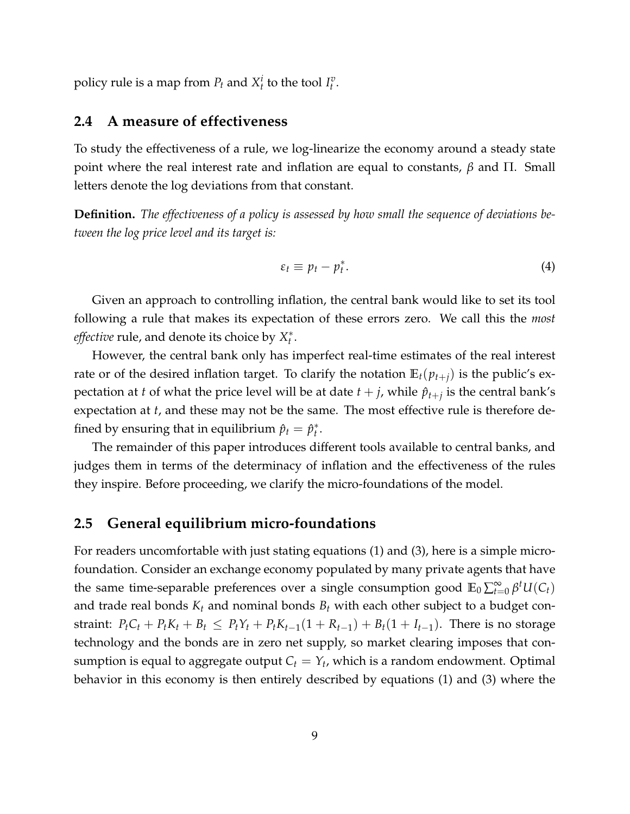<span id="page-9-0"></span>policy rule is a map from  $P_t$  and  $X_t^i$  to the tool  $I_t^v$ .

## **2.4 A measure of effectiveness**

To study the effectiveness of a rule, we log-linearize the economy around a steady state point where the real interest rate and inflation are equal to constants, *β* and Π. Small letters denote the log deviations from that constant.

**Definition.** *The effectiveness of a policy is assessed by how small the sequence of deviations between the log price level and its target is:*

$$
\varepsilon_t \equiv p_t - p_t^*.
$$
 (4)

Given an approach to controlling inflation, the central bank would like to set its tool following a rule that makes its expectation of these errors zero. We call this the *most effective* rule, and denote its choice by *X* ∗ *t* .

However, the central bank only has imperfect real-time estimates of the real interest rate or of the desired inflation target. To clarify the notation  $\mathbb{E}_t(p_{t+i})$  is the public's expectation at *t* of what the price level will be at date  $t + j$ , while  $\hat{p}_{t+j}$  is the central bank's expectation at *t*, and these may not be the same. The most effective rule is therefore defined by ensuring that in equilibrium  $\hat{p}_t = \hat{p}_t^*$ *t* .

The remainder of this paper introduces different tools available to central banks, and judges them in terms of the determinacy of inflation and the effectiveness of the rules they inspire. Before proceeding, we clarify the micro-foundations of the model.

## <span id="page-9-1"></span>**2.5 General equilibrium micro-foundations**

For readers uncomfortable with just stating equations [\(1\)](#page-5-2) and [\(3\)](#page-7-2), here is a simple microfoundation. Consider an exchange economy populated by many private agents that have the same time-separable preferences over a single consumption good  $\mathbb{E}_0 \sum_{t=0}^{\infty} \beta^t U(C_t)$ and trade real bonds  $K_t$  and nominal bonds  $B_t$  with each other subject to a budget constraint:  $P_t C_t + P_t K_t + B_t \leq P_t Y_t + P_t K_{t-1} (1 + R_{t-1}) + B_t (1 + I_{t-1})$ . There is no storage technology and the bonds are in zero net supply, so market clearing imposes that consumption is equal to aggregate output  $C_t = Y_t$ , which is a random endowment. Optimal behavior in this economy is then entirely described by equations [\(1\)](#page-5-2) and [\(3\)](#page-7-2) where the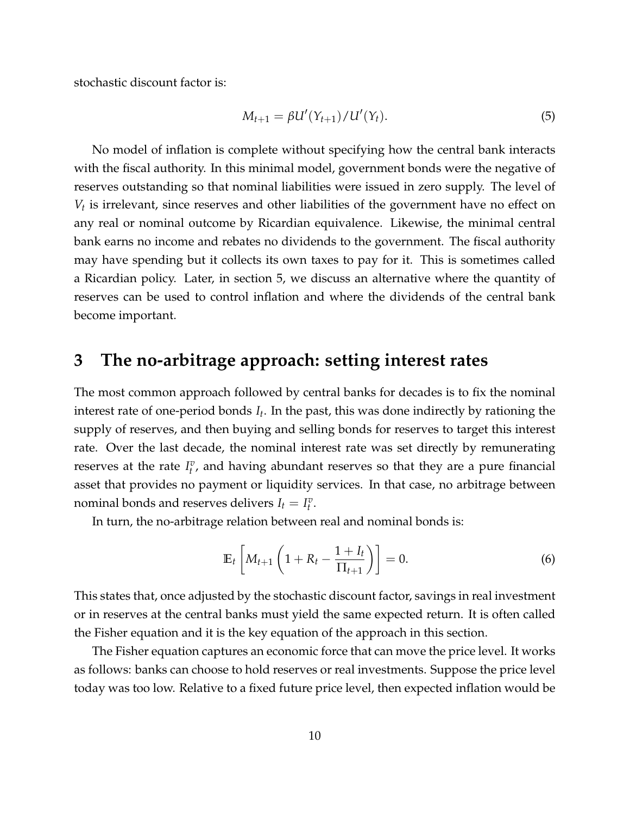stochastic discount factor is:

<span id="page-10-2"></span>
$$
M_{t+1} = \beta U'(Y_{t+1}) / U'(Y_t).
$$
 (5)

No model of inflation is complete without specifying how the central bank interacts with the fiscal authority. In this minimal model, government bonds were the negative of reserves outstanding so that nominal liabilities were issued in zero supply. The level of *Vt* is irrelevant, since reserves and other liabilities of the government have no effect on any real or nominal outcome by Ricardian equivalence. Likewise, the minimal central bank earns no income and rebates no dividends to the government. The fiscal authority may have spending but it collects its own taxes to pay for it. This is sometimes called a Ricardian policy. Later, in section [5,](#page-34-0) we discuss an alternative where the quantity of reserves can be used to control inflation and where the dividends of the central bank become important.

## <span id="page-10-0"></span>**3 The no-arbitrage approach: setting interest rates**

The most common approach followed by central banks for decades is to fix the nominal interest rate of one-period bonds *I<sup>t</sup>* . In the past, this was done indirectly by rationing the supply of reserves, and then buying and selling bonds for reserves to target this interest rate. Over the last decade, the nominal interest rate was set directly by remunerating reserves at the rate  $I_t^v$ , and having abundant reserves so that they are a pure financial asset that provides no payment or liquidity services. In that case, no arbitrage between nominal bonds and reserves delivers  $I_t = I_t^v$ .

In turn, the no-arbitrage relation between real and nominal bonds is:

<span id="page-10-1"></span>
$$
\mathbb{E}_t\left[M_{t+1}\left(1+R_t-\frac{1+I_t}{\Pi_{t+1}}\right)\right]=0.
$$
\n(6)

This states that, once adjusted by the stochastic discount factor, savings in real investment or in reserves at the central banks must yield the same expected return. It is often called the Fisher equation and it is the key equation of the approach in this section.

The Fisher equation captures an economic force that can move the price level. It works as follows: banks can choose to hold reserves or real investments. Suppose the price level today was too low. Relative to a fixed future price level, then expected inflation would be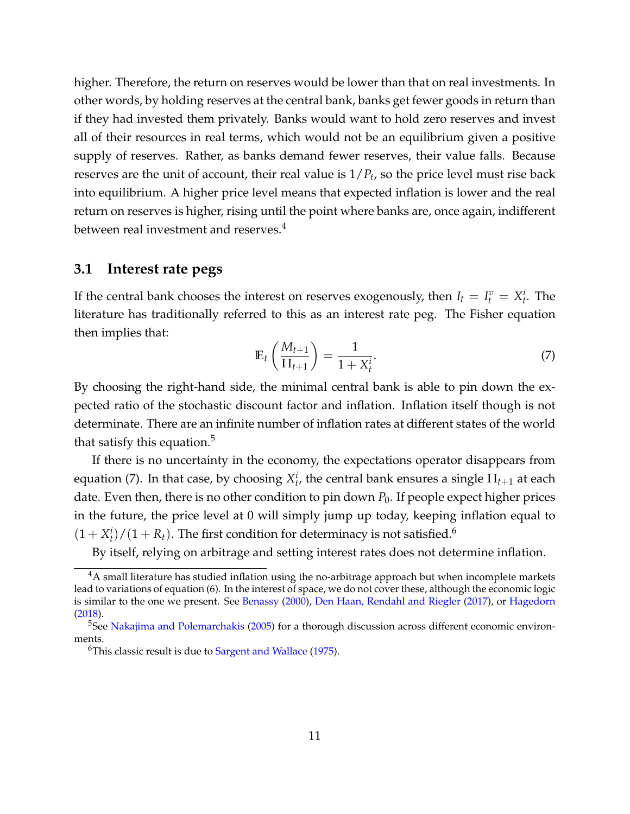higher. Therefore, the return on reserves would be lower than that on real investments. In other words, by holding reserves at the central bank, banks get fewer goods in return than if they had invested them privately. Banks would want to hold zero reserves and invest all of their resources in real terms, which would not be an equilibrium given a positive supply of reserves. Rather, as banks demand fewer reserves, their value falls. Because reserves are the unit of account, their real value is 1/*P<sup>t</sup>* , so the price level must rise back into equilibrium. A higher price level means that expected inflation is lower and the real return on reserves is higher, rising until the point where banks are, once again, indifferent between real investment and reserves.<sup>[4](#page-11-2)</sup>

#### <span id="page-11-0"></span>**3.1 Interest rate pegs**

If the central bank chooses the interest on reserves exogenously, then  $I_t = I_t^v = X_t^i$ . The literature has traditionally referred to this as an interest rate peg. The Fisher equation then implies that:

<span id="page-11-4"></span>
$$
\mathbb{E}_t\left(\frac{M_{t+1}}{\Pi_{t+1}}\right) = \frac{1}{1+X_t^i}.\tag{7}
$$

By choosing the right-hand side, the minimal central bank is able to pin down the expected ratio of the stochastic discount factor and inflation. Inflation itself though is not determinate. There are an infinite number of inflation rates at different states of the world that satisfy this equation.<sup>[5](#page-11-3)</sup>

If there is no uncertainty in the economy, the expectations operator disappears from equation [\(7\)](#page-11-4). In that case, by choosing  $X_t^i$ , the central bank ensures a single  $\Pi_{t+1}$  at each date. Even then, there is no other condition to pin down  $P_0$ . If people expect higher prices in the future, the price level at 0 will simply jump up today, keeping inflation equal to  $(1 + X_t^i)/(1 + R_t)$ . The first condition for determinacy is not satisfied.<sup>[6](#page-11-5)</sup>

By itself, relying on arbitrage and setting interest rates does not determine inflation.

<span id="page-11-2"></span><span id="page-11-1"></span> $4A$  small literature has studied inflation using the no-arbitrage approach but when incomplete markets lead to variations of equation [\(6\)](#page-10-1). In the interest of space, we do not cover these, although the economic logic is similar to the one we present. See [Benassy](#page-56-0) [\(2000\)](#page-56-0), [Den Haan, Rendahl and Riegler](#page-58-0) [\(2017\)](#page-58-0), or [Hagedorn](#page-59-2) [\(2018\)](#page-59-2).

<span id="page-11-3"></span><sup>&</sup>lt;sup>5</sup>See [Nakajima and Polemarchakis](#page-60-1) [\(2005\)](#page-60-1) for a thorough discussion across different economic environments.

<span id="page-11-5"></span><sup>&</sup>lt;sup>6</sup>This classic result is due to [Sargent and Wallace](#page-61-2) [\(1975\)](#page-61-2).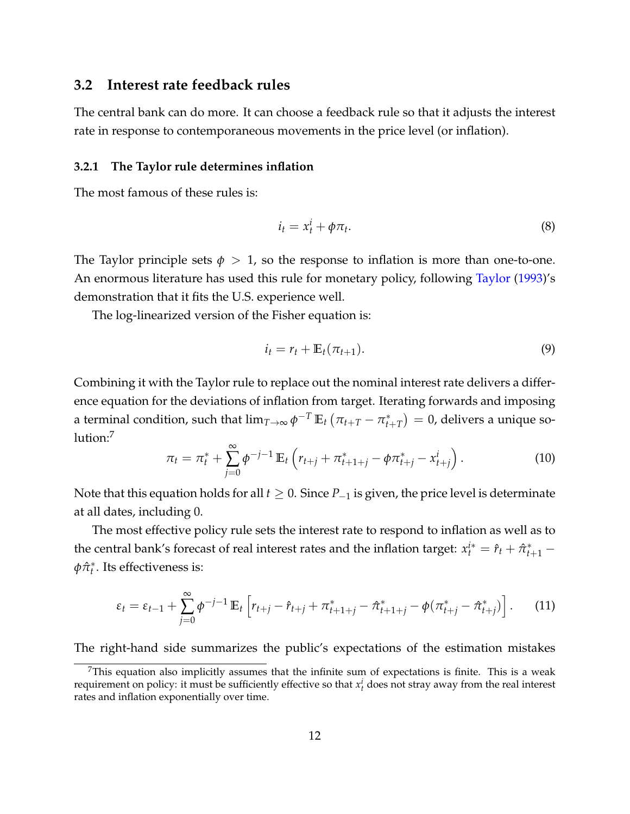## **3.2 Interest rate feedback rules**

The central bank can do more. It can choose a feedback rule so that it adjusts the interest rate in response to contemporaneous movements in the price level (or inflation).

#### <span id="page-12-0"></span>**3.2.1 The Taylor rule determines inflation**

The most famous of these rules is:

<span id="page-12-2"></span>
$$
i_t = x_t^i + \phi \pi_t. \tag{8}
$$

The Taylor principle sets  $\phi > 1$ , so the response to inflation is more than one-to-one. An enormous literature has used this rule for monetary policy, following [Taylor](#page-61-3) [\(1993\)](#page-61-3)'s demonstration that it fits the U.S. experience well.

The log-linearized version of the Fisher equation is:

<span id="page-12-3"></span>
$$
i_t = r_t + \mathbb{E}_t(\pi_{t+1}). \tag{9}
$$

Combining it with the Taylor rule to replace out the nominal interest rate delivers a difference equation for the deviations of inflation from target. Iterating forwards and imposing a terminal condition, such that  $\lim_{T\to\infty} \phi^{-T}\,\mathbb{E}_t\left(\pi_{t+T} - \pi_t^*\right)$  $f_{t+T}^*$ )  $= 0$ , delivers a unique so- $lution:<sup>7</sup>$  $lution:<sup>7</sup>$  $lution:<sup>7</sup>$ 

<span id="page-12-4"></span>
$$
\pi_t = \pi_t^* + \sum_{j=0}^{\infty} \phi^{-j-1} \mathbb{E}_t \left( r_{t+j} + \pi_{t+1+j}^* - \phi \pi_{t+j}^* - x_{t+j}^i \right).
$$
 (10)

Note that this equation holds for all *t* ≥ 0. Since *P*−<sup>1</sup> is given, the price level is determinate at all dates, including 0.

The most effective policy rule sets the interest rate to respond to inflation as well as to the central bank's forecast of real interest rates and the inflation target:  $x_t^{i*} = \hat{r}_t + \hat{\pi}_{t+1}^*$ *φπ*ˆ ∗ *t* . Its effectiveness is:

$$
\varepsilon_t = \varepsilon_{t-1} + \sum_{j=0}^{\infty} \phi^{-j-1} \mathbb{E}_t \left[ r_{t+j} - \hat{r}_{t+j} + \pi_{t+1+j}^* - \hat{\pi}_{t+1+j}^* - \phi(\pi_{t+j}^* - \hat{\pi}_{t+j}^*) \right]. \tag{11}
$$

The right-hand side summarizes the public's expectations of the estimation mistakes

<span id="page-12-1"></span> $<sup>7</sup>$ This equation also implicitly assumes that the infinite sum of expectations is finite. This is a weak</sup> requirement on policy: it must be sufficiently effective so that  $x_t^i$  does not stray away from the real interest rates and inflation exponentially over time.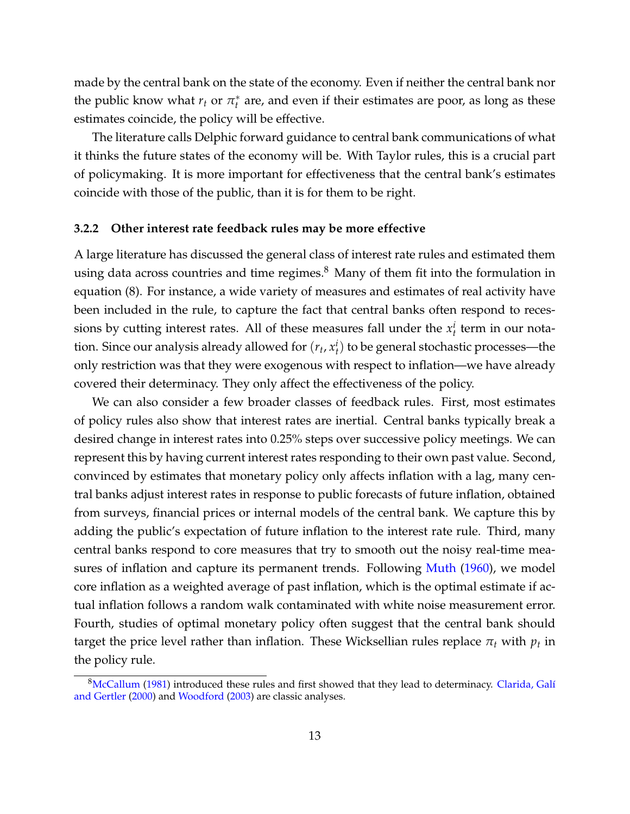made by the central bank on the state of the economy. Even if neither the central bank nor the public know what  $r_t$  or  $\pi_t^*$ *t* are, and even if their estimates are poor, as long as these estimates coincide, the policy will be effective.

The literature calls Delphic forward guidance to central bank communications of what it thinks the future states of the economy will be. With Taylor rules, this is a crucial part of policymaking. It is more important for effectiveness that the central bank's estimates coincide with those of the public, than it is for them to be right.

#### <span id="page-13-0"></span>**3.2.2 Other interest rate feedback rules may be more effective**

A large literature has discussed the general class of interest rate rules and estimated them using data across countries and time regimes. $8$  Many of them fit into the formulation in equation [\(8\)](#page-12-2). For instance, a wide variety of measures and estimates of real activity have been included in the rule, to capture the fact that central banks often respond to recessions by cutting interest rates. All of these measures fall under the  $x_t^i$  term in our notation. Since our analysis already allowed for  $(r_t, x_t^i)$  to be general stochastic processes—the only restriction was that they were exogenous with respect to inflation—we have already covered their determinacy. They only affect the effectiveness of the policy.

We can also consider a few broader classes of feedback rules. First, most estimates of policy rules also show that interest rates are inertial. Central banks typically break a desired change in interest rates into 0.25% steps over successive policy meetings. We can represent this by having current interest rates responding to their own past value. Second, convinced by estimates that monetary policy only affects inflation with a lag, many central banks adjust interest rates in response to public forecasts of future inflation, obtained from surveys, financial prices or internal models of the central bank. We capture this by adding the public's expectation of future inflation to the interest rate rule. Third, many central banks respond to core measures that try to smooth out the noisy real-time measures of inflation and capture its permanent trends. Following [Muth](#page-60-2) [\(1960\)](#page-60-2), we model core inflation as a weighted average of past inflation, which is the optimal estimate if actual inflation follows a random walk contaminated with white noise measurement error. Fourth, studies of optimal monetary policy often suggest that the central bank should target the price level rather than inflation. These Wicksellian rules replace  $\pi_t$  with  $p_t$  in the policy rule.

<span id="page-13-1"></span><sup>&</sup>lt;sup>8</sup>[McCallum](#page-60-3) [\(1981\)](#page-60-3) introduced these rules and first showed that they lead to determinacy. Clarida, Galí [and Gertler](#page-57-0) [\(2000\)](#page-57-0) and [Woodford](#page-61-0) [\(2003\)](#page-61-0) are classic analyses.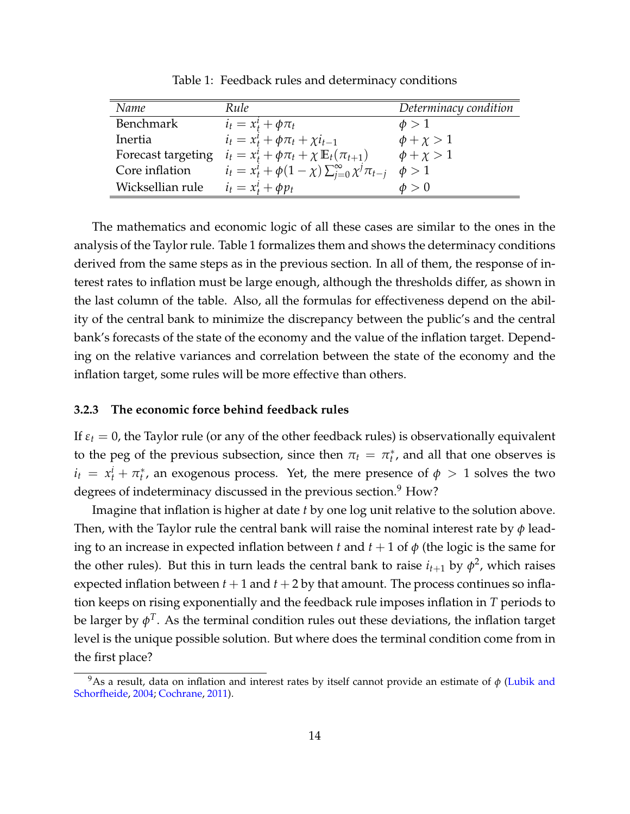<span id="page-14-2"></span>

| Name               | Rule                                                                | Determinacy condition |
|--------------------|---------------------------------------------------------------------|-----------------------|
| <b>Benchmark</b>   | $i_t = x_t^i + \phi \pi_t$                                          | $\phi > 1$            |
| Inertia            | $i_t = x_t^i + \phi \pi_t + \chi i_{t-1}$                           | $\phi + \chi > 1$     |
| Forecast targeting | $i_t = x_t^i + \phi \pi_t + \chi \mathbb{E}_t(\pi_{t+1})$           | $\phi + \chi > 1$     |
| Core inflation     | $i_t = x_t^i + \phi(1 - \chi) \sum_{j=0}^{\infty} \chi^j \pi_{t-j}$ | $\phi > 1$            |
| Wicksellian rule   | $i_t = x_t^i + \phi p_t$                                            | $\phi > 0$            |

Table 1: Feedback rules and determinacy conditions

The mathematics and economic logic of all these cases are similar to the ones in the analysis of the Taylor rule. Table [1](#page-14-2) formalizes them and shows the determinacy conditions derived from the same steps as in the previous section. In all of them, the response of interest rates to inflation must be large enough, although the thresholds differ, as shown in the last column of the table. Also, all the formulas for effectiveness depend on the ability of the central bank to minimize the discrepancy between the public's and the central bank's forecasts of the state of the economy and the value of the inflation target. Depending on the relative variances and correlation between the state of the economy and the inflation target, some rules will be more effective than others.

#### <span id="page-14-0"></span>**3.2.3 The economic force behind feedback rules**

If  $\varepsilon_t = 0$ , the Taylor rule (or any of the other feedback rules) is observationally equivalent to the peg of the previous subsection, since then  $\pi_t = \pi_t^*$ *t* , and all that one observes is  $i_t = x_t^i + \pi_t^*$  $t$ <sup>\*</sup>, an exogenous process. Yet, the mere presence of  $\phi > 1$  solves the two degrees of indeterminacy discussed in the previous section. $9$  How?

Imagine that inflation is higher at date *t* by one log unit relative to the solution above. Then, with the Taylor rule the central bank will raise the nominal interest rate by *φ* leading to an increase in expected inflation between *t* and  $t + 1$  of  $\phi$  (the logic is the same for the other rules). But this in turn leads the central bank to raise  $i_{t+1}$  by  $\phi^2$ , which raises expected inflation between  $t + 1$  and  $t + 2$  by that amount. The process continues so inflation keeps on rising exponentially and the feedback rule imposes inflation in *T* periods to be larger by  $\phi^T.$  As the terminal condition rules out these deviations, the inflation target level is the unique possible solution. But where does the terminal condition come from in the first place?

<span id="page-14-3"></span><span id="page-14-1"></span><sup>&</sup>lt;sup>9</sup>As a result, data on inflation and interest rates by itself cannot provide an estimate of  $\phi$  [\(Lubik and](#page-60-4) [Schorfheide,](#page-60-4) [2004;](#page-60-4) [Cochrane,](#page-58-1) [2011\)](#page-58-1).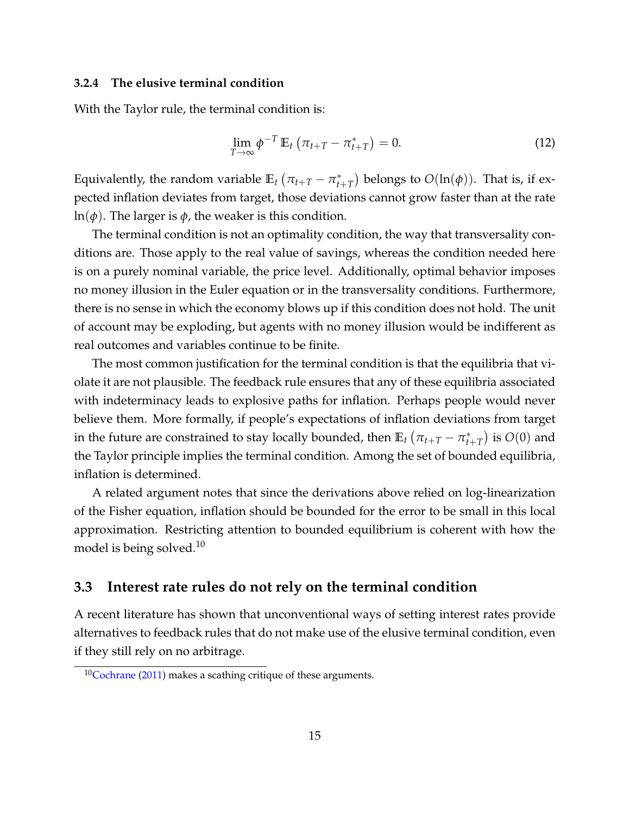#### **3.2.4 The elusive terminal condition**

With the Taylor rule, the terminal condition is:

$$
\lim_{T \to \infty} \phi^{-T} \mathbb{E}_t \left( \pi_{t+T} - \pi_{t+T}^* \right) = 0. \tag{12}
$$

Equivalently, the random variable  $\mathbb{E}_t \left( \pi_{t+T} - \pi_t^* \right)$  $(t_{t+T}^*)$  belongs to  $O(\ln(\phi))$ . That is, if expected inflation deviates from target, those deviations cannot grow faster than at the rate ln(*φ*). The larger is *φ*, the weaker is this condition.

The terminal condition is not an optimality condition, the way that transversality conditions are. Those apply to the real value of savings, whereas the condition needed here is on a purely nominal variable, the price level. Additionally, optimal behavior imposes no money illusion in the Euler equation or in the transversality conditions. Furthermore, there is no sense in which the economy blows up if this condition does not hold. The unit of account may be exploding, but agents with no money illusion would be indifferent as real outcomes and variables continue to be finite.

The most common justification for the terminal condition is that the equilibria that violate it are not plausible. The feedback rule ensures that any of these equilibria associated with indeterminacy leads to explosive paths for inflation. Perhaps people would never believe them. More formally, if people's expectations of inflation deviations from target in the future are constrained to stay locally bounded, then  $\mathbb{E}_t \left( \pi_{t+T} - \pi_t^* \right)$  $\binom{*}{t+T}$  is  $O(0)$  and the Taylor principle implies the terminal condition. Among the set of bounded equilibria, inflation is determined.

A related argument notes that since the derivations above relied on log-linearization of the Fisher equation, inflation should be bounded for the error to be small in this local approximation. Restricting attention to bounded equilibrium is coherent with how the model is being solved.<sup>[10](#page-15-2)</sup>

## <span id="page-15-0"></span>**3.3 Interest rate rules do not rely on the terminal condition**

A recent literature has shown that unconventional ways of setting interest rates provide alternatives to feedback rules that do not make use of the elusive terminal condition, even if they still rely on no arbitrage.

<span id="page-15-2"></span><span id="page-15-1"></span> $10$ [Cochrane](#page-58-1) [\(2011\)](#page-58-1) makes a scathing critique of these arguments.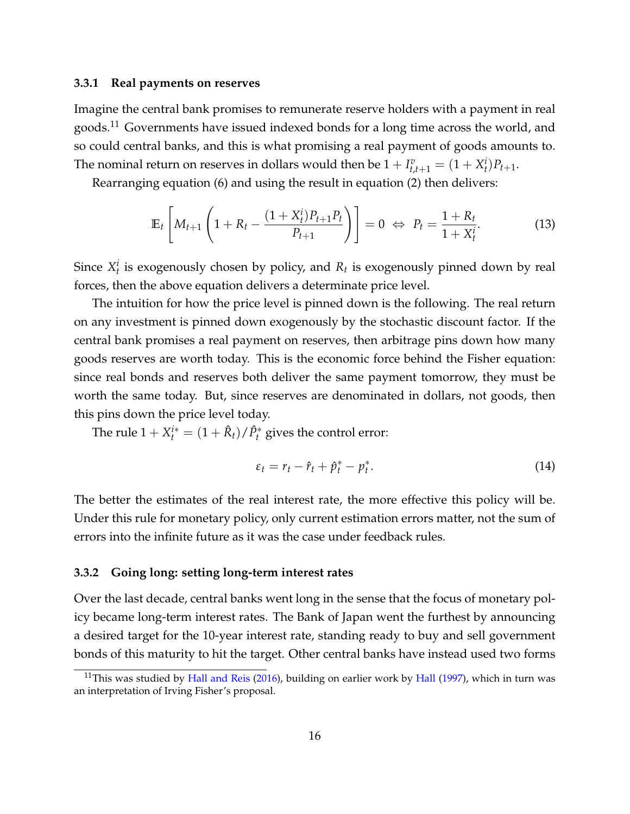#### **3.3.1 Real payments on reserves**

Imagine the central bank promises to remunerate reserve holders with a payment in real goods.<sup>[11](#page-16-1)</sup> Governments have issued indexed bonds for a long time across the world, and so could central banks, and this is what promising a real payment of goods amounts to. The nominal return on reserves in dollars would then be  $1 + I_{t,t+1}^v = (1 + X_t^i)P_{t+1}.$ 

Rearranging equation [\(6\)](#page-10-1) and using the result in equation [\(2\)](#page-6-1) then delivers:

$$
\mathbb{E}_{t}\left[M_{t+1}\left(1+R_{t}-\frac{(1+X_{t}^{i})P_{t+1}P_{t}}{P_{t+1}}\right)\right]=0 \Leftrightarrow P_{t}=\frac{1+R_{t}}{1+X_{t}^{i}}.\tag{13}
$$

Since  $X_t^i$  is exogenously chosen by policy, and  $R_t$  is exogenously pinned down by real forces, then the above equation delivers a determinate price level.

The intuition for how the price level is pinned down is the following. The real return on any investment is pinned down exogenously by the stochastic discount factor. If the central bank promises a real payment on reserves, then arbitrage pins down how many goods reserves are worth today. This is the economic force behind the Fisher equation: since real bonds and reserves both deliver the same payment tomorrow, they must be worth the same today. But, since reserves are denominated in dollars, not goods, then this pins down the price level today.

The rule  $1 + X_t^{i*} = (1 + \hat{R}_t) / \hat{P}_t^*$  gives the control error:

$$
\varepsilon_t = r_t - \hat{r}_t + \hat{p}_t^* - p_t^*.
$$
\n(14)

The better the estimates of the real interest rate, the more effective this policy will be. Under this rule for monetary policy, only current estimation errors matter, not the sum of errors into the infinite future as it was the case under feedback rules.

#### <span id="page-16-0"></span>**3.3.2 Going long: setting long-term interest rates**

Over the last decade, central banks went long in the sense that the focus of monetary policy became long-term interest rates. The Bank of Japan went the furthest by announcing a desired target for the 10-year interest rate, standing ready to buy and sell government bonds of this maturity to hit the target. Other central banks have instead used two forms

<span id="page-16-1"></span><sup>&</sup>lt;sup>11</sup>This was studied by [Hall and Reis](#page-59-3) [\(2016\)](#page-59-3), building on earlier work by [Hall](#page-59-4) [\(1997\)](#page-59-4), which in turn was an interpretation of Irving Fisher's proposal.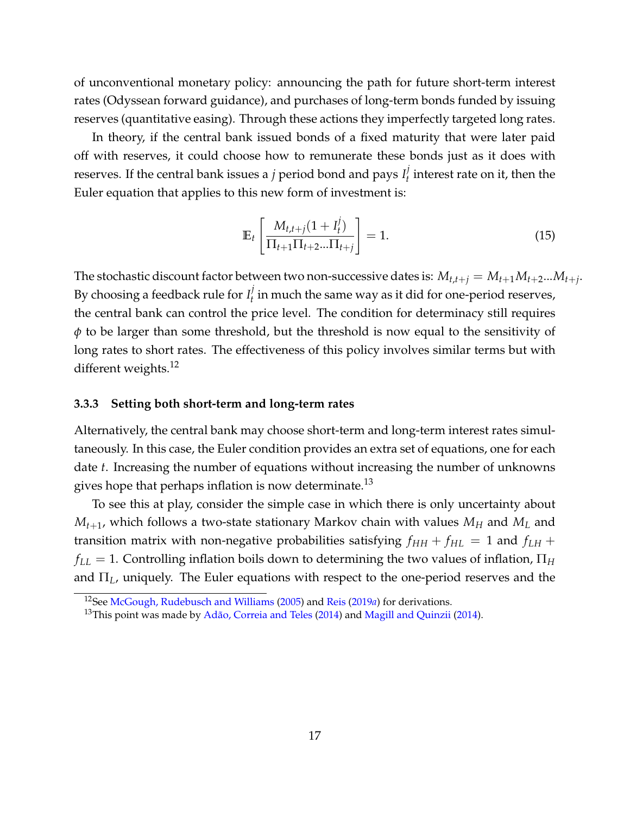of unconventional monetary policy: announcing the path for future short-term interest rates (Odyssean forward guidance), and purchases of long-term bonds funded by issuing reserves (quantitative easing). Through these actions they imperfectly targeted long rates.

In theory, if the central bank issued bonds of a fixed maturity that were later paid off with reserves, it could choose how to remunerate these bonds just as it does with reserves. If the central bank issues a *j* period bond and pays *I j*  $t<sub>t</sub><sup>*j*</sup>$  interest rate on it, then the Euler equation that applies to this new form of investment is:

$$
\mathbb{E}_{t}\left[\frac{M_{t,t+j}(1+I_{t}^{j})}{\Pi_{t+1}\Pi_{t+2}...\Pi_{t+j}}\right] = 1.
$$
\n(15)

The stochastic discount factor between two non-successive dates is:  $M_{t,t+j} = M_{t+1}M_{t+2}...M_{t+j}$ . By choosing a feedback rule for  $I_t^j$  $\mathcal{U}_t$  in much the same way as it did for one-period reserves, the central bank can control the price level. The condition for determinacy still requires *φ* to be larger than some threshold, but the threshold is now equal to the sensitivity of long rates to short rates. The effectiveness of this policy involves similar terms but with different weights. $^{12}$  $^{12}$  $^{12}$ 

#### <span id="page-17-0"></span>**3.3.3 Setting both short-term and long-term rates**

Alternatively, the central bank may choose short-term and long-term interest rates simultaneously. In this case, the Euler condition provides an extra set of equations, one for each date *t*. Increasing the number of equations without increasing the number of unknowns gives hope that perhaps inflation is now determinate.<sup>[13](#page-17-2)</sup>

To see this at play, consider the simple case in which there is only uncertainty about  $M_{t+1}$ , which follows a two-state stationary Markov chain with values  $M_H$  and  $M_L$  and transition matrix with non-negative probabilities satisfying  $f_{HH} + f_{HL} = 1$  and  $f_{LH} + f_{HL} = 1$  $f_{LL} = 1$ . Controlling inflation boils down to determining the two values of inflation,  $\Pi_H$ and Π*L*, uniquely. The Euler equations with respect to the one-period reserves and the

<span id="page-17-1"></span><sup>12</sup>See [McGough, Rudebusch and Williams](#page-60-5) [\(2005\)](#page-60-5) and [Reis](#page-61-4) [\(2019](#page-61-4)*a*) for derivations.

<span id="page-17-2"></span><sup>&</sup>lt;sup>13</sup>This point was made by Adão, Correia and Teles [\(2014\)](#page-60-6) and [Magill and Quinzii](#page-60-6) (2014).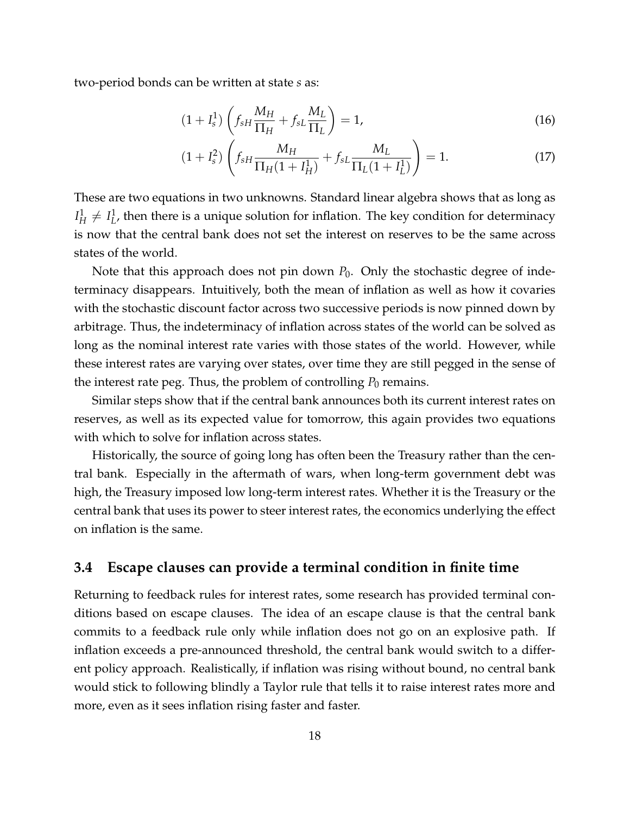two-period bonds can be written at state *s* as:

$$
(1+I_s^1)\left(f_{sH}\frac{M_H}{\Pi_H}+f_{sL}\frac{M_L}{\Pi_L}\right)=1,\tag{16}
$$

$$
(1 + I_s^2) \left( f_{sH} \frac{M_H}{\Pi_H (1 + I_H^1)} + f_{sL} \frac{M_L}{\Pi_L (1 + I_L^1)} \right) = 1.
$$
 (17)

These are two equations in two unknowns. Standard linear algebra shows that as long as *I* 1  $^1_H \neq I^1_L$ *L* , then there is a unique solution for inflation. The key condition for determinacy is now that the central bank does not set the interest on reserves to be the same across states of the world.

Note that this approach does not pin down  $P_0$ . Only the stochastic degree of indeterminacy disappears. Intuitively, both the mean of inflation as well as how it covaries with the stochastic discount factor across two successive periods is now pinned down by arbitrage. Thus, the indeterminacy of inflation across states of the world can be solved as long as the nominal interest rate varies with those states of the world. However, while these interest rates are varying over states, over time they are still pegged in the sense of the interest rate peg. Thus, the problem of controlling  $P_0$  remains.

Similar steps show that if the central bank announces both its current interest rates on reserves, as well as its expected value for tomorrow, this again provides two equations with which to solve for inflation across states.

Historically, the source of going long has often been the Treasury rather than the central bank. Especially in the aftermath of wars, when long-term government debt was high, the Treasury imposed low long-term interest rates. Whether it is the Treasury or the central bank that uses its power to steer interest rates, the economics underlying the effect on inflation is the same.

## <span id="page-18-0"></span>**3.4 Escape clauses can provide a terminal condition in finite time**

<span id="page-18-1"></span>Returning to feedback rules for interest rates, some research has provided terminal conditions based on escape clauses. The idea of an escape clause is that the central bank commits to a feedback rule only while inflation does not go on an explosive path. If inflation exceeds a pre-announced threshold, the central bank would switch to a different policy approach. Realistically, if inflation was rising without bound, no central bank would stick to following blindly a Taylor rule that tells it to raise interest rates more and more, even as it sees inflation rising faster and faster.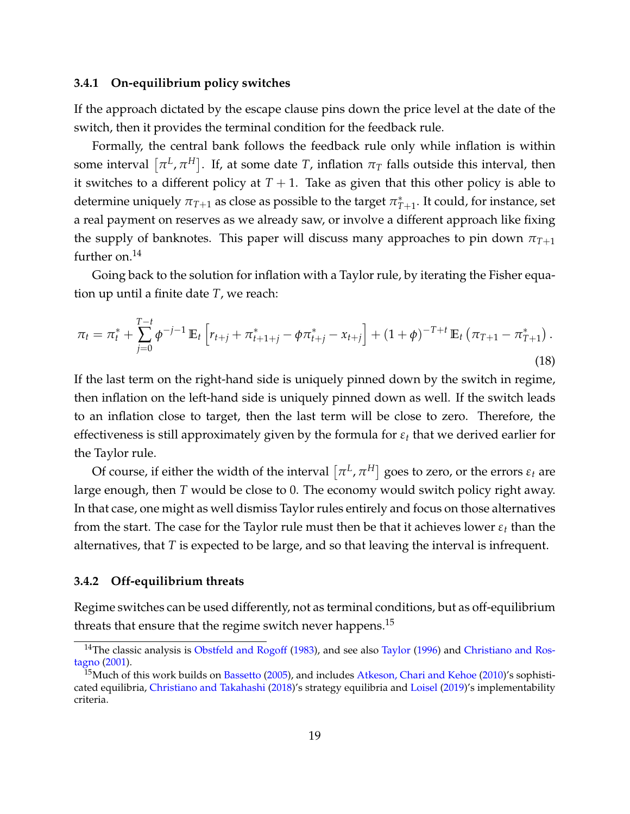#### **3.4.1 On-equilibrium policy switches**

If the approach dictated by the escape clause pins down the price level at the date of the switch, then it provides the terminal condition for the feedback rule.

Formally, the central bank follows the feedback rule only while inflation is within some interval  $\left[ \pi^L, \pi^H \right]$ . If, at some date  $T$ , inflation  $\pi_T$  falls outside this interval, then it switches to a different policy at  $T + 1$ . Take as given that this other policy is able to determine uniquely  $\pi_{T+1}$  as close as possible to the target  $\pi^*_T$  $_{T+1}^*$ . It could*,* for instance, set a real payment on reserves as we already saw, or involve a different approach like fixing the supply of banknotes. This paper will discuss many approaches to pin down  $\pi_{T+1}$ further on. $^{14}$  $^{14}$  $^{14}$ 

Going back to the solution for inflation with a Taylor rule, by iterating the Fisher equation up until a finite date *T*, we reach:

$$
\pi_t = \pi_t^* + \sum_{j=0}^{T-t} \phi^{-j-1} \mathbb{E}_t \left[ r_{t+j} + \pi_{t+1+j}^* - \phi \pi_{t+j}^* - x_{t+j} \right] + (1+\phi)^{-T+t} \mathbb{E}_t \left( \pi_{T+1} - \pi_{T+1}^* \right).
$$
\n(18)

If the last term on the right-hand side is uniquely pinned down by the switch in regime, then inflation on the left-hand side is uniquely pinned down as well. If the switch leads to an inflation close to target, then the last term will be close to zero. Therefore, the effectiveness is still approximately given by the formula for *ε<sup>t</sup>* that we derived earlier for the Taylor rule.

Of course, if either the width of the interval  $\left[ \pi^L, \pi^H \right]$  goes to zero, or the errors  $\varepsilon_t$  are large enough, then *T* would be close to 0. The economy would switch policy right away. In that case, one might as well dismiss Taylor rules entirely and focus on those alternatives from the start. The case for the Taylor rule must then be that it achieves lower *ε<sup>t</sup>* than the alternatives, that *T* is expected to be large, and so that leaving the interval is infrequent.

#### <span id="page-19-0"></span>**3.4.2 Off-equilibrium threats**

Regime switches can be used differently, not as terminal conditions, but as off-equilibrium threats that ensure that the regime switch never happens.<sup>[15](#page-19-2)</sup>

<span id="page-19-1"></span><sup>&</sup>lt;sup>14</sup>The classic analysis is [Obstfeld and Rogoff](#page-60-7) [\(1983\)](#page-60-7), and see also [Taylor](#page-61-5) [\(1996\)](#page-61-5) and [Christiano and Ros](#page-57-1)[tagno](#page-57-1) [\(2001\)](#page-57-1).

<span id="page-19-2"></span><sup>&</sup>lt;sup>15</sup>Much of this work builds on [Bassetto](#page-56-2) [\(2005\)](#page-56-2), and includes [Atkeson, Chari and Kehoe](#page-56-3) [\(2010\)](#page-56-3)'s sophisticated equilibria, [Christiano and Takahashi](#page-57-2) [\(2018\)](#page-57-2)'s strategy equilibria and [Loisel](#page-60-8) [\(2019\)](#page-60-8)'s implementability criteria.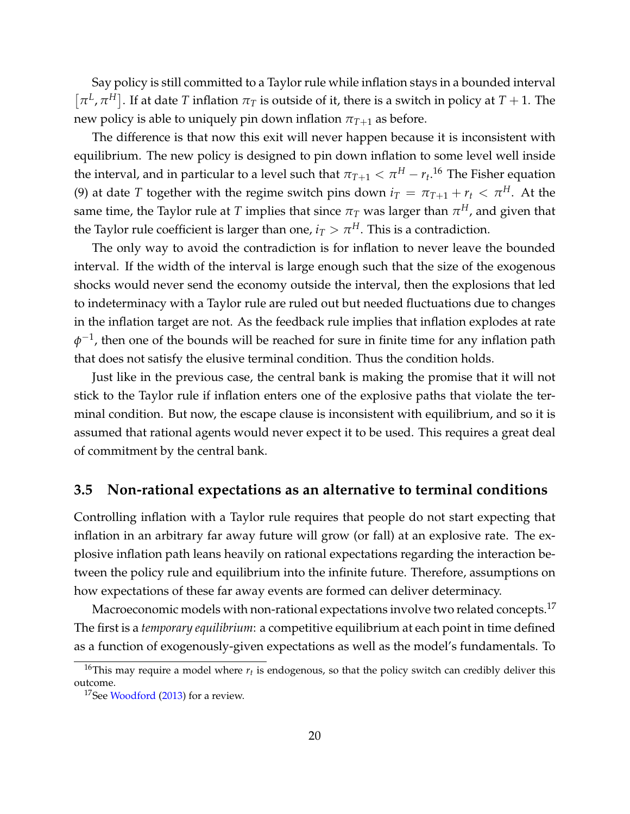Say policy is still committed to a Taylor rule while inflation stays in a bounded interval  $[\pi^L, \pi^H]$ . If at date *T* inflation  $\pi_T$  is outside of it, there is a switch in policy at  $T + 1$ . The new policy is able to uniquely pin down inflation  $\pi_{T+1}$  as before.

The difference is that now this exit will never happen because it is inconsistent with equilibrium. The new policy is designed to pin down inflation to some level well inside the interval, and in particular to a level such that  $\pi_{T+1} < \pi^H - r_t$ .<sup>[16](#page-20-1)</sup> The Fisher equation [\(9\)](#page-12-3) at date *T* together with the regime switch pins down  $i_T = \pi_{T+1} + r_t < \pi^H$ . At the same time, the Taylor rule at  $T$  implies that since  $\pi_T$  was larger than  $\pi^H$ , and given that the Taylor rule coefficient is larger than one,  $i_T > \pi^H$ . This is a contradiction.

The only way to avoid the contradiction is for inflation to never leave the bounded interval. If the width of the interval is large enough such that the size of the exogenous shocks would never send the economy outside the interval, then the explosions that led to indeterminacy with a Taylor rule are ruled out but needed fluctuations due to changes in the inflation target are not. As the feedback rule implies that inflation explodes at rate  $\phi^{-1}$ , then one of the bounds will be reached for sure in finite time for any inflation path that does not satisfy the elusive terminal condition. Thus the condition holds.

Just like in the previous case, the central bank is making the promise that it will not stick to the Taylor rule if inflation enters one of the explosive paths that violate the terminal condition. But now, the escape clause is inconsistent with equilibrium, and so it is assumed that rational agents would never expect it to be used. This requires a great deal of commitment by the central bank.

#### <span id="page-20-0"></span>**3.5 Non-rational expectations as an alternative to terminal conditions**

Controlling inflation with a Taylor rule requires that people do not start expecting that inflation in an arbitrary far away future will grow (or fall) at an explosive rate. The explosive inflation path leans heavily on rational expectations regarding the interaction between the policy rule and equilibrium into the infinite future. Therefore, assumptions on how expectations of these far away events are formed can deliver determinacy.

Macroeconomic models with non-rational expectations involve two related concepts.<sup>[17](#page-20-2)</sup> The first is a *temporary equilibrium*: a competitive equilibrium at each point in time defined as a function of exogenously-given expectations as well as the model's fundamentals. To

<span id="page-20-1"></span> $^{16}$ This may require a model where  $r_t$  is endogenous, so that the policy switch can credibly deliver this outcome.

<span id="page-20-2"></span><sup>&</sup>lt;sup>17</sup>See [Woodford](#page-62-0) [\(2013\)](#page-62-0) for a review.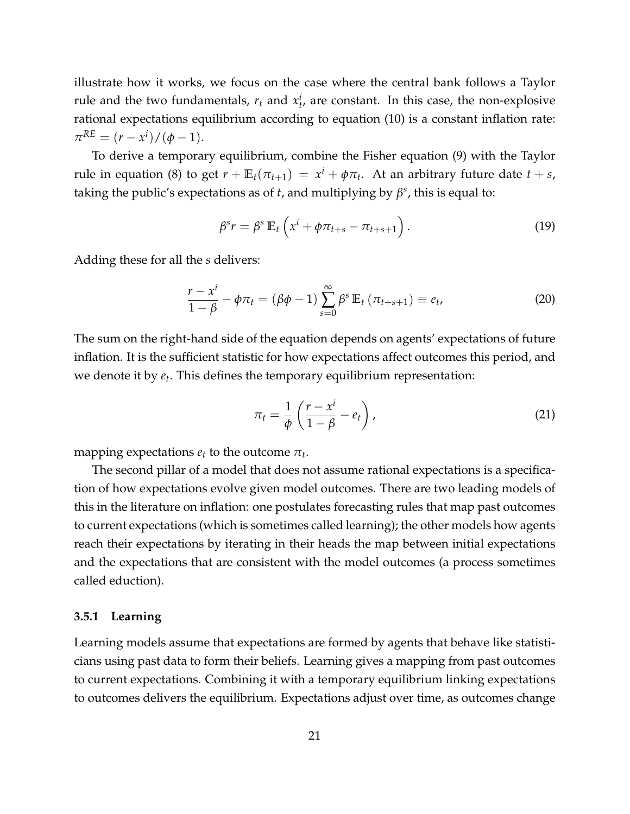illustrate how it works, we focus on the case where the central bank follows a Taylor rule and the two fundamentals,  $r_t$  and  $x_t^i$ , are constant. In this case, the non-explosive rational expectations equilibrium according to equation [\(10\)](#page-12-4) is a constant inflation rate:  $\pi^{RE} = (r - x^i) / (\phi - 1).$ 

To derive a temporary equilibrium, combine the Fisher equation [\(9\)](#page-12-3) with the Taylor rule in equation [\(8\)](#page-12-2) to get  $r + \mathbb{E}_t(\pi_{t+1}) = x^i + \phi \pi_t$ . At an arbitrary future date  $t + s$ , taking the public's expectations as of *t*, and multiplying by  $\beta^s$ , this is equal to:

$$
\beta^{s} r = \beta^{s} \mathbb{E}_{t} \left( x^{i} + \phi \pi_{t+s} - \pi_{t+s+1} \right). \tag{19}
$$

Adding these for all the *s* delivers:

<span id="page-21-1"></span>
$$
\frac{r - x^{i}}{1 - \beta} - \phi \pi_{t} = (\beta \phi - 1) \sum_{s=0}^{\infty} \beta^{s} \mathbb{E}_{t} (\pi_{t+s+1}) \equiv e_{t}, \qquad (20)
$$

The sum on the right-hand side of the equation depends on agents' expectations of future inflation. It is the sufficient statistic for how expectations affect outcomes this period, and we denote it by *e<sup>t</sup>* . This defines the temporary equilibrium representation:

<span id="page-21-2"></span>
$$
\pi_t = \frac{1}{\phi} \left( \frac{r - x^i}{1 - \beta} - e_t \right),\tag{21}
$$

mapping expectations  $e_t$  to the outcome  $\pi_t$ .

The second pillar of a model that does not assume rational expectations is a specification of how expectations evolve given model outcomes. There are two leading models of this in the literature on inflation: one postulates forecasting rules that map past outcomes to current expectations (which is sometimes called learning); the other models how agents reach their expectations by iterating in their heads the map between initial expectations and the expectations that are consistent with the model outcomes (a process sometimes called eduction).

#### <span id="page-21-0"></span>**3.5.1 Learning**

Learning models assume that expectations are formed by agents that behave like statisticians using past data to form their beliefs. Learning gives a mapping from past outcomes to current expectations. Combining it with a temporary equilibrium linking expectations to outcomes delivers the equilibrium. Expectations adjust over time, as outcomes change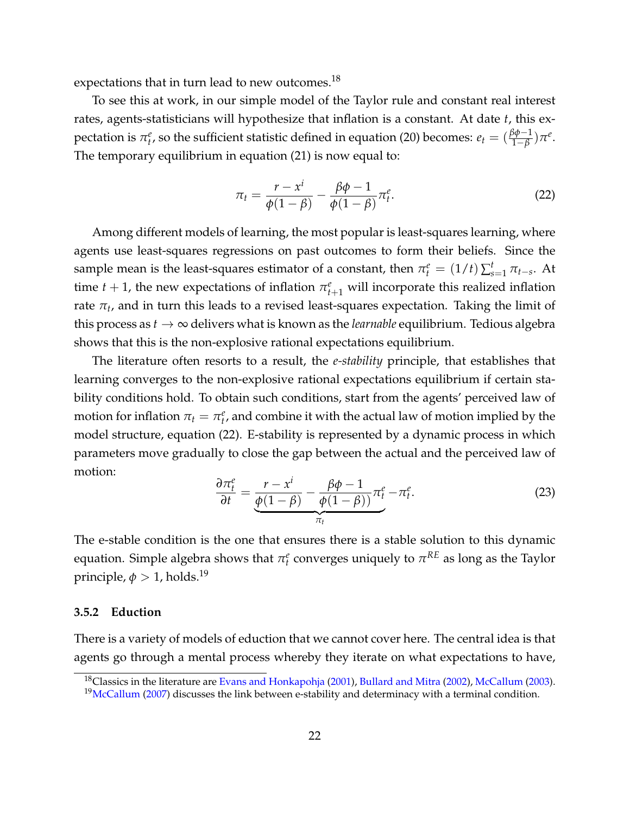expectations that in turn lead to new outcomes.<sup>[18](#page-22-1)</sup>

To see this at work, in our simple model of the Taylor rule and constant real interest rates, agents-statisticians will hypothesize that inflation is a constant. At date *t*, this expectation is  $\pi_t^e$ , so the sufficient statistic defined in equation [\(20\)](#page-21-1) becomes:  $e_t = (\frac{\beta\phi-1}{1-\beta})\pi^e$ . The temporary equilibrium in equation [\(21\)](#page-21-2) is now equal to:

<span id="page-22-2"></span>
$$
\pi_t = \frac{r - x^i}{\phi(1 - \beta)} - \frac{\beta \phi - 1}{\phi(1 - \beta)} \pi_t^e.
$$
\n(22)

Among different models of learning, the most popular is least-squares learning, where agents use least-squares regressions on past outcomes to form their beliefs. Since the sample mean is the least-squares estimator of a constant, then  $\pi_t^e = (1/t)\sum_{s=1}^t \pi_{t-s}$ . At time  $t + 1$ , the new expectations of inflation  $\pi_{t+1}^e$  will incorporate this realized inflation rate *π<sup>t</sup>* , and in turn this leads to a revised least-squares expectation. Taking the limit of this process as  $t \to \infty$  delivers what is known as the *learnable* equilibrium. Tedious algebra shows that this is the non-explosive rational expectations equilibrium.

The literature often resorts to a result, the *e-stability* principle, that establishes that learning converges to the non-explosive rational expectations equilibrium if certain stability conditions hold. To obtain such conditions, start from the agents' perceived law of motion for inflation  $\pi_t = \pi_t^e$ , and combine it with the actual law of motion implied by the model structure, equation [\(22\)](#page-22-2). E-stability is represented by a dynamic process in which parameters move gradually to close the gap between the actual and the perceived law of motion:

$$
\frac{\partial \pi_t^e}{\partial t} = \underbrace{\frac{r - x^i}{\phi(1 - \beta)} - \frac{\beta \phi - 1}{\phi(1 - \beta))} \pi_t^e}_{\pi_t} - \pi_t^e. \tag{23}
$$

The e-stable condition is the one that ensures there is a stable solution to this dynamic equation. Simple algebra shows that  $\pi_t^e$  converges uniquely to  $\pi^{RE}$  as long as the Taylor principle,  $\phi > 1$ , holds.<sup>[19](#page-22-3)</sup>

#### <span id="page-22-0"></span>**3.5.2 Eduction**

There is a variety of models of eduction that we cannot cover here. The central idea is that agents go through a mental process whereby they iterate on what expectations to have,

<span id="page-22-1"></span><sup>&</sup>lt;sup>18</sup>Classics in the literature are [Evans and Honkapohja](#page-58-2) [\(2001\)](#page-58-2), [Bullard and Mitra](#page-57-3) [\(2002\)](#page-57-3), [McCallum](#page-60-9) [\(2003\)](#page-60-9).

<span id="page-22-3"></span> $19$ [McCallum](#page-60-10) [\(2007\)](#page-60-10) discusses the link between e-stability and determinacy with a terminal condition.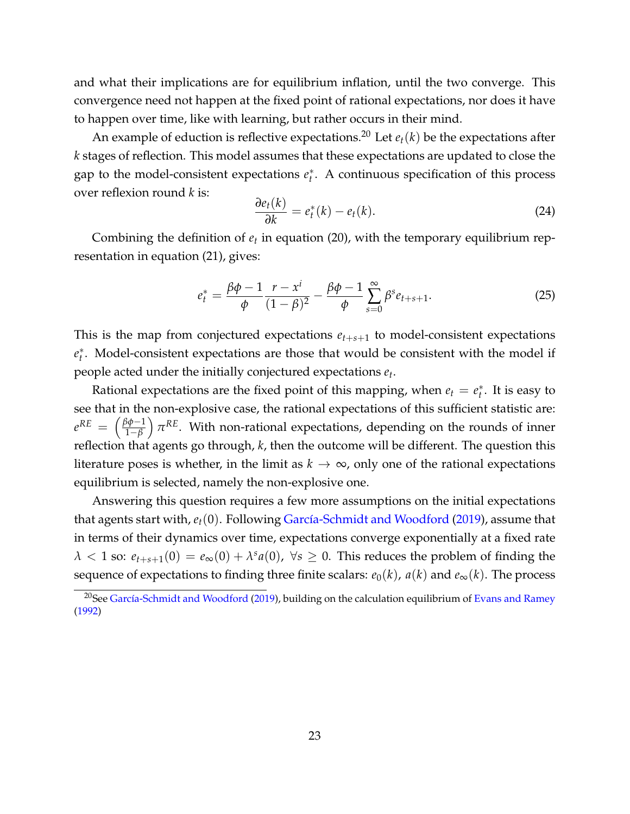and what their implications are for equilibrium inflation, until the two converge. This convergence need not happen at the fixed point of rational expectations, nor does it have to happen over time, like with learning, but rather occurs in their mind.

An example of eduction is reflective expectations.<sup>[20](#page-23-0)</sup> Let  $e_t(k)$  be the expectations after *k* stages of reflection. This model assumes that these expectations are updated to close the gap to the model-consistent expectations *e* ∗ *t* . A continuous specification of this process over reflexion round *k* is:

<span id="page-23-1"></span>
$$
\frac{\partial e_t(k)}{\partial k} = e_t^*(k) - e_t(k). \tag{24}
$$

Combining the definition of *e<sup>t</sup>* in equation [\(20\)](#page-21-1), with the temporary equilibrium representation in equation [\(21\)](#page-21-2), gives:

$$
e_t^* = \frac{\beta \phi - 1}{\phi} \frac{r - x^i}{(1 - \beta)^2} - \frac{\beta \phi - 1}{\phi} \sum_{s=0}^{\infty} \beta^s e_{t+s+1}.
$$
 (25)

This is the map from conjectured expectations  $e_{t+s+1}$  to model-consistent expectations *e* ∗ *t* . Model-consistent expectations are those that would be consistent with the model if people acted under the initially conjectured expectations *e<sup>t</sup>* .

Rational expectations are the fixed point of this mapping, when  $e_t = e_t^*$ *t* . It is easy to see that in the non-explosive case, the rational expectations of this sufficient statistic are:  $e^{RE} = \left(\frac{\beta \phi - 1}{1 - \beta}\right)$ 1−*β*  $\int \pi^{RE}$ . With non-rational expectations, depending on the rounds of inner reflection that agents go through, *k*, then the outcome will be different. The question this literature poses is whether, in the limit as  $k \to \infty$ , only one of the rational expectations equilibrium is selected, namely the non-explosive one.

Answering this question requires a few more assumptions on the initial expectations that agents start with,  $e_t(0)$ . Following García-Schmidt and Woodford [\(2019\)](#page-59-5), assume that in terms of their dynamics over time, expectations converge exponentially at a fixed rate  $\lambda < 1$  so:  $e_{t+s+1}(0) = e_{\infty}(0) + \lambda^s a(0)$ ,  $\forall s \ge 0$ . This reduces the problem of finding the sequence of expectations to finding three finite scalars:  $e_0(k)$ ,  $a(k)$  and  $e_\infty(k)$ . The process

<span id="page-23-0"></span><sup>&</sup>lt;sup>20</sup>See García-Schmidt and Woodford [\(2019\)](#page-59-5), building on the calculation equilibrium of [Evans and Ramey](#page-58-3) [\(1992\)](#page-58-3)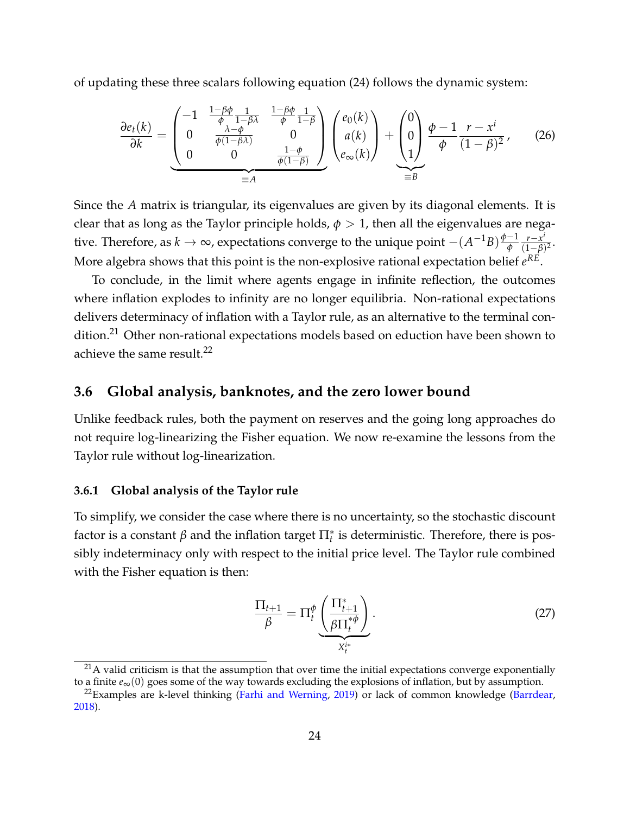of updating these three scalars following equation [\(24\)](#page-23-1) follows the dynamic system:

$$
\frac{\partial e_t(k)}{\partial k} = \underbrace{\begin{pmatrix} -1 & \frac{1-\beta\phi}{\phi} & \frac{1}{1-\beta\lambda} & \frac{1-\beta\phi}{\phi} & \frac{1}{1-\beta} \\ 0 & \frac{\lambda-\phi}{\phi(1-\beta\lambda)} & 0 & a(k) \\ 0 & 0 & \frac{1-\phi}{\phi(1-\beta)} \end{pmatrix}}_{\equiv A} \begin{pmatrix} e_0(k) \\ a(k) \\ e_\infty(k) \end{pmatrix} + \underbrace{\begin{pmatrix} 0 \\ 0 \\ 1 \end{pmatrix}}_{\equiv B} \underbrace{\begin{pmatrix} \phi-1 & r-x^i \\ \phi & (1-\beta)^2 \end{pmatrix}}_{\equiv B}, \tag{26}
$$

Since the *A* matrix is triangular, its eigenvalues are given by its diagonal elements. It is clear that as long as the Taylor principle holds,  $\phi > 1$ , then all the eigenvalues are negative. Therefore, as  $k \to \infty$ , expectations converge to the unique point  $-(A^{-1}B)\frac{\phi-1}{\phi}$ *φ r*−*x i*  $\frac{r-x^2}{(1-\beta)^2}$ More algebra shows that this point is the non-explosive rational expectation belief  $e^{RE}$ .

To conclude, in the limit where agents engage in infinite reflection, the outcomes where inflation explodes to infinity are no longer equilibria. Non-rational expectations delivers determinacy of inflation with a Taylor rule, as an alternative to the terminal con-dition.<sup>[21](#page-24-2)</sup> Other non-rational expectations models based on eduction have been shown to achieve the same result.<sup>[22](#page-24-3)</sup>

## <span id="page-24-0"></span>**3.6 Global analysis, banknotes, and the zero lower bound**

Unlike feedback rules, both the payment on reserves and the going long approaches do not require log-linearizing the Fisher equation. We now re-examine the lessons from the Taylor rule without log-linearization.

#### <span id="page-24-1"></span>**3.6.1 Global analysis of the Taylor rule**

To simplify, we consider the case where there is no uncertainty, so the stochastic discount factor is a constant  $\beta$  and the inflation target  $\Pi_t^*$  is deterministic. Therefore, there is possibly indeterminacy only with respect to the initial price level. The Taylor rule combined with the Fisher equation is then:

$$
\frac{\Pi_{t+1}}{\beta} = \Pi_t^{\phi} \underbrace{\left(\frac{\Pi_{t+1}^*}{\beta \Pi_t^{*\phi}}\right)}_{X_t^{i*}}.
$$
\n(27)

<span id="page-24-2"></span> $21A$  valid criticism is that the assumption that over time the initial expectations converge exponentially to a finite *e*∞(0) goes some of the way towards excluding the explosions of inflation, but by assumption.

<span id="page-24-3"></span> $^{22}$ Examples are k-level thinking [\(Farhi and Werning,](#page-58-4) [2019\)](#page-58-4) or lack of common knowledge [\(Barrdear,](#page-56-4) [2018\)](#page-56-4).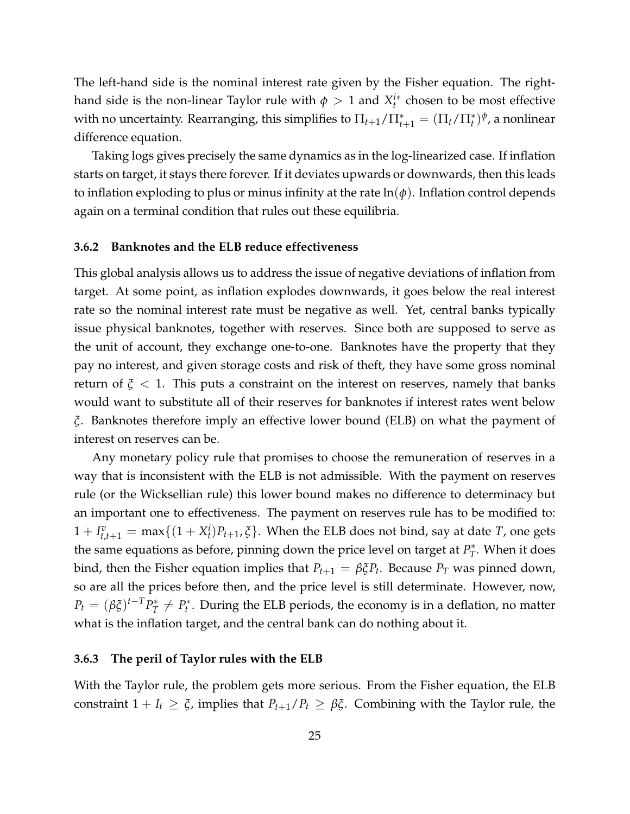The left-hand side is the nominal interest rate given by the Fisher equation. The righthand side is the non-linear Taylor rule with  $\phi > 1$  and  $X_t^{i*}$  chosen to be most effective with no uncertainty. Rearranging, this simplifies to  $\Pi_{t+1}/\Pi_{t+1}^* = (\Pi_t/\Pi_t^*)^\phi$ , a nonlinear difference equation.

Taking logs gives precisely the same dynamics as in the log-linearized case. If inflation starts on target, it stays there forever. If it deviates upwards or downwards, then this leads to inflation exploding to plus or minus infinity at the rate  $\ln(\phi)$ . Inflation control depends again on a terminal condition that rules out these equilibria.

#### <span id="page-25-0"></span>**3.6.2 Banknotes and the ELB reduce effectiveness**

This global analysis allows us to address the issue of negative deviations of inflation from target. At some point, as inflation explodes downwards, it goes below the real interest rate so the nominal interest rate must be negative as well. Yet, central banks typically issue physical banknotes, together with reserves. Since both are supposed to serve as the unit of account, they exchange one-to-one. Banknotes have the property that they pay no interest, and given storage costs and risk of theft, they have some gross nominal return of  $\xi$  < 1. This puts a constraint on the interest on reserves, namely that banks would want to substitute all of their reserves for banknotes if interest rates went below *ξ*. Banknotes therefore imply an effective lower bound (ELB) on what the payment of interest on reserves can be.

Any monetary policy rule that promises to choose the remuneration of reserves in a way that is inconsistent with the ELB is not admissible. With the payment on reserves rule (or the Wicksellian rule) this lower bound makes no difference to determinacy but an important one to effectiveness. The payment on reserves rule has to be modified to:  $1 + I_{t,t+1}^v = \max\{(1 + X_t^i)P_{t+1}, \xi\}$ . When the ELB does not bind, say at date *T*, one gets the same equations as before, pinning down the price level on target at  $P_T^*$  $T$ <sup>\*</sup>. When it does bind, then the Fisher equation implies that  $P_{t+1} = \beta \xi P_t$ . Because  $P_T$  was pinned down, so are all the prices before then, and the price level is still determinate. However, now,  $P_t = (\beta \xi)^{t-T} P_T^*$  $P_t^* \neq P_t^*$ *t* . During the ELB periods, the economy is in a deflation, no matter what is the inflation target, and the central bank can do nothing about it.

#### <span id="page-25-1"></span>**3.6.3 The peril of Taylor rules with the ELB**

With the Taylor rule, the problem gets more serious. From the Fisher equation, the ELB constraint  $1 + I_t \geq \xi$ , implies that  $P_{t+1}/P_t \geq \beta \xi$ . Combining with the Taylor rule, the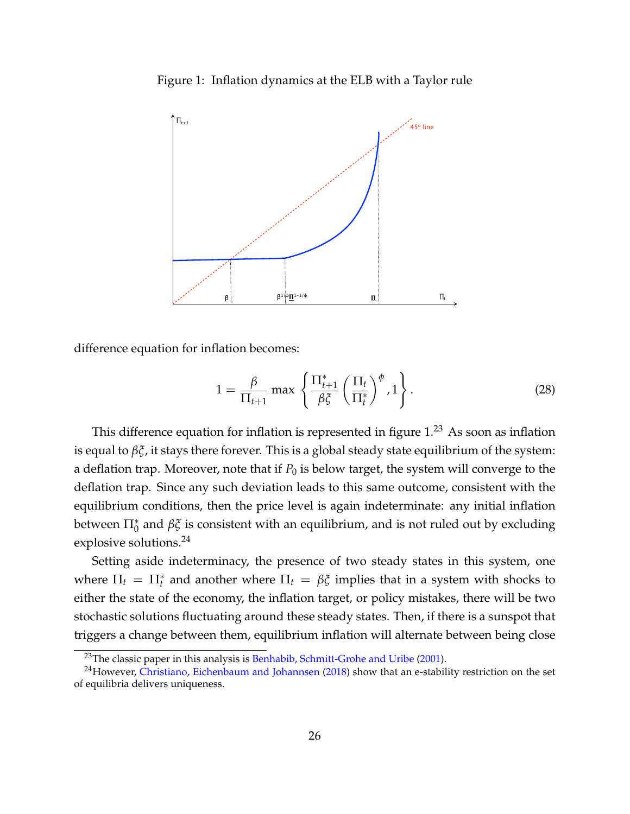<span id="page-26-0"></span>Figure 1: Inflation dynamics at the ELB with a Taylor rule



difference equation for inflation becomes:

$$
1 = \frac{\beta}{\Pi_{t+1}} \max \left\{ \frac{\Pi_{t+1}^*}{\beta \xi} \left( \frac{\Pi_t}{\Pi_t^*} \right)^{\phi}, 1 \right\}.
$$
 (28)

This difference equation for inflation is represented in figure  $1.^{23}$  $1.^{23}$  $1.^{23}$  $1.^{23}$  As soon as inflation is equal to *βξ*, it stays there forever. This is a global steady state equilibrium of the system: a deflation trap. Moreover, note that if  $P_0$  is below target, the system will converge to the deflation trap. Since any such deviation leads to this same outcome, consistent with the equilibrium conditions, then the price level is again indeterminate: any initial inflation between  $\Pi_0^*$  and  $\beta \xi$  is consistent with an equilibrium, and is not ruled out by excluding explosive solutions.[24](#page-26-2)

Setting aside indeterminacy, the presence of two steady states in this system, one where  $\Pi_t = \Pi_t^*$  and another where  $\Pi_t = \beta \xi$  implies that in a system with shocks to either the state of the economy, the inflation target, or policy mistakes, there will be two stochastic solutions fluctuating around these steady states. Then, if there is a sunspot that triggers a change between them, equilibrium inflation will alternate between being close

<span id="page-26-2"></span><span id="page-26-1"></span><sup>&</sup>lt;sup>23</sup>The classic paper in this analysis is [Benhabib, Schmitt-Grohe and Uribe](#page-56-5) [\(2001\)](#page-56-5).

 $24$ However, [Christiano, Eichenbaum and Johannsen](#page-57-4) [\(2018\)](#page-57-4) show that an e-stability restriction on the set of equilibria delivers uniqueness.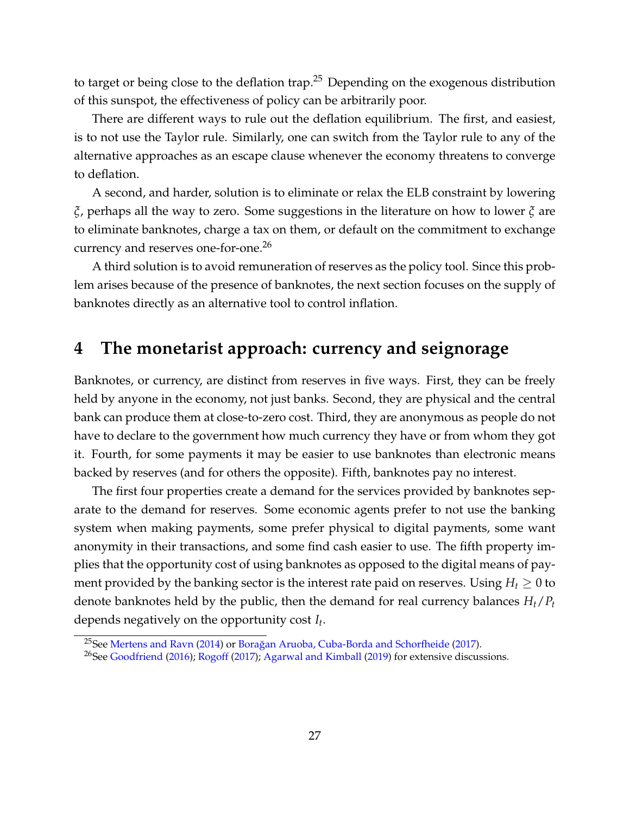to target or being close to the deflation trap.<sup>[25](#page-27-1)</sup> Depending on the exogenous distribution of this sunspot, the effectiveness of policy can be arbitrarily poor.

There are different ways to rule out the deflation equilibrium. The first, and easiest, is to not use the Taylor rule. Similarly, one can switch from the Taylor rule to any of the alternative approaches as an escape clause whenever the economy threatens to converge to deflation.

A second, and harder, solution is to eliminate or relax the ELB constraint by lowering *ξ*, perhaps all the way to zero. Some suggestions in the literature on how to lower *ξ* are to eliminate banknotes, charge a tax on them, or default on the commitment to exchange currency and reserves one-for-one.<sup>[26](#page-27-2)</sup>

A third solution is to avoid remuneration of reserves as the policy tool. Since this problem arises because of the presence of banknotes, the next section focuses on the supply of banknotes directly as an alternative tool to control inflation.

## <span id="page-27-0"></span>**4 The monetarist approach: currency and seignorage**

Banknotes, or currency, are distinct from reserves in five ways. First, they can be freely held by anyone in the economy, not just banks. Second, they are physical and the central bank can produce them at close-to-zero cost. Third, they are anonymous as people do not have to declare to the government how much currency they have or from whom they got it. Fourth, for some payments it may be easier to use banknotes than electronic means backed by reserves (and for others the opposite). Fifth, banknotes pay no interest.

The first four properties create a demand for the services provided by banknotes separate to the demand for reserves. Some economic agents prefer to not use the banking system when making payments, some prefer physical to digital payments, some want anonymity in their transactions, and some find cash easier to use. The fifth property implies that the opportunity cost of using banknotes as opposed to the digital means of payment provided by the banking sector is the interest rate paid on reserves. Using  $H_t \geq 0$  to denote banknotes held by the public, then the demand for real currency balances *Ht*/*P<sup>t</sup>* depends negatively on the opportunity cost *I<sup>t</sup>* .

<span id="page-27-1"></span><sup>&</sup>lt;sup>25</sup>See [Mertens and Ravn](#page-60-11) [\(2014\)](#page-60-11) or Borağan Aruoba, Cuba-Borda and Schorfheide [\(2017\)](#page-57-5).

<span id="page-27-2"></span><sup>&</sup>lt;sup>26</sup>See [Goodfriend](#page-59-6) [\(2016\)](#page-59-6); [Rogoff](#page-61-6) [\(2017\)](#page-61-6); [Agarwal and Kimball](#page-56-6) [\(2019\)](#page-56-6) for extensive discussions.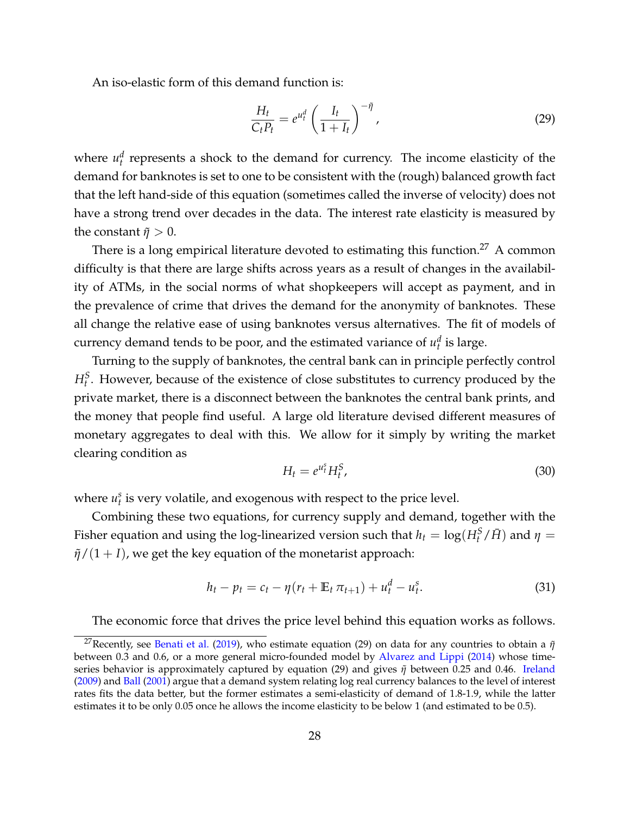An iso-elastic form of this demand function is:

<span id="page-28-1"></span>
$$
\frac{H_t}{C_t P_t} = e^{u_t^d} \left(\frac{I_t}{1+I_t}\right)^{-\tilde{\eta}},\tag{29}
$$

where  $u_t^d$  represents a shock to the demand for currency. The income elasticity of the demand for banknotes is set to one to be consistent with the (rough) balanced growth fact that the left hand-side of this equation (sometimes called the inverse of velocity) does not have a strong trend over decades in the data. The interest rate elasticity is measured by the constant  $\tilde{\eta} > 0$ .

There is a long empirical literature devoted to estimating this function.<sup>[27](#page-28-0)</sup> A common difficulty is that there are large shifts across years as a result of changes in the availability of ATMs, in the social norms of what shopkeepers will accept as payment, and in the prevalence of crime that drives the demand for the anonymity of banknotes. These all change the relative ease of using banknotes versus alternatives. The fit of models of currency demand tends to be poor, and the estimated variance of  $u_t^d$  is large.

Turning to the supply of banknotes, the central bank can in principle perfectly control  $H_t^S$ . However, because of the existence of close substitutes to currency produced by the private market, there is a disconnect between the banknotes the central bank prints, and the money that people find useful. A large old literature devised different measures of monetary aggregates to deal with this. We allow for it simply by writing the market clearing condition as

$$
H_t = e^{u_t^s} H_t^S, \tag{30}
$$

where  $u_t^s$  is very volatile, and exogenous with respect to the price level.

Combining these two equations, for currency supply and demand, together with the Fisher equation and using the log-linearized version such that  $h_t = \log(H_t^S/\bar{H})$  and  $\eta =$  $\frac{\tilde{\eta}}{(1 + I)}$ , we get the key equation of the monetarist approach:

<span id="page-28-2"></span>
$$
h_t - p_t = c_t - \eta (r_t + \mathbb{E}_t \, \pi_{t+1}) + u_t^d - u_t^s. \tag{31}
$$

The economic force that drives the price level behind this equation works as follows.

<span id="page-28-0"></span><sup>&</sup>lt;sup>27</sup>Recently, see [Benati et al.](#page-56-7) [\(2019\)](#page-56-7), who estimate equation [\(29\)](#page-28-1) on data for any countries to obtain a  $\tilde{\eta}$ between 0.3 and 0.6, or a more general micro-founded model by [Alvarez and Lippi](#page-56-8) [\(2014\)](#page-56-8) whose timeseries behavior is approximately captured by equation [\(29\)](#page-28-1) and gives *η*˜ between 0.25 and 0.46. [Ireland](#page-59-7) [\(2009\)](#page-59-7) and [Ball](#page-56-9) [\(2001\)](#page-56-9) argue that a demand system relating log real currency balances to the level of interest rates fits the data better, but the former estimates a semi-elasticity of demand of 1.8-1.9, while the latter estimates it to be only 0.05 once he allows the income elasticity to be below 1 (and estimated to be 0.5).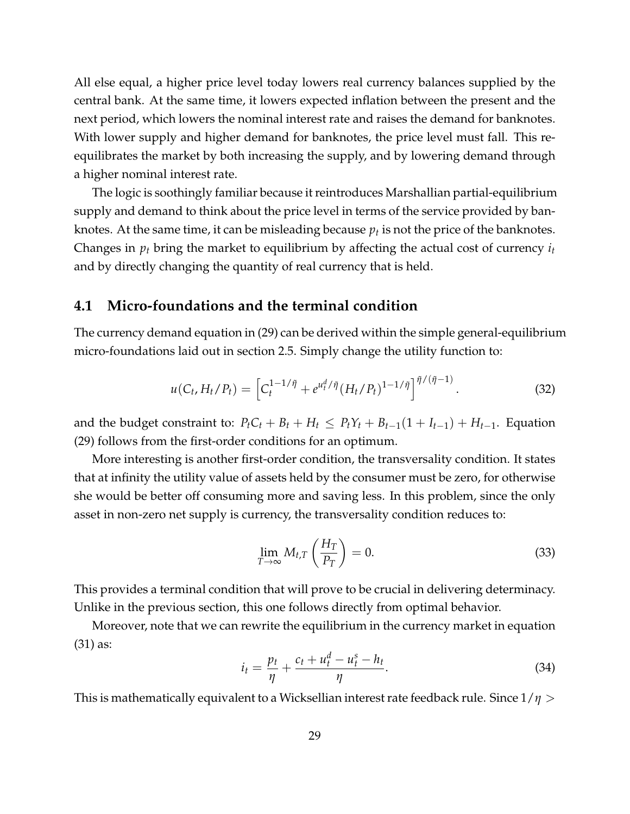All else equal, a higher price level today lowers real currency balances supplied by the central bank. At the same time, it lowers expected inflation between the present and the next period, which lowers the nominal interest rate and raises the demand for banknotes. With lower supply and higher demand for banknotes, the price level must fall. This reequilibrates the market by both increasing the supply, and by lowering demand through a higher nominal interest rate.

The logic is soothingly familiar because it reintroduces Marshallian partial-equilibrium supply and demand to think about the price level in terms of the service provided by banknotes. At the same time, it can be misleading because  $p_t$  is not the price of the banknotes. Changes in *p<sup>t</sup>* bring the market to equilibrium by affecting the actual cost of currency *i<sup>t</sup>* and by directly changing the quantity of real currency that is held.

### <span id="page-29-0"></span>**4.1 Micro-foundations and the terminal condition**

The currency demand equation in [\(29\)](#page-28-1) can be derived within the simple general-equilibrium micro-foundations laid out in section [2.5.](#page-9-1) Simply change the utility function to:

$$
u(C_t, H_t/P_t) = \left[C_t^{1-1/\tilde{\eta}} + e^{u_t^d/\tilde{\eta}} (H_t/P_t)^{1-1/\tilde{\eta}}\right]^{\tilde{\eta}/(\tilde{\eta}-1)}.
$$
 (32)

and the budget constraint to:  $P_t C_t + B_t + H_t \leq P_t Y_t + B_{t-1}(1 + I_{t-1}) + H_{t-1}$ . Equation [\(29\)](#page-28-1) follows from the first-order conditions for an optimum.

More interesting is another first-order condition, the transversality condition. It states that at infinity the utility value of assets held by the consumer must be zero, for otherwise she would be better off consuming more and saving less. In this problem, since the only asset in non-zero net supply is currency, the transversality condition reduces to:

<span id="page-29-1"></span>
$$
\lim_{T \to \infty} M_{t,T} \left( \frac{H_T}{P_T} \right) = 0. \tag{33}
$$

This provides a terminal condition that will prove to be crucial in delivering determinacy. Unlike in the previous section, this one follows directly from optimal behavior.

Moreover, note that we can rewrite the equilibrium in the currency market in equation [\(31\)](#page-28-2) as:

$$
i_t = \frac{p_t}{\eta} + \frac{c_t + u_t^d - u_t^s - h_t}{\eta}.
$$
\n(34)

This is mathematically equivalent to a Wicksellian interest rate feedback rule. Since 1/*η* >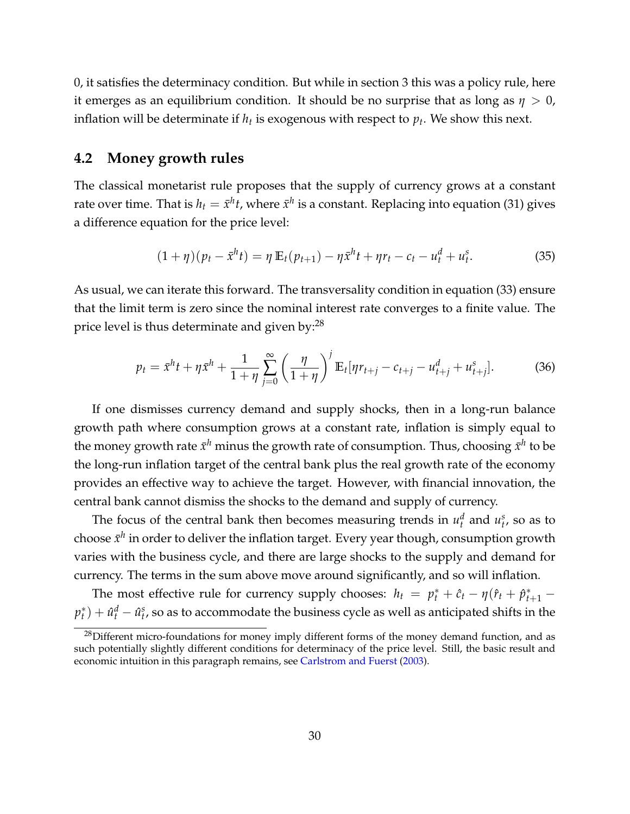0, it satisfies the determinacy condition. But while in section [3](#page-10-0) this was a policy rule, here it emerges as an equilibrium condition. It should be no surprise that as long as  $\eta > 0$ , inflation will be determinate if  $h_t$  is exogenous with respect to  $p_t.$  We show this next.

## <span id="page-30-0"></span>**4.2 Money growth rules**

The classical monetarist rule proposes that the supply of currency grows at a constant rate over time. That is  $h_t = \bar{x}^h t$ , where  $\bar{x}^h$  is a constant. Replacing into equation [\(31\)](#page-28-2) gives a difference equation for the price level:

$$
(1 + \eta)(p_t - \bar{x}^h t) = \eta \mathbb{E}_t(p_{t+1}) - \eta \bar{x}^h t + \eta r_t - c_t - u_t^d + u_t^s.
$$
 (35)

As usual, we can iterate this forward. The transversality condition in equation [\(33\)](#page-29-1) ensure that the limit term is zero since the nominal interest rate converges to a finite value. The price level is thus determinate and given by: $^{28}$  $^{28}$  $^{28}$ 

$$
p_t = \bar{x}^h t + \eta \bar{x}^h + \frac{1}{1 + \eta} \sum_{j=0}^{\infty} \left( \frac{\eta}{1 + \eta} \right)^j \mathbb{E}_t[\eta r_{t+j} - c_{t+j} - u_{t+j}^d + u_{t+j}^s]. \tag{36}
$$

If one dismisses currency demand and supply shocks, then in a long-run balance growth path where consumption grows at a constant rate, inflation is simply equal to the money growth rate  $\bar{x}^h$  minus the growth rate of consumption. Thus*,* choosing  $\bar{x}^h$  to be the long-run inflation target of the central bank plus the real growth rate of the economy provides an effective way to achieve the target. However, with financial innovation, the central bank cannot dismiss the shocks to the demand and supply of currency.

The focus of the central bank then becomes measuring trends in  $u_t^d$  and  $u_t^s$ , so as to choose  $\bar{x}^h$  in order to deliver the inflation target. Every year though, consumption growth varies with the business cycle, and there are large shocks to the supply and demand for currency. The terms in the sum above move around significantly, and so will inflation.

The most effective rule for currency supply chooses:  $h_t = p_t^* + \hat{c}_t - \eta(\hat{r}_t + \hat{p}_{t+1}^* - \hat{r}_t)$ *p* ∗  $\hat{u}_t^*$ ) +  $\hat{u}_t^d$  –  $\hat{u}_t^s$ , so as to accommodate the business cycle as well as anticipated shifts in the

<span id="page-30-1"></span> $^{28}$ Different micro-foundations for money imply different forms of the money demand function, and as such potentially slightly different conditions for determinacy of the price level. Still, the basic result and economic intuition in this paragraph remains, see [Carlstrom and Fuerst](#page-57-6) [\(2003\)](#page-57-6).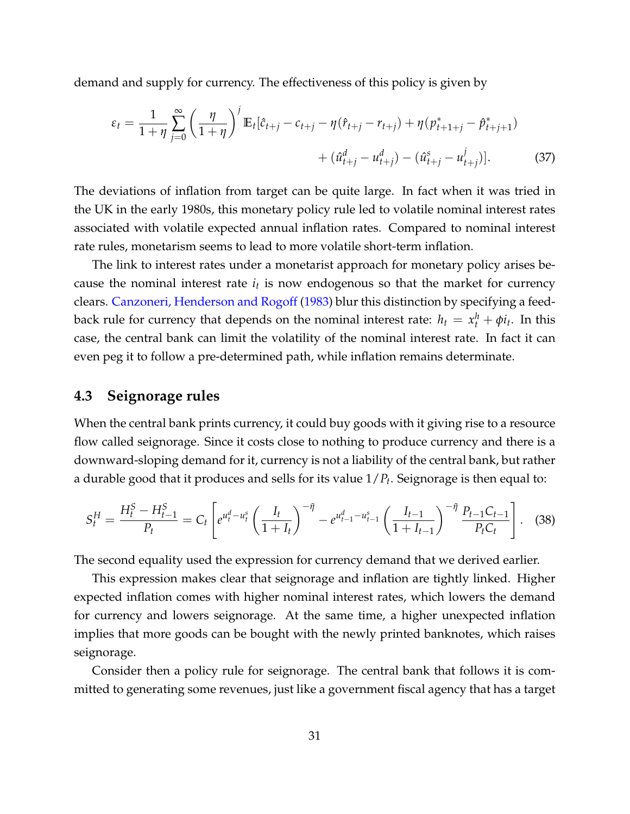demand and supply for currency. The effectiveness of this policy is given by

$$
\varepsilon_{t} = \frac{1}{1+\eta} \sum_{j=0}^{\infty} \left(\frac{\eta}{1+\eta}\right)^{j} \mathbb{E}_{t} [\hat{c}_{t+j} - c_{t+j} - \eta (\hat{r}_{t+j} - r_{t+j}) + \eta (p_{t+1+j}^{*} - \hat{p}_{t+j+1}^{*}) + (\hat{u}_{t+j}^{d} - u_{t+j}^{d}) - (\hat{u}_{t+j}^{s} - u_{t+j}^{j})].
$$
 (37)

The deviations of inflation from target can be quite large. In fact when it was tried in the UK in the early 1980s, this monetary policy rule led to volatile nominal interest rates associated with volatile expected annual inflation rates. Compared to nominal interest rate rules, monetarism seems to lead to more volatile short-term inflation.

The link to interest rates under a monetarist approach for monetary policy arises because the nominal interest rate *i<sup>t</sup>* is now endogenous so that the market for currency clears. [Canzoneri, Henderson and Rogoff](#page-57-7) [\(1983\)](#page-57-7) blur this distinction by specifying a feedback rule for currency that depends on the nominal interest rate:  $h_t = x_t^h + \phi i_t$ . In this case, the central bank can limit the volatility of the nominal interest rate. In fact it can even peg it to follow a pre-determined path, while inflation remains determinate.

## <span id="page-31-0"></span>**4.3 Seignorage rules**

When the central bank prints currency, it could buy goods with it giving rise to a resource flow called seignorage. Since it costs close to nothing to produce currency and there is a downward-sloping demand for it, currency is not a liability of the central bank, but rather a durable good that it produces and sells for its value 1/*P<sup>t</sup>* . Seignorage is then equal to:

<span id="page-31-1"></span>
$$
S_t^H = \frac{H_t^S - H_{t-1}^S}{P_t} = C_t \left[ e^{u_t^d - u_t^s} \left( \frac{I_t}{1 + I_t} \right)^{-\tilde{\eta}} - e^{u_{t-1}^d - u_{t-1}^s} \left( \frac{I_{t-1}}{1 + I_{t-1}} \right)^{-\tilde{\eta}} \frac{P_{t-1} C_{t-1}}{P_t C_t} \right].
$$
 (38)

The second equality used the expression for currency demand that we derived earlier.

This expression makes clear that seignorage and inflation are tightly linked. Higher expected inflation comes with higher nominal interest rates, which lowers the demand for currency and lowers seignorage. At the same time, a higher unexpected inflation implies that more goods can be bought with the newly printed banknotes, which raises seignorage.

Consider then a policy rule for seignorage. The central bank that follows it is committed to generating some revenues, just like a government fiscal agency that has a target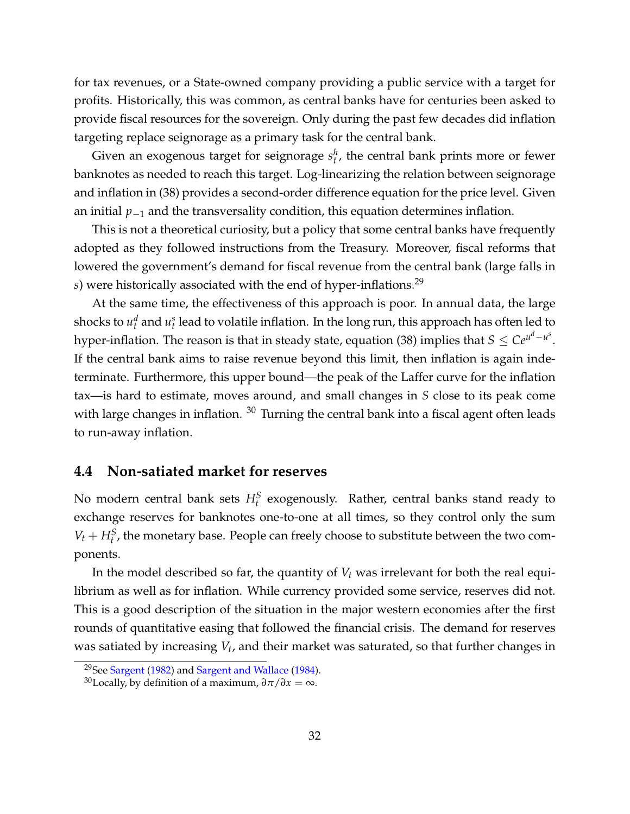for tax revenues, or a State-owned company providing a public service with a target for profits. Historically, this was common, as central banks have for centuries been asked to provide fiscal resources for the sovereign. Only during the past few decades did inflation targeting replace seignorage as a primary task for the central bank.

Given an exogenous target for seignorage  $s_t^h$ , the central bank prints more or fewer banknotes as needed to reach this target. Log-linearizing the relation between seignorage and inflation in [\(38\)](#page-31-1) provides a second-order difference equation for the price level. Given an initial *p*−<sup>1</sup> and the transversality condition, this equation determines inflation.

This is not a theoretical curiosity, but a policy that some central banks have frequently adopted as they followed instructions from the Treasury. Moreover, fiscal reforms that lowered the government's demand for fiscal revenue from the central bank (large falls in *s*) were historically associated with the end of hyper-inflations.<sup>[29](#page-32-1)</sup>

At the same time, the effectiveness of this approach is poor. In annual data, the large shocks to  $u_t^d$  and  $u_t^s$  lead to volatile inflation. In the long run, this approach has often led to hyper-inflation. The reason is that in steady state*,* equation [\(38\)](#page-31-1) implies that  $S \leq Ce^{\mu^d-u^s}.$ If the central bank aims to raise revenue beyond this limit, then inflation is again indeterminate. Furthermore, this upper bound—the peak of the Laffer curve for the inflation tax—is hard to estimate, moves around, and small changes in *S* close to its peak come with large changes in inflation. <sup>[30](#page-32-2)</sup> Turning the central bank into a fiscal agent often leads to run-away inflation.

### <span id="page-32-0"></span>**4.4 Non-satiated market for reserves**

No modern central bank sets  $H_t^S$  exogenously. Rather, central banks stand ready to exchange reserves for banknotes one-to-one at all times, so they control only the sum  $V_t + H_t^S$ , the monetary base. People can freely choose to substitute between the two components.

In the model described so far, the quantity of *V<sup>t</sup>* was irrelevant for both the real equilibrium as well as for inflation. While currency provided some service, reserves did not. This is a good description of the situation in the major western economies after the first rounds of quantitative easing that followed the financial crisis. The demand for reserves was satiated by increasing *V<sup>t</sup>* , and their market was saturated, so that further changes in

<span id="page-32-1"></span><sup>&</sup>lt;sup>29</sup>See [Sargent](#page-61-7) [\(1982\)](#page-61-7) and [Sargent and Wallace](#page-61-8) [\(1984\)](#page-61-8).

<span id="page-32-2"></span><sup>&</sup>lt;sup>30</sup>Locally, by definition of a maximum,  $\frac{\partial \pi}{\partial x} = \infty$ .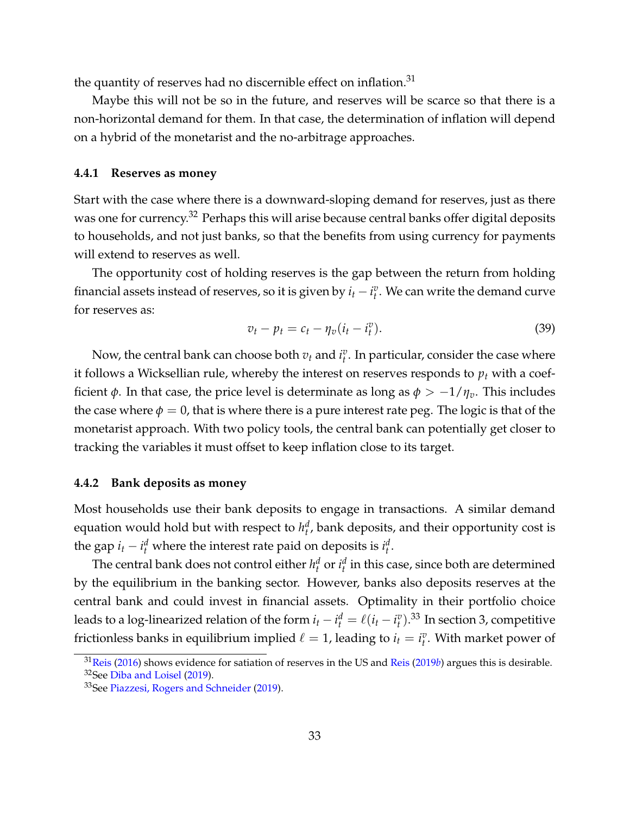the quantity of reserves had no discernible effect on inflation.<sup>[31](#page-33-2)</sup>

Maybe this will not be so in the future, and reserves will be scarce so that there is a non-horizontal demand for them. In that case, the determination of inflation will depend on a hybrid of the monetarist and the no-arbitrage approaches.

#### <span id="page-33-0"></span>**4.4.1 Reserves as money**

Start with the case where there is a downward-sloping demand for reserves, just as there was one for currency.<sup>[32](#page-33-3)</sup> Perhaps this will arise because central banks offer digital deposits to households, and not just banks, so that the benefits from using currency for payments will extend to reserves as well.

The opportunity cost of holding reserves is the gap between the return from holding financial assets instead of reserves, so it is given by  $i_t - i_t^v$ . We can write the demand curve for reserves as:

$$
v_t - p_t = c_t - \eta_v (i_t - i_t^v). \tag{39}
$$

Now, the central bank can choose both  $v_t$  and  $i_t^v$ . In particular, consider the case where it follows a Wicksellian rule, whereby the interest on reserves responds to *p<sup>t</sup>* with a coefficient *φ*. In that case, the price level is determinate as long as  $φ$  >  $-1/η<sub>v</sub>$ . This includes the case where  $\phi = 0$ , that is where there is a pure interest rate peg. The logic is that of the monetarist approach. With two policy tools, the central bank can potentially get closer to tracking the variables it must offset to keep inflation close to its target.

#### <span id="page-33-1"></span>**4.4.2 Bank deposits as money**

Most households use their bank deposits to engage in transactions. A similar demand equation would hold but with respect to  $h_t^d$ , bank deposits, and their opportunity cost is the gap  $i_t - i_t^d$  where the interest rate paid on deposits is  $i_t^d$ .

The central bank does not control either  $h_t^d$  or  $i_t^d$  in this case, since both are determined by the equilibrium in the banking sector. However, banks also deposits reserves at the central bank and could invest in financial assets. Optimality in their portfolio choice leads to a log-linearized relation of the form  $i_t - i_t^d = \ell(i_t - i_t^v)$ .<sup>[33](#page-33-4)</sup> In section [3,](#page-10-0) competitive frictionless banks in equilibrium implied  $\ell = 1$ , leading to  $i_t = i_t^v$ . With market power of

<span id="page-33-3"></span><span id="page-33-2"></span><sup>31</sup>[Reis](#page-60-12) [\(2016\)](#page-60-12) shows evidence for satiation of reserves in the US and [Reis](#page-61-9) [\(2019](#page-61-9)*b*) argues this is desirable. <sup>32</sup>See [Diba and Loisel](#page-58-5) [\(2019\)](#page-58-5).

<span id="page-33-4"></span><sup>&</sup>lt;sup>33</sup>See [Piazzesi, Rogers and Schneider](#page-60-13) [\(2019\)](#page-60-13).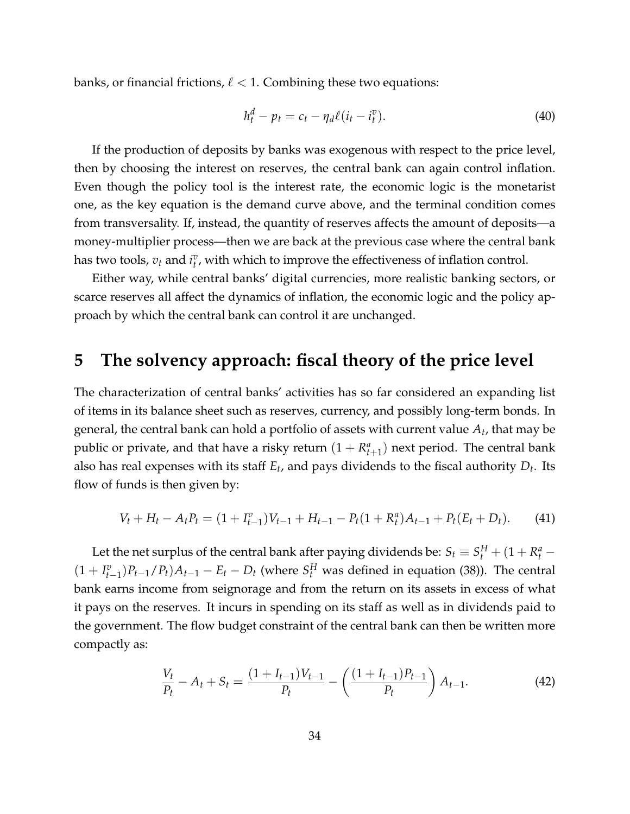banks, or financial frictions,  $\ell < 1$ . Combining these two equations:

$$
h_t^d - p_t = c_t - \eta_d \ell (i_t - i_t^v). \tag{40}
$$

If the production of deposits by banks was exogenous with respect to the price level, then by choosing the interest on reserves, the central bank can again control inflation. Even though the policy tool is the interest rate, the economic logic is the monetarist one, as the key equation is the demand curve above, and the terminal condition comes from transversality. If, instead, the quantity of reserves affects the amount of deposits—a money-multiplier process—then we are back at the previous case where the central bank has two tools,  $v_t$  and  $i_t^v$ , with which to improve the effectiveness of inflation control.

Either way, while central banks' digital currencies, more realistic banking sectors, or scarce reserves all affect the dynamics of inflation, the economic logic and the policy approach by which the central bank can control it are unchanged.

## <span id="page-34-0"></span>**5 The solvency approach: fiscal theory of the price level**

The characterization of central banks' activities has so far considered an expanding list of items in its balance sheet such as reserves, currency, and possibly long-term bonds. In general, the central bank can hold a portfolio of assets with current value *A<sup>t</sup>* , that may be public or private, and that have a risky return  $(1 + R_{t+1}^a)$  next period. The central bank also has real expenses with its staff *E<sup>t</sup>* , and pays dividends to the fiscal authority *D<sup>t</sup>* . Its flow of funds is then given by:

$$
V_t + H_t - A_t P_t = (1 + I_{t-1}^v)V_{t-1} + H_{t-1} - P_t(1 + R_t^a)A_{t-1} + P_t(E_t + D_t).
$$
 (41)

Let the net surplus of the central bank after paying dividends be:  $S_t \equiv S_t^H + (1 + R_t^a - t)$  $(1 + I_{t-1}^v)P_{t-1}/P_t$ ) $A_{t-1} - E_t - D_t$  (where  $S_t^H$  was defined in equation [\(38\)](#page-31-1)). The central bank earns income from seignorage and from the return on its assets in excess of what it pays on the reserves. It incurs in spending on its staff as well as in dividends paid to the government. The flow budget constraint of the central bank can then be written more compactly as:

<span id="page-34-1"></span>
$$
\frac{V_t}{P_t} - A_t + S_t = \frac{(1 + I_{t-1})V_{t-1}}{P_t} - \left(\frac{(1 + I_{t-1})P_{t-1}}{P_t}\right)A_{t-1}.
$$
\n(42)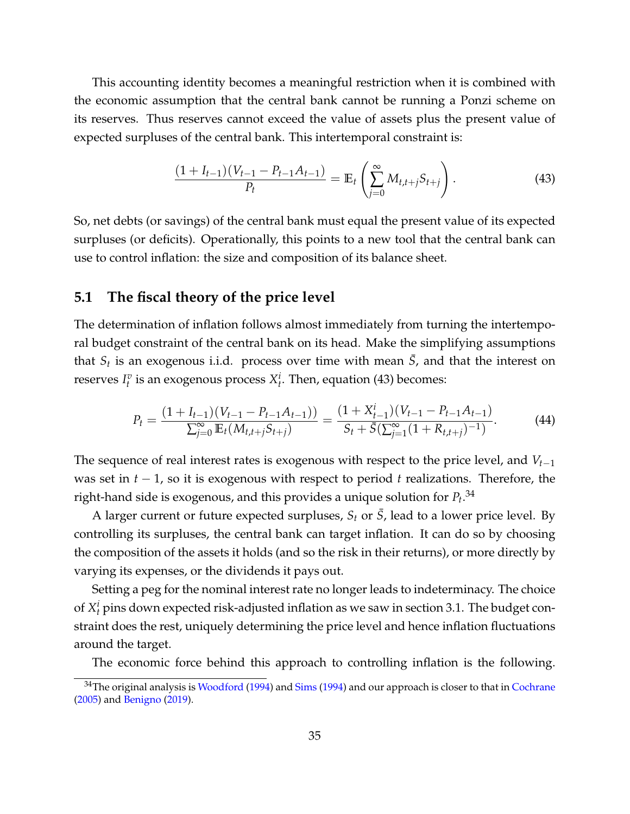This accounting identity becomes a meaningful restriction when it is combined with the economic assumption that the central bank cannot be running a Ponzi scheme on its reserves. Thus reserves cannot exceed the value of assets plus the present value of expected surpluses of the central bank. This intertemporal constraint is:

<span id="page-35-1"></span>
$$
\frac{(1+I_{t-1})(V_{t-1}-P_{t-1}A_{t-1})}{P_t} = \mathbb{E}_t \left( \sum_{j=0}^{\infty} M_{t,t+j} S_{t+j} \right).
$$
\n(43)

So, net debts (or savings) of the central bank must equal the present value of its expected surpluses (or deficits). Operationally, this points to a new tool that the central bank can use to control inflation: the size and composition of its balance sheet.

## <span id="page-35-0"></span>**5.1 The fiscal theory of the price level**

The determination of inflation follows almost immediately from turning the intertemporal budget constraint of the central bank on its head. Make the simplifying assumptions that  $S_t$  is an exogenous i.i.d. process over time with mean  $\bar{S}$ , and that the interest on reserves  $I_t^v$  is an exogenous process  $X_t^i$ . Then, equation [\(43\)](#page-35-1) becomes:

$$
P_t = \frac{(1 + I_{t-1})(V_{t-1} - P_{t-1}A_{t-1}))}{\sum_{j=0}^{\infty} \mathbb{E}_t(M_{t,t+j}S_{t+j})} = \frac{(1 + X_{t-1}^i)(V_{t-1} - P_{t-1}A_{t-1})}{S_t + \bar{S}(\sum_{j=1}^{\infty} (1 + R_{t,t+j})^{-1})}.
$$
(44)

The sequence of real interest rates is exogenous with respect to the price level, and *Vt*−<sup>1</sup> was set in *t* − 1, so it is exogenous with respect to period *t* realizations. Therefore, the right-hand side is exogenous*,* and this provides a unique solution for  $P_t.^{34}$  $P_t.^{34}$  $P_t.^{34}$ 

A larger current or future expected surpluses,  $S_t$  or  $\overline{S}$ , lead to a lower price level. By controlling its surpluses, the central bank can target inflation. It can do so by choosing the composition of the assets it holds (and so the risk in their returns), or more directly by varying its expenses, or the dividends it pays out.

Setting a peg for the nominal interest rate no longer leads to indeterminacy. The choice of  $X_t^i$  pins down expected risk-adjusted inflation as we saw in section [3.1.](#page-11-0) The budget constraint does the rest, uniquely determining the price level and hence inflation fluctuations around the target.

The economic force behind this approach to controlling inflation is the following.

<span id="page-35-2"></span> $34$ The original analysis is [Woodford](#page-61-10) [\(1994\)](#page-61-11) and [Sims](#page-61-11) (1994) and our approach is closer to that in [Cochrane](#page-58-6) [\(2005\)](#page-58-6) and [Benigno](#page-56-10) [\(2019\)](#page-56-10).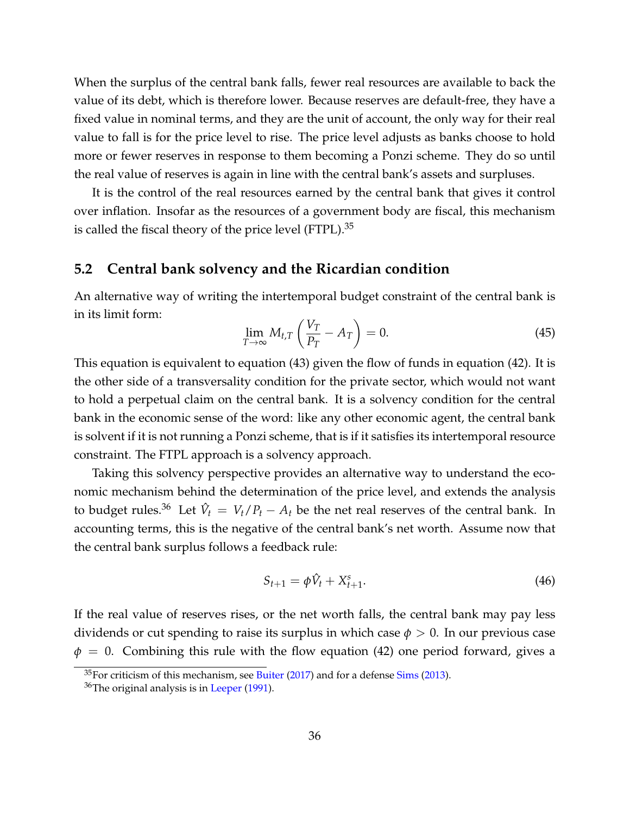When the surplus of the central bank falls, fewer real resources are available to back the value of its debt, which is therefore lower. Because reserves are default-free, they have a fixed value in nominal terms, and they are the unit of account, the only way for their real value to fall is for the price level to rise. The price level adjusts as banks choose to hold more or fewer reserves in response to them becoming a Ponzi scheme. They do so until the real value of reserves is again in line with the central bank's assets and surpluses.

It is the control of the real resources earned by the central bank that gives it control over inflation. Insofar as the resources of a government body are fiscal, this mechanism is called the fiscal theory of the price level  $(FTPL).^{35}$  $(FTPL).^{35}$  $(FTPL).^{35}$ 

#### <span id="page-36-0"></span>**5.2 Central bank solvency and the Ricardian condition**

An alternative way of writing the intertemporal budget constraint of the central bank is in its limit form:

$$
\lim_{T \to \infty} M_{t,T} \left( \frac{V_T}{P_T} - A_T \right) = 0. \tag{45}
$$

This equation is equivalent to equation [\(43\)](#page-35-1) given the flow of funds in equation [\(42\)](#page-34-1). It is the other side of a transversality condition for the private sector, which would not want to hold a perpetual claim on the central bank. It is a solvency condition for the central bank in the economic sense of the word: like any other economic agent, the central bank is solvent if it is not running a Ponzi scheme, that is if it satisfies its intertemporal resource constraint. The FTPL approach is a solvency approach.

Taking this solvency perspective provides an alternative way to understand the economic mechanism behind the determination of the price level, and extends the analysis to budget rules.<sup>[36](#page-36-2)</sup> Let  $\hat{V}_t = V_t/P_t - A_t$  be the net real reserves of the central bank. In accounting terms, this is the negative of the central bank's net worth. Assume now that the central bank surplus follows a feedback rule:

$$
S_{t+1} = \phi \hat{V}_t + X_{t+1}^s.
$$
 (46)

If the real value of reserves rises, or the net worth falls, the central bank may pay less dividends or cut spending to raise its surplus in which case  $\phi > 0$ . In our previous case  $\phi = 0$ . Combining this rule with the flow equation [\(42\)](#page-34-1) one period forward, gives a

<span id="page-36-1"></span> $35$ For criticism of this mechanism, see [Buiter](#page-57-8) [\(2017\)](#page-57-8) and for a defense [Sims](#page-61-12) [\(2013\)](#page-61-12).

<span id="page-36-2"></span><sup>&</sup>lt;sup>36</sup>The original analysis is in [Leeper](#page-59-8) [\(1991\)](#page-59-8).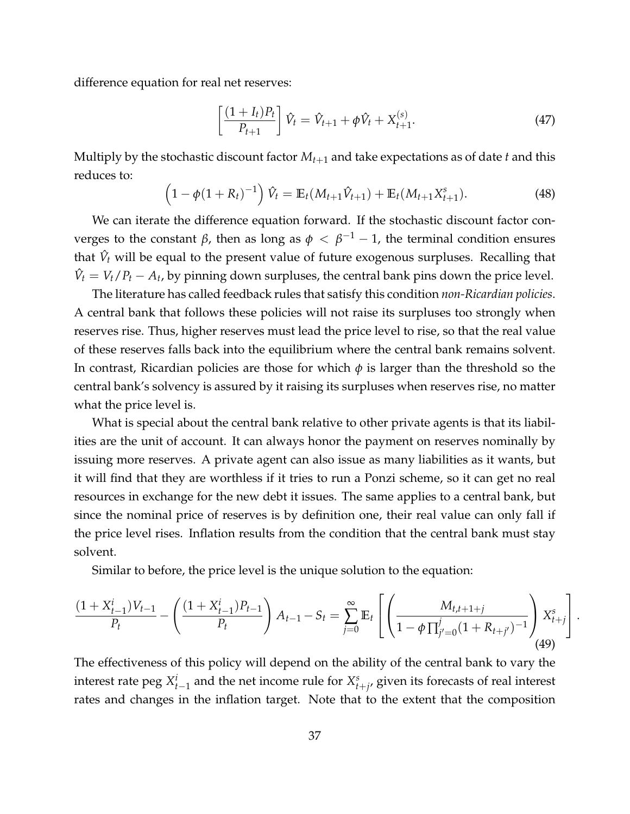difference equation for real net reserves:

$$
\left[\frac{(1+I_t)P_t}{P_{t+1}}\right]\hat{V}_t = \hat{V}_{t+1} + \phi\hat{V}_t + X_{t+1}^{(s)}.
$$
\n(47)

Multiply by the stochastic discount factor *Mt*+<sup>1</sup> and take expectations as of date *t* and this reduces to:

$$
\left(1 - \phi(1 + R_t)^{-1}\right)\hat{V}_t = \mathbb{E}_t(M_{t+1}\hat{V}_{t+1}) + \mathbb{E}_t(M_{t+1}X_{t+1}^s).
$$
\n(48)

We can iterate the difference equation forward. If the stochastic discount factor converges to the constant *β,* then as long as  $\phi < \beta^{-1}-1$ , the terminal condition ensures that  $\hat{V}_t$  will be equal to the present value of future exogenous surpluses. Recalling that  $\hat{V}_t = V_t/P_t - A_t$ , by pinning down surpluses, the central bank pins down the price level.

The literature has called feedback rules that satisfy this condition *non-Ricardian policies*. A central bank that follows these policies will not raise its surpluses too strongly when reserves rise. Thus, higher reserves must lead the price level to rise, so that the real value of these reserves falls back into the equilibrium where the central bank remains solvent. In contrast, Ricardian policies are those for which *φ* is larger than the threshold so the central bank's solvency is assured by it raising its surpluses when reserves rise, no matter what the price level is.

What is special about the central bank relative to other private agents is that its liabilities are the unit of account. It can always honor the payment on reserves nominally by issuing more reserves. A private agent can also issue as many liabilities as it wants, but it will find that they are worthless if it tries to run a Ponzi scheme, so it can get no real resources in exchange for the new debt it issues. The same applies to a central bank, but since the nominal price of reserves is by definition one, their real value can only fall if the price level rises. Inflation results from the condition that the central bank must stay solvent.

Similar to before, the price level is the unique solution to the equation:

$$
\frac{(1+X_{t-1}^i)V_{t-1}}{P_t} - \left(\frac{(1+X_{t-1}^i)P_{t-1}}{P_t}\right)A_{t-1} - S_t = \sum_{j=0}^{\infty} \mathbb{E}_t \left[ \left( \frac{M_{t,t+1+j}}{1-\phi \prod_{j'=0}^j (1+R_{t+j'})^{-1}} \right) X_{t+j}^s \right].
$$
\n(49)

The effectiveness of this policy will depend on the ability of the central bank to vary the interest rate peg  $X_{t-1}^i$  and the net income rule for  $X_{t+j}^s$  given its forecasts of real interest rates and changes in the inflation target. Note that to the extent that the composition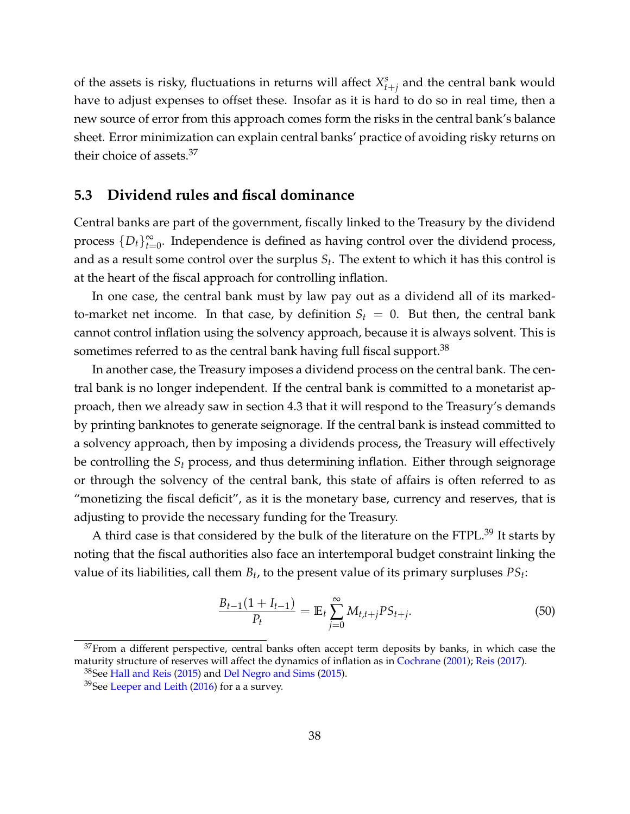of the assets is risky, fluctuations in returns will affect  $X_{t+j}^s$  and the central bank would have to adjust expenses to offset these. Insofar as it is hard to do so in real time, then a new source of error from this approach comes form the risks in the central bank's balance sheet. Error minimization can explain central banks' practice of avoiding risky returns on their choice of assets.<sup>[37](#page-38-1)</sup>

### <span id="page-38-0"></span>**5.3 Dividend rules and fiscal dominance**

Central banks are part of the government, fiscally linked to the Treasury by the dividend process  $\{D_t\}_{t=0}^{\infty}$ . Independence is defined as having control over the dividend process, and as a result some control over the surplus *S<sup>t</sup>* . The extent to which it has this control is at the heart of the fiscal approach for controlling inflation.

In one case, the central bank must by law pay out as a dividend all of its markedto-market net income. In that case, by definition  $S_t = 0$ . But then, the central bank cannot control inflation using the solvency approach, because it is always solvent. This is sometimes referred to as the central bank having full fiscal support.<sup>[38](#page-38-2)</sup>

In another case, the Treasury imposes a dividend process on the central bank. The central bank is no longer independent. If the central bank is committed to a monetarist approach, then we already saw in section [4.3](#page-31-0) that it will respond to the Treasury's demands by printing banknotes to generate seignorage. If the central bank is instead committed to a solvency approach, then by imposing a dividends process, the Treasury will effectively be controlling the *S<sup>t</sup>* process, and thus determining inflation. Either through seignorage or through the solvency of the central bank, this state of affairs is often referred to as "monetizing the fiscal deficit", as it is the monetary base, currency and reserves, that is adjusting to provide the necessary funding for the Treasury.

A third case is that considered by the bulk of the literature on the FTPL.<sup>[39](#page-38-3)</sup> It starts by noting that the fiscal authorities also face an intertemporal budget constraint linking the value of its liabilities, call them  $B_t$ , to the present value of its primary surpluses  $PS_t$ :

<span id="page-38-4"></span>
$$
\frac{B_{t-1}(1+I_{t-1})}{P_t} = \mathbb{E}_t \sum_{j=0}^{\infty} M_{t,t+j} P S_{t+j}.
$$
 (50)

<span id="page-38-1"></span> $37$ From a different perspective, central banks often accept term deposits by banks, in which case the maturity structure of reserves will affect the dynamics of inflation as in [Cochrane](#page-57-9) [\(2001\)](#page-57-9); [Reis](#page-61-13) [\(2017\)](#page-61-13).

<span id="page-38-2"></span> $38$ See [Hall and Reis](#page-59-9) [\(2015\)](#page-58-7) and [Del Negro and Sims](#page-58-7) (2015).

<span id="page-38-3"></span><sup>&</sup>lt;sup>39</sup>See [Leeper and Leith](#page-59-10) [\(2016\)](#page-59-10) for a a survey.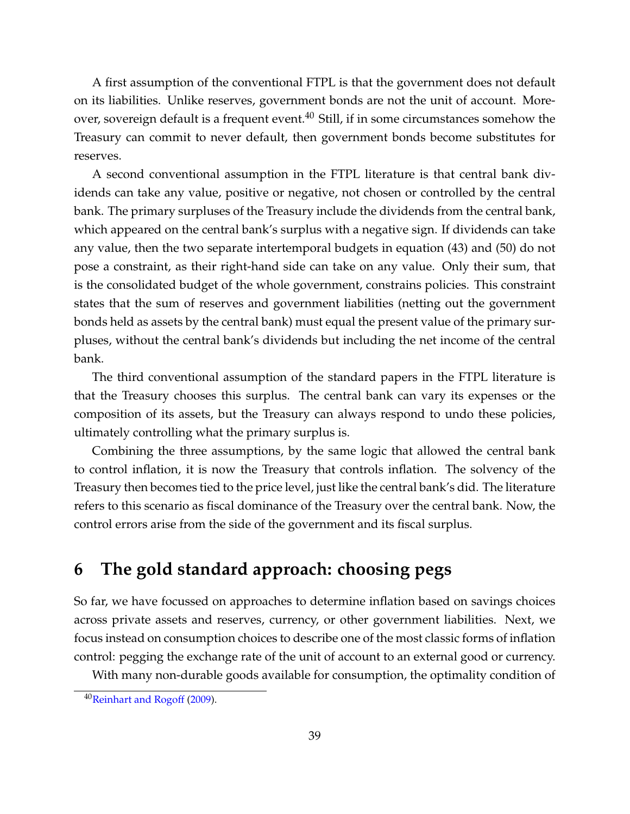A first assumption of the conventional FTPL is that the government does not default on its liabilities. Unlike reserves, government bonds are not the unit of account. More-over, sovereign default is a frequent event.<sup>[40](#page-39-1)</sup> Still, if in some circumstances somehow the Treasury can commit to never default, then government bonds become substitutes for reserves.

A second conventional assumption in the FTPL literature is that central bank dividends can take any value, positive or negative, not chosen or controlled by the central bank. The primary surpluses of the Treasury include the dividends from the central bank, which appeared on the central bank's surplus with a negative sign. If dividends can take any value, then the two separate intertemporal budgets in equation [\(43\)](#page-35-1) and [\(50\)](#page-38-4) do not pose a constraint, as their right-hand side can take on any value. Only their sum, that is the consolidated budget of the whole government, constrains policies. This constraint states that the sum of reserves and government liabilities (netting out the government bonds held as assets by the central bank) must equal the present value of the primary surpluses, without the central bank's dividends but including the net income of the central bank.

The third conventional assumption of the standard papers in the FTPL literature is that the Treasury chooses this surplus. The central bank can vary its expenses or the composition of its assets, but the Treasury can always respond to undo these policies, ultimately controlling what the primary surplus is.

Combining the three assumptions, by the same logic that allowed the central bank to control inflation, it is now the Treasury that controls inflation. The solvency of the Treasury then becomes tied to the price level, just like the central bank's did. The literature refers to this scenario as fiscal dominance of the Treasury over the central bank. Now, the control errors arise from the side of the government and its fiscal surplus.

## <span id="page-39-0"></span>**6 The gold standard approach: choosing pegs**

So far, we have focussed on approaches to determine inflation based on savings choices across private assets and reserves, currency, or other government liabilities. Next, we focus instead on consumption choices to describe one of the most classic forms of inflation control: pegging the exchange rate of the unit of account to an external good or currency.

With many non-durable goods available for consumption, the optimality condition of

<span id="page-39-1"></span><sup>&</sup>lt;sup>40</sup>[Reinhart and Rogoff](#page-60-14) [\(2009\)](#page-60-14).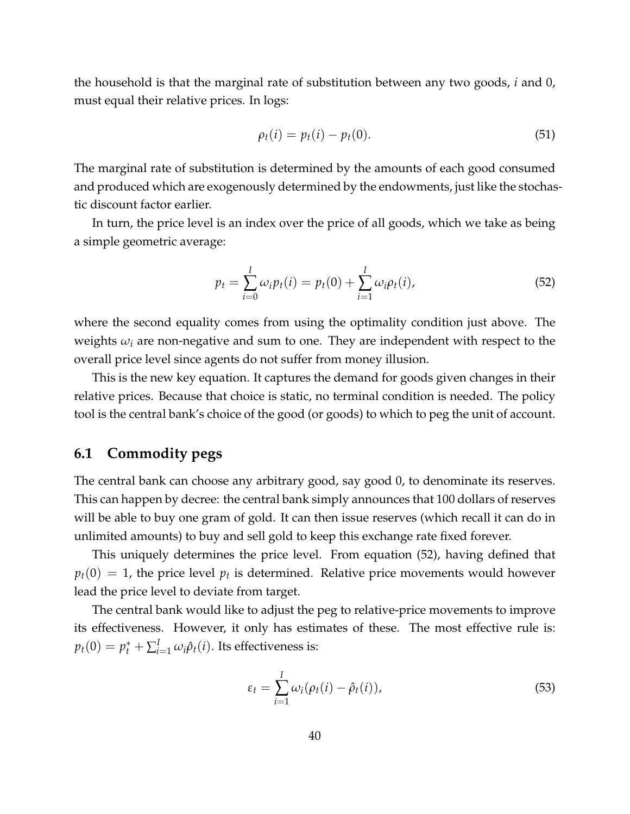the household is that the marginal rate of substitution between any two goods, *i* and 0, must equal their relative prices. In logs:

$$
\rho_t(i) = p_t(i) - p_t(0). \tag{51}
$$

The marginal rate of substitution is determined by the amounts of each good consumed and produced which are exogenously determined by the endowments, just like the stochastic discount factor earlier.

In turn, the price level is an index over the price of all goods, which we take as being a simple geometric average:

<span id="page-40-1"></span>
$$
p_t = \sum_{i=0}^{I} \omega_i p_t(i) = p_t(0) + \sum_{i=1}^{I} \omega_i \rho_t(i),
$$
\n(52)

where the second equality comes from using the optimality condition just above. The weights *ω<sup>i</sup>* are non-negative and sum to one. They are independent with respect to the overall price level since agents do not suffer from money illusion.

This is the new key equation. It captures the demand for goods given changes in their relative prices. Because that choice is static, no terminal condition is needed. The policy tool is the central bank's choice of the good (or goods) to which to peg the unit of account.

## <span id="page-40-0"></span>**6.1 Commodity pegs**

The central bank can choose any arbitrary good, say good 0, to denominate its reserves. This can happen by decree: the central bank simply announces that 100 dollars of reserves will be able to buy one gram of gold. It can then issue reserves (which recall it can do in unlimited amounts) to buy and sell gold to keep this exchange rate fixed forever.

This uniquely determines the price level. From equation [\(52\)](#page-40-1), having defined that  $p_t(0) = 1$ , the price level  $p_t$  is determined. Relative price movements would however lead the price level to deviate from target.

The central bank would like to adjust the peg to relative-price movements to improve its effectiveness. However, it only has estimates of these. The most effective rule is:  $p_t(0) = p_t^* + \sum_{i=1}^I \omega_i \hat{\rho}_t(i)$ . Its effectiveness is:

$$
\varepsilon_t = \sum_{i=1}^I \omega_i (\rho_t(i) - \hat{\rho}_t(i)), \qquad (53)
$$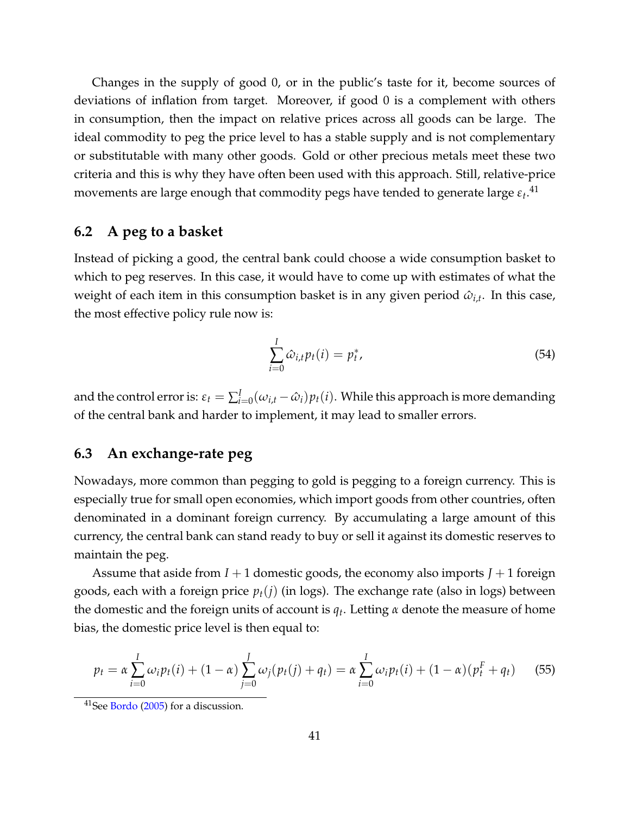Changes in the supply of good 0, or in the public's taste for it, become sources of deviations of inflation from target. Moreover, if good 0 is a complement with others in consumption, then the impact on relative prices across all goods can be large. The ideal commodity to peg the price level to has a stable supply and is not complementary or substitutable with many other goods. Gold or other precious metals meet these two criteria and this is why they have often been used with this approach. Still, relative-price movements are large enough that commodity pegs have tended to generate large  $\varepsilon_t. ^{41}$  $\varepsilon_t. ^{41}$  $\varepsilon_t. ^{41}$ 

### <span id="page-41-0"></span>**6.2 A peg to a basket**

Instead of picking a good, the central bank could choose a wide consumption basket to which to peg reserves. In this case, it would have to come up with estimates of what the weight of each item in this consumption basket is in any given period  $\hat{\omega}_{i,t}$ . In this case, the most effective policy rule now is:

$$
\sum_{i=0}^{I} \hat{\omega}_{i,t} p_t(i) = p_t^*,
$$
\n(54)

and the control error is:  $\varepsilon_t = \sum_{i=0}^I (\omega_{i,t} - \hat{\omega}_i) p_t(i)$ . While this approach is more demanding of the central bank and harder to implement, it may lead to smaller errors.

## <span id="page-41-1"></span>**6.3 An exchange-rate peg**

Nowadays, more common than pegging to gold is pegging to a foreign currency. This is especially true for small open economies, which import goods from other countries, often denominated in a dominant foreign currency. By accumulating a large amount of this currency, the central bank can stand ready to buy or sell it against its domestic reserves to maintain the peg.

Assume that aside from  $I + 1$  domestic goods, the economy also imports  $J + 1$  foreign goods, each with a foreign price  $p_t(j)$  (in logs). The exchange rate (also in logs) between the domestic and the foreign units of account is *q<sup>t</sup>* . Letting *α* denote the measure of home bias, the domestic price level is then equal to:

<span id="page-41-3"></span>
$$
p_t = \alpha \sum_{i=0}^{I} \omega_i p_t(i) + (1 - \alpha) \sum_{j=0}^{J} \omega_j (p_t(j) + q_t) = \alpha \sum_{i=0}^{I} \omega_i p_t(i) + (1 - \alpha) (p_t^F + q_t)
$$
(55)

<span id="page-41-2"></span><sup>41</sup>See [Bordo](#page-57-10) [\(2005\)](#page-57-10) for a discussion.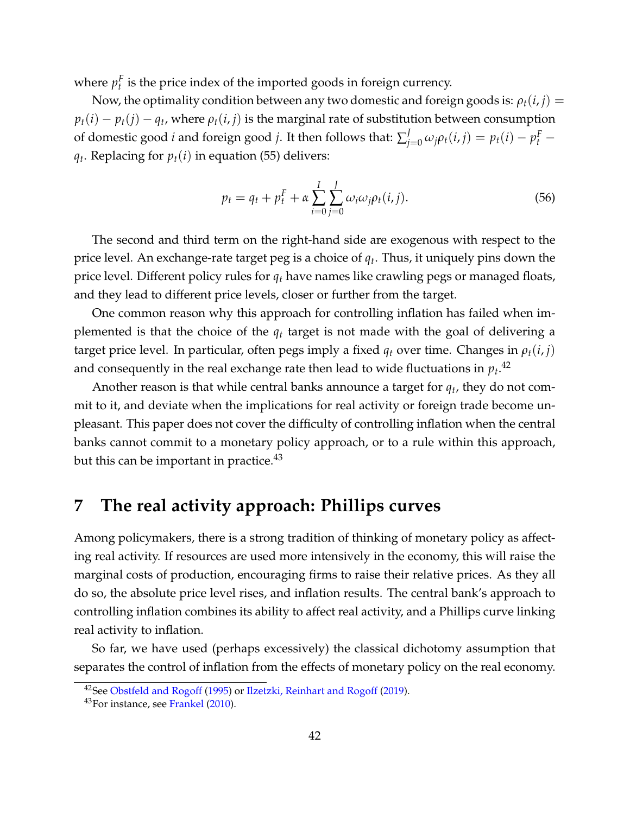where  $p_t^F$  is the price index of the imported goods in foreign currency.

Now, the optimality condition between any two domestic and foreign goods is:  $\rho_t(i, j)$  =  $p_t(i) - p_t(j) - q_t$ , where  $\rho_t(i,j)$  is the marginal rate of substitution between consumption of domestic good *i* and foreign good *j*. It then follows that:  $\sum_{j=0}^{J} \omega_j \rho_t(i,j) = p_t(i) - p_t^F - p_t^F(i)$  $q_t$ . Replacing for  $p_t(i)$  in equation [\(55\)](#page-41-3) delivers:

$$
p_t = q_t + p_t^F + \alpha \sum_{i=0}^{I} \sum_{j=0}^{J} \omega_i \omega_j \rho_t(i, j).
$$
 (56)

The second and third term on the right-hand side are exogenous with respect to the price level. An exchange-rate target peg is a choice of *q<sup>t</sup>* . Thus, it uniquely pins down the price level. Different policy rules for *q<sup>t</sup>* have names like crawling pegs or managed floats, and they lead to different price levels, closer or further from the target.

One common reason why this approach for controlling inflation has failed when implemented is that the choice of the *q<sup>t</sup>* target is not made with the goal of delivering a target price level. In particular, often pegs imply a fixed  $q_t$  over time. Changes in  $\rho_t(i, j)$ and consequently in the real exchange rate then lead to wide fluctuations in  $p_t.^{42}$  $p_t.^{42}$  $p_t.^{42}$ 

Another reason is that while central banks announce a target for *q<sup>t</sup>* , they do not commit to it, and deviate when the implications for real activity or foreign trade become unpleasant. This paper does not cover the difficulty of controlling inflation when the central banks cannot commit to a monetary policy approach, or to a rule within this approach, but this can be important in practice. $43$ 

## <span id="page-42-0"></span>**7 The real activity approach: Phillips curves**

Among policymakers, there is a strong tradition of thinking of monetary policy as affecting real activity. If resources are used more intensively in the economy, this will raise the marginal costs of production, encouraging firms to raise their relative prices. As they all do so, the absolute price level rises, and inflation results. The central bank's approach to controlling inflation combines its ability to affect real activity, and a Phillips curve linking real activity to inflation.

So far, we have used (perhaps excessively) the classical dichotomy assumption that separates the control of inflation from the effects of monetary policy on the real economy.

<span id="page-42-1"></span><sup>&</sup>lt;sup>42</sup>See [Obstfeld and Rogoff](#page-60-15) [\(1995\)](#page-60-15) or [Ilzetzki, Reinhart and Rogoff](#page-59-11) [\(2019\)](#page-59-11).

<span id="page-42-2"></span><sup>&</sup>lt;sup>43</sup>For instance, see [Frankel](#page-59-12) [\(2010\)](#page-59-12).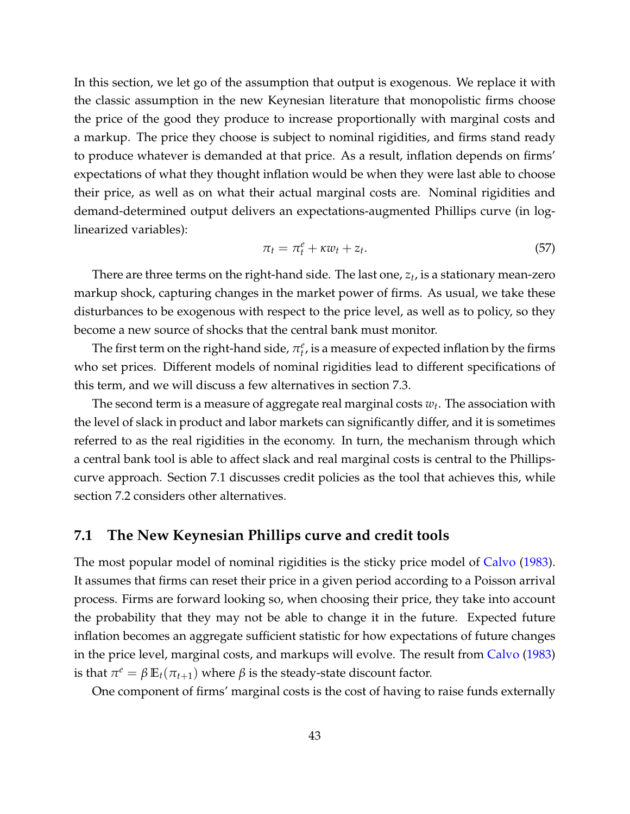In this section, we let go of the assumption that output is exogenous. We replace it with the classic assumption in the new Keynesian literature that monopolistic firms choose the price of the good they produce to increase proportionally with marginal costs and a markup. The price they choose is subject to nominal rigidities, and firms stand ready to produce whatever is demanded at that price. As a result, inflation depends on firms' expectations of what they thought inflation would be when they were last able to choose their price, as well as on what their actual marginal costs are. Nominal rigidities and demand-determined output delivers an expectations-augmented Phillips curve (in loglinearized variables):

<span id="page-43-1"></span>
$$
\pi_t = \pi_t^e + \kappa w_t + z_t. \tag{57}
$$

There are three terms on the right-hand side. The last one, *z<sup>t</sup>* , is a stationary mean-zero markup shock, capturing changes in the market power of firms. As usual, we take these disturbances to be exogenous with respect to the price level, as well as to policy, so they become a new source of shocks that the central bank must monitor.

The first term on the right-hand side,  $\pi_t^e$ , is a measure of expected inflation by the firms who set prices. Different models of nominal rigidities lead to different specifications of this term, and we will discuss a few alternatives in section [7.3.](#page-47-0)

The second term is a measure of aggregate real marginal costs  $w_t$ . The association with the level of slack in product and labor markets can significantly differ, and it is sometimes referred to as the real rigidities in the economy. In turn, the mechanism through which a central bank tool is able to affect slack and real marginal costs is central to the Phillipscurve approach. Section [7.1](#page-43-0) discusses credit policies as the tool that achieves this, while section [7.2](#page-45-0) considers other alternatives.

### <span id="page-43-0"></span>**7.1 The New Keynesian Phillips curve and credit tools**

The most popular model of nominal rigidities is the sticky price model of [Calvo](#page-57-11) [\(1983\)](#page-57-11). It assumes that firms can reset their price in a given period according to a Poisson arrival process. Firms are forward looking so, when choosing their price, they take into account the probability that they may not be able to change it in the future. Expected future inflation becomes an aggregate sufficient statistic for how expectations of future changes in the price level, marginal costs, and markups will evolve. The result from [Calvo](#page-57-11) [\(1983\)](#page-57-11) is that  $\pi^e = \beta \mathbb{E}_t(\pi_{t+1})$  where  $\beta$  is the steady-state discount factor.

One component of firms' marginal costs is the cost of having to raise funds externally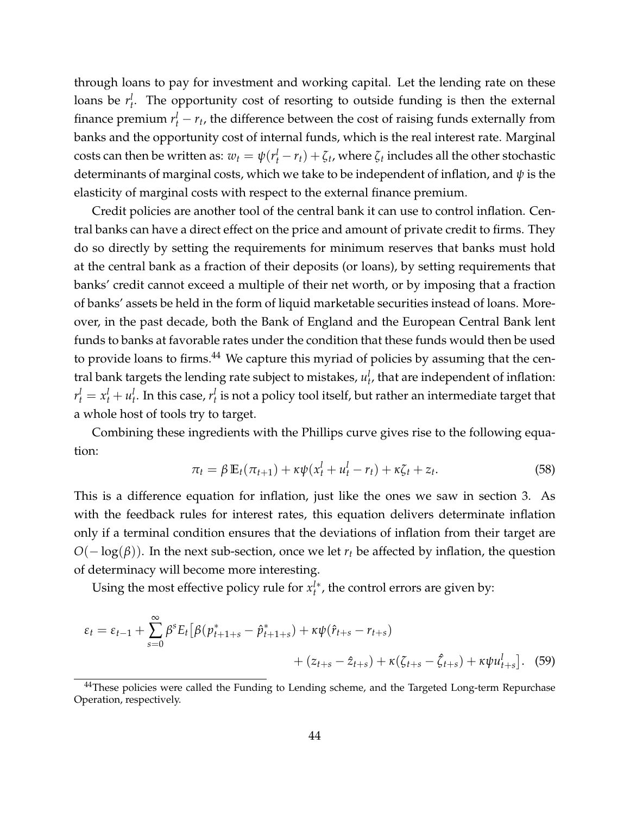through loans to pay for investment and working capital. Let the lending rate on these loans be  $r_t^l$ . The opportunity cost of resorting to outside funding is then the external finance premium  $r_t^l - r_t$ , the difference between the cost of raising funds externally from banks and the opportunity cost of internal funds, which is the real interest rate. Marginal costs can then be written as:  $w_t = \psi(r_t^l - r_t) + \zeta_t$ , where  $\zeta_t$  includes all the other stochastic determinants of marginal costs, which we take to be independent of inflation, and *ψ* is the elasticity of marginal costs with respect to the external finance premium.

Credit policies are another tool of the central bank it can use to control inflation. Central banks can have a direct effect on the price and amount of private credit to firms. They do so directly by setting the requirements for minimum reserves that banks must hold at the central bank as a fraction of their deposits (or loans), by setting requirements that banks' credit cannot exceed a multiple of their net worth, or by imposing that a fraction of banks' assets be held in the form of liquid marketable securities instead of loans. Moreover, in the past decade, both the Bank of England and the European Central Bank lent funds to banks at favorable rates under the condition that these funds would then be used to provide loans to firms. $^{44}$  $^{44}$  $^{44}$  We capture this myriad of policies by assuming that the central bank targets the lending rate subject to mistakes*,*  $u^l_t$ *,* that are independent of inflation:  $r_t^l = x_t^l + u_t^l$ . In this case,  $r_t^l$  is not a policy tool itself, but rather an intermediate target that a whole host of tools try to target.

Combining these ingredients with the Phillips curve gives rise to the following equation:

$$
\pi_t = \beta \mathbb{E}_t(\pi_{t+1}) + \kappa \psi(x_t^l + u_t^l - r_t) + \kappa \zeta_t + z_t.
$$
\n
$$
(58)
$$

This is a difference equation for inflation, just like the ones we saw in section [3.](#page-10-0) As with the feedback rules for interest rates, this equation delivers determinate inflation only if a terminal condition ensures that the deviations of inflation from their target are *O*(− log(β)). In the next sub-section, once we let *r<sub>t</sub>* be affected by inflation, the question of determinacy will become more interesting.

Using the most effective policy rule for  $x_t^{l*}$ , the control errors are given by:

$$
\varepsilon_{t} = \varepsilon_{t-1} + \sum_{s=0}^{\infty} \beta^{s} E_{t} \left[ \beta(p_{t+1+s}^{*} - \hat{p}_{t+1+s}^{*}) + \kappa \psi(\hat{r}_{t+s} - r_{t+s}) + (z_{t+s} - \hat{z}_{t+s}) + \kappa (\zeta_{t+s} - \hat{\zeta}_{t+s}) + \kappa \psi u_{t+s}^{l} \right].
$$
 (59)

<span id="page-44-0"></span><sup>&</sup>lt;sup>44</sup>These policies were called the Funding to Lending scheme, and the Targeted Long-term Repurchase Operation, respectively.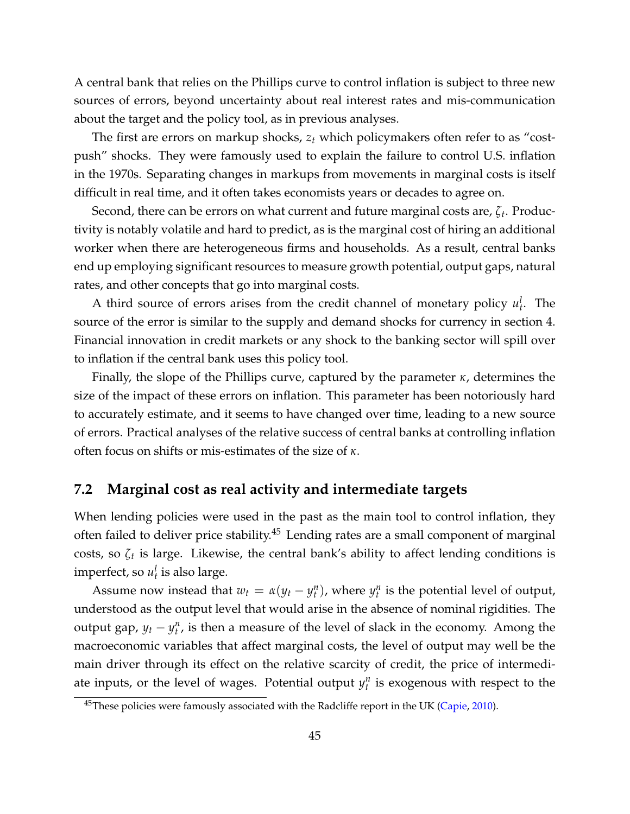A central bank that relies on the Phillips curve to control inflation is subject to three new sources of errors, beyond uncertainty about real interest rates and mis-communication about the target and the policy tool, as in previous analyses.

The first are errors on markup shocks, *z<sup>t</sup>* which policymakers often refer to as "costpush" shocks. They were famously used to explain the failure to control U.S. inflation in the 1970s. Separating changes in markups from movements in marginal costs is itself difficult in real time, and it often takes economists years or decades to agree on.

Second, there can be errors on what current and future marginal costs are, *ζ<sup>t</sup>* . Productivity is notably volatile and hard to predict, as is the marginal cost of hiring an additional worker when there are heterogeneous firms and households. As a result, central banks end up employing significant resources to measure growth potential, output gaps, natural rates, and other concepts that go into marginal costs.

A third source of errors arises from the credit channel of monetary policy  $u_t^l$ . The source of the error is similar to the supply and demand shocks for currency in section [4.](#page-27-0) Financial innovation in credit markets or any shock to the banking sector will spill over to inflation if the central bank uses this policy tool.

Finally, the slope of the Phillips curve, captured by the parameter *κ*, determines the size of the impact of these errors on inflation. This parameter has been notoriously hard to accurately estimate, and it seems to have changed over time, leading to a new source of errors. Practical analyses of the relative success of central banks at controlling inflation often focus on shifts or mis-estimates of the size of *κ*.

## <span id="page-45-0"></span>**7.2 Marginal cost as real activity and intermediate targets**

When lending policies were used in the past as the main tool to control inflation, they often failed to deliver price stability.<sup>[45](#page-45-1)</sup> Lending rates are a small component of marginal costs, so *ζ<sup>t</sup>* is large. Likewise, the central bank's ability to affect lending conditions is imperfect, so  $u_t^l$  is also large.

Assume now instead that  $w_t = \alpha(y_t - y_t^n)$ , where  $y_t^n$  is the potential level of output, understood as the output level that would arise in the absence of nominal rigidities. The output gap,  $y_t - y_t^n$ , is then a measure of the level of slack in the economy. Among the macroeconomic variables that affect marginal costs, the level of output may well be the main driver through its effect on the relative scarcity of credit, the price of intermediate inputs, or the level of wages. Potential output  $y_t^n$  is exogenous with respect to the

<span id="page-45-1"></span><sup>&</sup>lt;sup>45</sup>These policies were famously associated with the Radcliffe report in the UK [\(Capie,](#page-57-12) [2010\)](#page-57-12).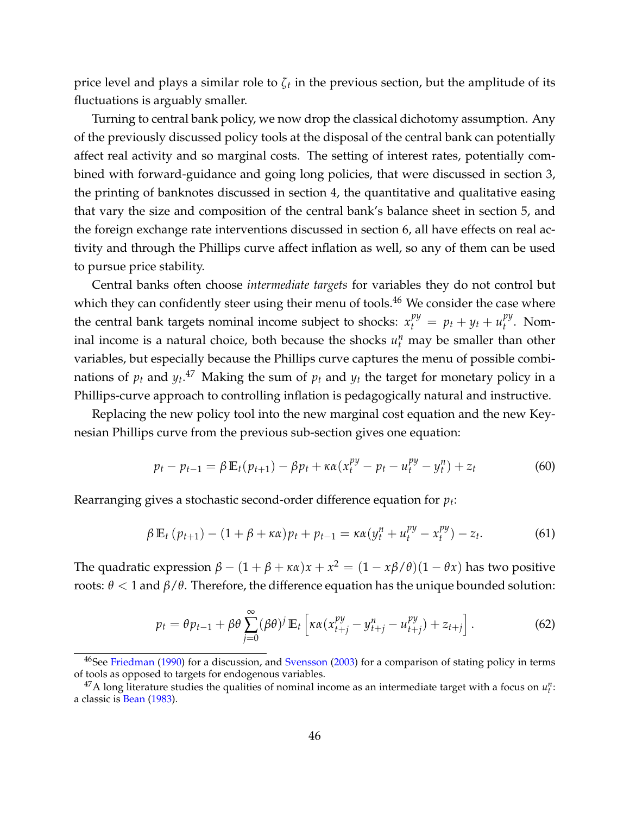price level and plays a similar role to *ζ<sup>t</sup>* in the previous section, but the amplitude of its fluctuations is arguably smaller.

Turning to central bank policy, we now drop the classical dichotomy assumption. Any of the previously discussed policy tools at the disposal of the central bank can potentially affect real activity and so marginal costs. The setting of interest rates, potentially combined with forward-guidance and going long policies, that were discussed in section [3,](#page-10-0) the printing of banknotes discussed in section [4,](#page-27-0) the quantitative and qualitative easing that vary the size and composition of the central bank's balance sheet in section [5,](#page-34-0) and the foreign exchange rate interventions discussed in section [6,](#page-39-0) all have effects on real activity and through the Phillips curve affect inflation as well, so any of them can be used to pursue price stability.

Central banks often choose *intermediate targets* for variables they do not control but which they can confidently steer using their menu of tools.<sup>[46](#page-46-0)</sup> We consider the case where the central bank targets nominal income subject to shocks:  $x_t^{py} = p_t + y_t + u_t^{py}$  $t^{\mu y}$ . Nominal income is a natural choice, both because the shocks  $u_t^n$  may be smaller than other variables, but especially because the Phillips curve captures the menu of possible combinations of  $p_t$  and  $y_t$ .<sup>[47](#page-46-1)</sup> Making the sum of  $p_t$  and  $y_t$  the target for monetary policy in a Phillips-curve approach to controlling inflation is pedagogically natural and instructive.

Replacing the new policy tool into the new marginal cost equation and the new Keynesian Phillips curve from the previous sub-section gives one equation:

$$
p_t - p_{t-1} = \beta \mathbb{E}_t(p_{t+1}) - \beta p_t + \kappa \alpha (x_t^{py} - p_t - u_t^{py} - y_t^n) + z_t
$$
 (60)

Rearranging gives a stochastic second-order difference equation for *p<sup>t</sup>* :

$$
\beta \mathbb{E}_t (p_{t+1}) - (1 + \beta + \kappa \alpha) p_t + p_{t-1} = \kappa \alpha (y_t^n + u_t^{py} - x_t^{py}) - z_t.
$$
 (61)

The quadratic expression  $\beta - (1 + \beta + \kappa \alpha)x + x^2 = (1 - x\beta/\theta)(1 - \theta x)$  has two positive roots: *θ* < 1 and *β*/*θ*. Therefore, the difference equation has the unique bounded solution:

$$
p_t = \theta p_{t-1} + \beta \theta \sum_{j=0}^{\infty} (\beta \theta)^j \mathbb{E}_t \left[ \kappa \alpha (x_{t+j}^{py} - y_{t+j}^n - u_{t+j}^{py}) + z_{t+j} \right]. \tag{62}
$$

<span id="page-46-0"></span><sup>&</sup>lt;sup>46</sup>See [Friedman](#page-59-13) [\(1990\)](#page-59-13) for a discussion, and [Svensson](#page-61-14) [\(2003\)](#page-61-14) for a comparison of stating policy in terms of tools as opposed to targets for endogenous variables.

<span id="page-46-1"></span> $^{47}$ A long literature studies the qualities of nominal income as an intermediate target with a focus on  $u_t^n$ : a classic is [Bean](#page-56-11) [\(1983\)](#page-56-11).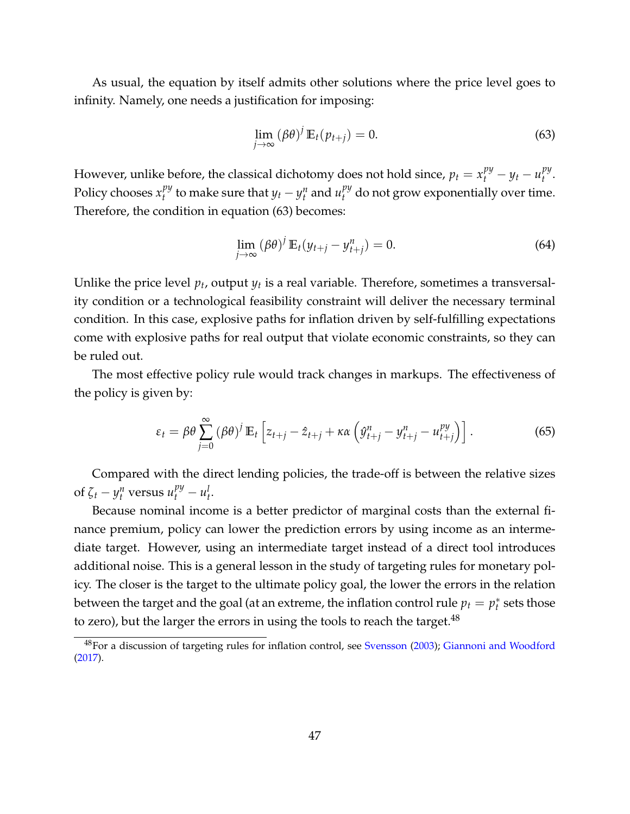As usual, the equation by itself admits other solutions where the price level goes to infinity. Namely, one needs a justification for imposing:

<span id="page-47-1"></span>
$$
\lim_{j \to \infty} (\beta \theta)^j \mathbb{E}_t(p_{t+j}) = 0. \tag{63}
$$

However, unlike before, the classical dichotomy does not hold since,  $p_t = x_t^{py} - y_t - u_t^{py}$ *t* . Policy chooses *x py*  $t^{py}_t$  to make sure that  $y_t - y^n_t$  and  $u^{py}_t$  do not grow exponentially over time. Therefore, the condition in equation [\(63\)](#page-47-1) becomes:

$$
\lim_{j \to \infty} (\beta \theta)^j \mathbb{E}_t (y_{t+j} - y_{t+j}^n) = 0.
$$
\n(64)

Unlike the price level  $p_t$ , output  $y_t$  is a real variable. Therefore, sometimes a transversality condition or a technological feasibility constraint will deliver the necessary terminal condition. In this case, explosive paths for inflation driven by self-fulfilling expectations come with explosive paths for real output that violate economic constraints, so they can be ruled out.

The most effective policy rule would track changes in markups. The effectiveness of the policy is given by:

$$
\varepsilon_t = \beta \theta \sum_{j=0}^{\infty} (\beta \theta)^j \mathbb{E}_t \left[ z_{t+j} - \hat{z}_{t+j} + \kappa \alpha \left( \hat{y}_{t+j}^n - y_{t+j}^n - u_{t+j}^{py} \right) \right]. \tag{65}
$$

Compared with the direct lending policies, the trade-off is between the relative sizes of  $\zeta_t - y_t^n$  versus  $u_t^{py} - u_t^l$ .

Because nominal income is a better predictor of marginal costs than the external finance premium, policy can lower the prediction errors by using income as an intermediate target. However, using an intermediate target instead of a direct tool introduces additional noise. This is a general lesson in the study of targeting rules for monetary policy. The closer is the target to the ultimate policy goal, the lower the errors in the relation between the target and the goal (at an extreme, the inflation control rule  $p_t = p_t^*$  $t$ <sup> $*$ </sup> sets those to zero), but the larger the errors in using the tools to reach the target.<sup>[48](#page-47-2)</sup>

<span id="page-47-2"></span><span id="page-47-0"></span><sup>48</sup>For a discussion of targeting rules for inflation control, see [Svensson](#page-61-14) [\(2003\)](#page-61-14); [Giannoni and Woodford](#page-59-14) [\(2017\)](#page-59-14).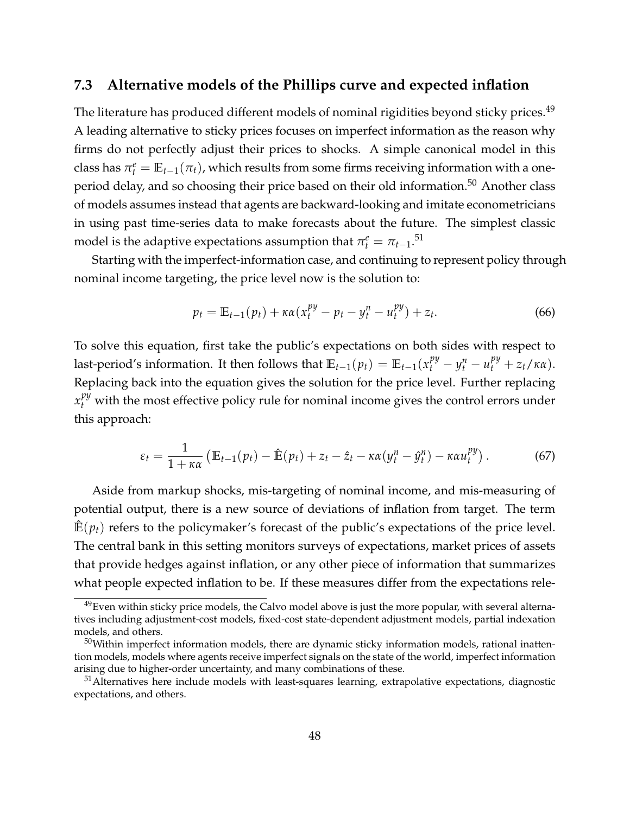### **7.3 Alternative models of the Phillips curve and expected inflation**

The literature has produced different models of nominal rigidities beyond sticky prices.<sup>[49](#page-48-0)</sup> A leading alternative to sticky prices focuses on imperfect information as the reason why firms do not perfectly adjust their prices to shocks. A simple canonical model in this class has  $\pi_t^e = \mathbb{E}_{t-1}(\pi_t)$ , which results from some firms receiving information with a one-period delay, and so choosing their price based on their old information.<sup>[50](#page-48-1)</sup> Another class of models assumes instead that agents are backward-looking and imitate econometricians in using past time-series data to make forecasts about the future. The simplest classic model is the adaptive expectations assumption that  $\pi_t^e = \pi_{t-1}.^{51}$  $\pi_t^e = \pi_{t-1}.^{51}$  $\pi_t^e = \pi_{t-1}.^{51}$ 

Starting with the imperfect-information case, and continuing to represent policy through nominal income targeting, the price level now is the solution to:

$$
p_t = \mathbb{E}_{t-1}(p_t) + \kappa \alpha (x_t^{py} - p_t - y_t^n - u_t^{py}) + z_t.
$$
 (66)

To solve this equation, first take the public's expectations on both sides with respect to last-period's information. It then follows that  $\mathbb{E}_{t-1}(p_t) = \mathbb{E}_{t-1}(x_t^{py} - y_t^n - u_t^{py} + z_t/\kappa \alpha)$ . Replacing back into the equation gives the solution for the price level. Further replacing  $x_t^{py}$  with the most effective policy rule for nominal income gives the control errors under this approach:

$$
\varepsilon_t = \frac{1}{1+\kappa\alpha} \left( \mathbb{E}_{t-1}(p_t) - \hat{\mathbb{E}}(p_t) + z_t - \hat{z}_t - \kappa\alpha (y_t^n - \hat{y}_t^n) - \kappa\alpha u_t^{py} \right). \tag{67}
$$

Aside from markup shocks, mis-targeting of nominal income, and mis-measuring of potential output, there is a new source of deviations of inflation from target. The term  $\mathbb{E}(p_t)$  refers to the policymaker's forecast of the public's expectations of the price level. The central bank in this setting monitors surveys of expectations, market prices of assets that provide hedges against inflation, or any other piece of information that summarizes what people expected inflation to be. If these measures differ from the expectations rele-

<span id="page-48-0"></span> $49$ Even within sticky price models, the Calvo model above is just the more popular, with several alternatives including adjustment-cost models, fixed-cost state-dependent adjustment models, partial indexation models, and others.

<span id="page-48-1"></span> $50$ Within imperfect information models, there are dynamic sticky information models, rational inattention models, models where agents receive imperfect signals on the state of the world, imperfect information arising due to higher-order uncertainty, and many combinations of these.

<span id="page-48-2"></span><sup>&</sup>lt;sup>51</sup> Alternatives here include models with least-squares learning, extrapolative expectations, diagnostic expectations, and others.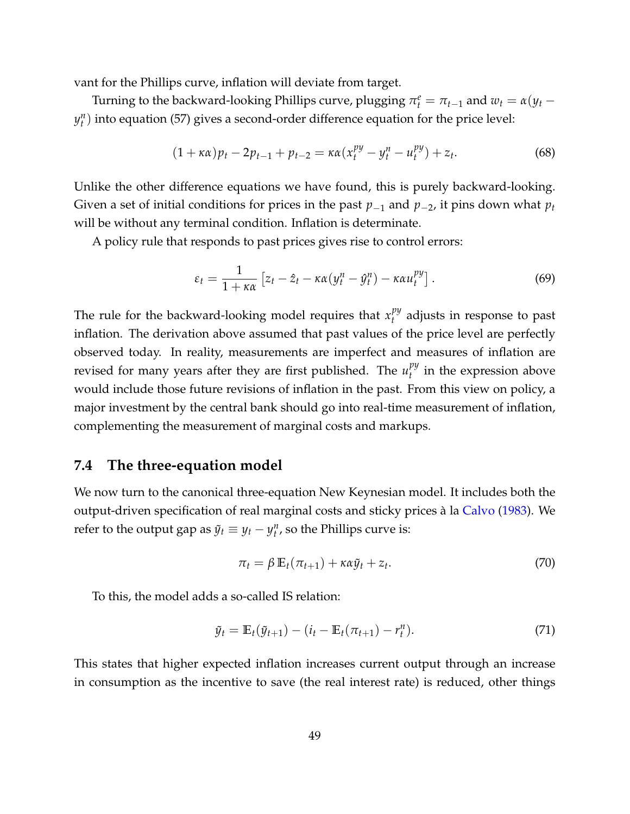vant for the Phillips curve, inflation will deviate from target.

Turning to the backward-looking Phillips curve, plugging  $\pi_t^e = \pi_{t-1}$  and  $w_t = \alpha(y_t - t)$  $y_t^n$ ) into equation [\(57\)](#page-43-1) gives a second-order difference equation for the price level:

$$
(1 + \kappa \alpha)p_t - 2p_{t-1} + p_{t-2} = \kappa \alpha (x_t^{py} - y_t^n - u_t^{py}) + z_t.
$$
 (68)

Unlike the other difference equations we have found, this is purely backward-looking. Given a set of initial conditions for prices in the past  $p_{-1}$  and  $p_{-2}$ , it pins down what  $p_t$ will be without any terminal condition. Inflation is determinate.

A policy rule that responds to past prices gives rise to control errors:

$$
\varepsilon_t = \frac{1}{1 + \kappa \alpha} \left[ z_t - \hat{z}_t - \kappa \alpha (y_t^n - \hat{y}_t^n) - \kappa \alpha u_t^{py} \right]. \tag{69}
$$

The rule for the backward-looking model requires that  $x_t^{py}$ *t* adjusts in response to past inflation. The derivation above assumed that past values of the price level are perfectly observed today. In reality, measurements are imperfect and measures of inflation are revised for many years after they are first published. The  $u_t^{py}$  $t_t^{py}$  in the expression above would include those future revisions of inflation in the past. From this view on policy, a major investment by the central bank should go into real-time measurement of inflation, complementing the measurement of marginal costs and markups.

## <span id="page-49-0"></span>**7.4 The three-equation model**

We now turn to the canonical three-equation New Keynesian model. It includes both the output-driven specification of real marginal costs and sticky prices à la [Calvo](#page-57-11) [\(1983\)](#page-57-11). We refer to the output gap as  $\tilde{y}_t \equiv y_t - y_t^n$ , so the Phillips curve is:

<span id="page-49-1"></span>
$$
\pi_t = \beta \mathbb{E}_t(\pi_{t+1}) + \kappa \alpha \tilde{y}_t + z_t.
$$
\n(70)

To this, the model adds a so-called IS relation:

<span id="page-49-2"></span>
$$
\tilde{y}_t = \mathbb{E}_t(\tilde{y}_{t+1}) - (i_t - \mathbb{E}_t(\pi_{t+1}) - r_t^n). \tag{71}
$$

This states that higher expected inflation increases current output through an increase in consumption as the incentive to save (the real interest rate) is reduced, other things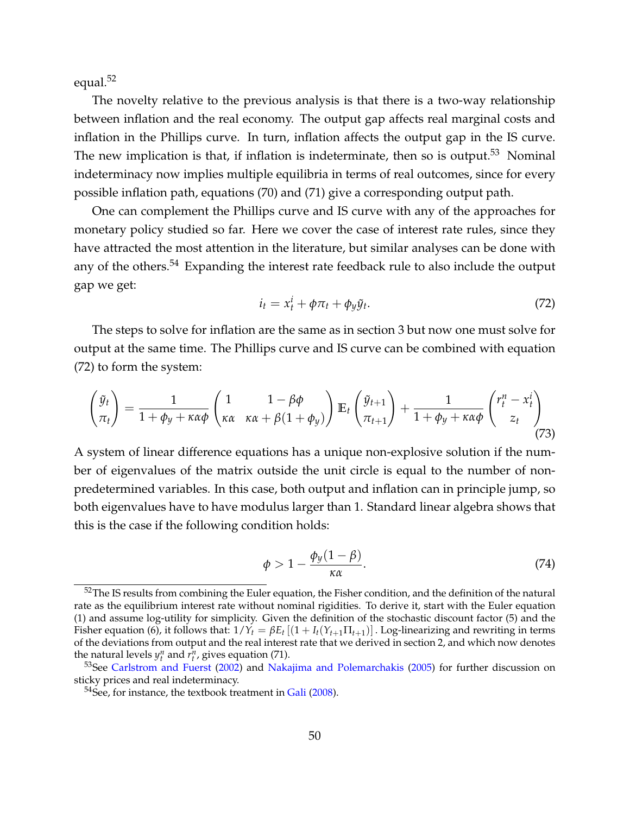equal.<sup>[52](#page-50-0)</sup>

The novelty relative to the previous analysis is that there is a two-way relationship between inflation and the real economy. The output gap affects real marginal costs and inflation in the Phillips curve. In turn, inflation affects the output gap in the IS curve. The new implication is that, if inflation is indeterminate, then so is output.<sup>[53](#page-50-1)</sup> Nominal indeterminacy now implies multiple equilibria in terms of real outcomes, since for every possible inflation path, equations [\(70\)](#page-49-1) and [\(71\)](#page-49-2) give a corresponding output path.

One can complement the Phillips curve and IS curve with any of the approaches for monetary policy studied so far. Here we cover the case of interest rate rules, since they have attracted the most attention in the literature, but similar analyses can be done with any of the others.<sup>[54](#page-50-2)</sup> Expanding the interest rate feedback rule to also include the output gap we get:

<span id="page-50-3"></span>
$$
i_t = x_t^i + \phi \pi_t + \phi_y \tilde{y}_t. \tag{72}
$$

The steps to solve for inflation are the same as in section [3](#page-10-0) but now one must solve for output at the same time. The Phillips curve and IS curve can be combined with equation [\(72\)](#page-50-3) to form the system:

$$
\begin{pmatrix} \tilde{y}_t \\ \pi_t \end{pmatrix} = \frac{1}{1 + \phi_y + \kappa \alpha \phi} \begin{pmatrix} 1 & 1 - \beta \phi \\ \kappa \alpha & \kappa \alpha + \beta (1 + \phi_y) \end{pmatrix} \mathbb{E}_t \begin{pmatrix} \tilde{y}_{t+1} \\ \pi_{t+1} \end{pmatrix} + \frac{1}{1 + \phi_y + \kappa \alpha \phi} \begin{pmatrix} r_t^n - x_t^i \\ z_t \end{pmatrix}
$$
\n(73)

A system of linear difference equations has a unique non-explosive solution if the number of eigenvalues of the matrix outside the unit circle is equal to the number of nonpredetermined variables. In this case, both output and inflation can in principle jump, so both eigenvalues have to have modulus larger than 1. Standard linear algebra shows that this is the case if the following condition holds:

$$
\phi > 1 - \frac{\phi_y (1 - \beta)}{\kappa \alpha}.
$$
\n(74)

<span id="page-50-0"></span> $52$ The IS results from combining the Euler equation, the Fisher condition, and the definition of the natural rate as the equilibrium interest rate without nominal rigidities. To derive it, start with the Euler equation [\(1\)](#page-5-2) and assume log-utility for simplicity. Given the definition of the stochastic discount factor [\(5\)](#page-10-2) and the Fisher equation [\(6\)](#page-10-1), it follows that:  $1/Y_t = \beta E_t [(1 + I_t(Y_{t+1} \Pi_{t+1}))]$ . Log-linearizing and rewriting in terms of the deviations from output and the real interest rate that we derived in section [2,](#page-5-0) and which now denotes the natural levels  $y_t^n$  and  $r_t^n$ , gives equation [\(71\)](#page-49-2).

<span id="page-50-1"></span><sup>&</sup>lt;sup>53</sup>See [Carlstrom and Fuerst](#page-57-13) [\(2002\)](#page-57-13) and [Nakajima and Polemarchakis](#page-60-1) [\(2005\)](#page-60-1) for further discussion on sticky prices and real indeterminacy.

<span id="page-50-2"></span> $54$ See, for instance, the textbook treatment in [Gali](#page-59-15) [\(2008\)](#page-59-15).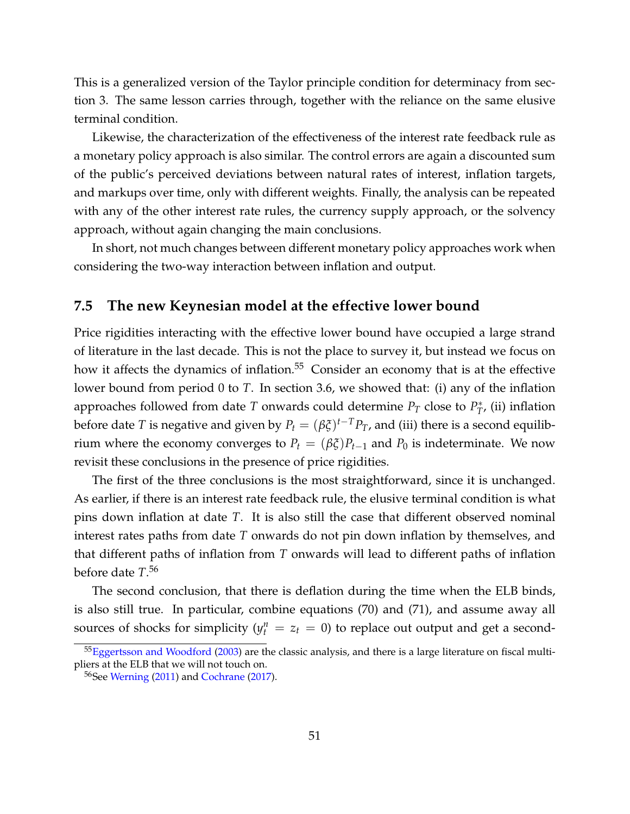This is a generalized version of the Taylor principle condition for determinacy from section [3.](#page-10-0) The same lesson carries through, together with the reliance on the same elusive terminal condition.

Likewise, the characterization of the effectiveness of the interest rate feedback rule as a monetary policy approach is also similar. The control errors are again a discounted sum of the public's perceived deviations between natural rates of interest, inflation targets, and markups over time, only with different weights. Finally, the analysis can be repeated with any of the other interest rate rules, the currency supply approach, or the solvency approach, without again changing the main conclusions.

In short, not much changes between different monetary policy approaches work when considering the two-way interaction between inflation and output.

### <span id="page-51-0"></span>**7.5 The new Keynesian model at the effective lower bound**

Price rigidities interacting with the effective lower bound have occupied a large strand of literature in the last decade. This is not the place to survey it, but instead we focus on how it affects the dynamics of inflation.<sup>[55](#page-51-1)</sup> Consider an economy that is at the effective lower bound from period 0 to *T*. In section [3.6,](#page-24-0) we showed that: (i) any of the inflation approaches followed from date *T* onwards could determine  $P_T$  close to  $P_T^*$  $T$ <sup>\*</sup>, (ii) inflation before date  $T$  is negative and given by  $P_t = (\beta \xi)^{t-T} P_T$ , and (iii) there is a second equilibrium where the economy converges to  $P_t = (\beta \xi) P_{t-1}$  and  $P_0$  is indeterminate. We now revisit these conclusions in the presence of price rigidities.

The first of the three conclusions is the most straightforward, since it is unchanged. As earlier, if there is an interest rate feedback rule, the elusive terminal condition is what pins down inflation at date *T*. It is also still the case that different observed nominal interest rates paths from date *T* onwards do not pin down inflation by themselves, and that different paths of inflation from *T* onwards will lead to different paths of inflation before date *T*. [56](#page-51-2)

The second conclusion, that there is deflation during the time when the ELB binds, is also still true. In particular, combine equations [\(70\)](#page-49-1) and [\(71\)](#page-49-2), and assume away all sources of shocks for simplicity ( $y_t^n = z_t = 0$ ) to replace out output and get a second-

<span id="page-51-1"></span> $55$ [Eggertsson and Woodford](#page-58-8) [\(2003\)](#page-58-8) are the classic analysis, and there is a large literature on fiscal multipliers at the ELB that we will not touch on.

<span id="page-51-2"></span><sup>&</sup>lt;sup>56</sup>See [Werning](#page-61-15) [\(2011\)](#page-61-15) and [Cochrane](#page-58-9) [\(2017\)](#page-58-9).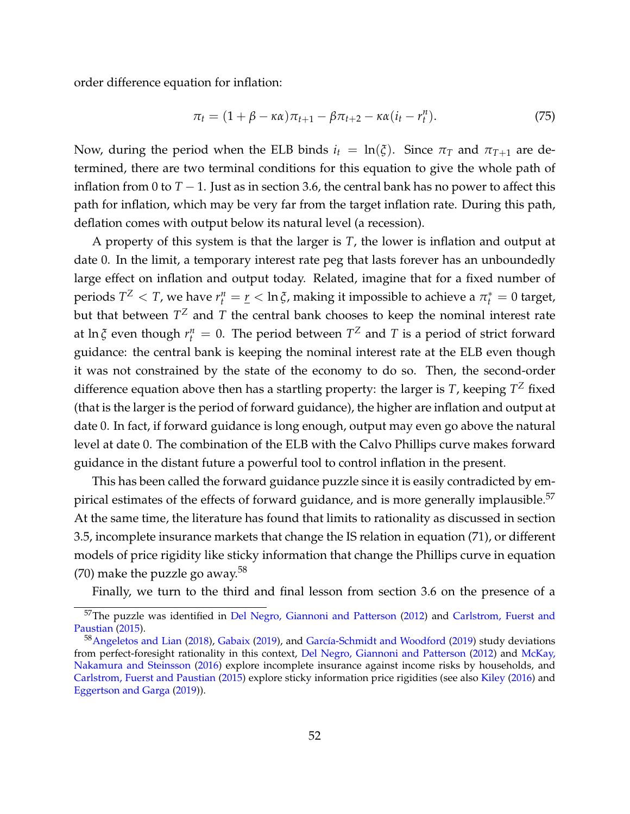order difference equation for inflation:

$$
\pi_t = (1 + \beta - \kappa \alpha) \pi_{t+1} - \beta \pi_{t+2} - \kappa \alpha (i_t - r_t^n). \tag{75}
$$

Now, during the period when the ELB binds  $i_t = \ln(\xi)$ . Since  $\pi_T$  and  $\pi_{T+1}$  are determined, there are two terminal conditions for this equation to give the whole path of inflation from 0 to  $T - 1$ . Just as in section [3.6,](#page-24-0) the central bank has no power to affect this path for inflation, which may be very far from the target inflation rate. During this path, deflation comes with output below its natural level (a recession).

A property of this system is that the larger is *T*, the lower is inflation and output at date 0. In the limit, a temporary interest rate peg that lasts forever has an unboundedly large effect on inflation and output today. Related, imagine that for a fixed number of periods  $T^Z < T$ , we have  $r_t^n = \underline{r} < \ln \xi$ , making it impossible to achieve a  $\pi_t^* = 0$  target, but that between  $T^Z$  and  $T$  the central bank chooses to keep the nominal interest rate at  $\ln \xi$  even though  $r_t^n = 0$ . The period between  $T^Z$  and  $T$  is a period of strict forward guidance: the central bank is keeping the nominal interest rate at the ELB even though it was not constrained by the state of the economy to do so. Then, the second-order difference equation above then has a startling property: the larger is *T*, keeping  $T^Z$  fixed (that is the larger is the period of forward guidance), the higher are inflation and output at date 0. In fact, if forward guidance is long enough, output may even go above the natural level at date 0. The combination of the ELB with the Calvo Phillips curve makes forward guidance in the distant future a powerful tool to control inflation in the present.

This has been called the forward guidance puzzle since it is easily contradicted by empirical estimates of the effects of forward guidance, and is more generally implausible. $57$ At the same time, the literature has found that limits to rationality as discussed in section [3.5,](#page-20-0) incomplete insurance markets that change the IS relation in equation [\(71\)](#page-49-2), or different models of price rigidity like sticky information that change the Phillips curve in equation [\(70\)](#page-49-1) make the puzzle go away.<sup>[58](#page-52-1)</sup>

Finally, we turn to the third and final lesson from section [3.6](#page-24-0) on the presence of a

<span id="page-52-0"></span><sup>&</sup>lt;sup>57</sup>The puzzle was identified in [Del Negro, Giannoni and Patterson](#page-58-10) [\(2012\)](#page-58-10) and [Carlstrom, Fuerst and](#page-57-14) [Paustian](#page-57-14) [\(2015\)](#page-57-14).

<span id="page-52-1"></span><sup>&</sup>lt;sup>58</sup> [Angeletos and Lian](#page-56-12) [\(2018\)](#page-56-12), [Gabaix](#page-59-16) [\(2019\)](#page-59-5), and García-Schmidt and Woodford (2019) study deviations from perfect-foresight rationality in this context, [Del Negro, Giannoni and Patterson](#page-58-10) [\(2012\)](#page-58-10) and [McKay,](#page-60-16) [Nakamura and Steinsson](#page-60-16) [\(2016\)](#page-60-16) explore incomplete insurance against income risks by households, and [Carlstrom, Fuerst and Paustian](#page-57-14) [\(2015\)](#page-57-14) explore sticky information price rigidities (see also [Kiley](#page-59-17) [\(2016\)](#page-59-17) and [Eggertson and Garga](#page-58-11) [\(2019\)](#page-58-11)).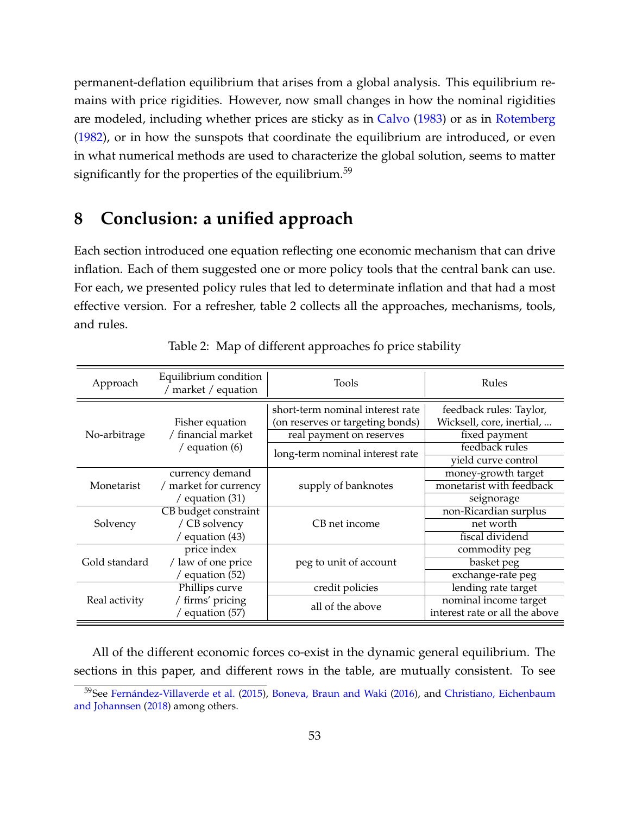permanent-deflation equilibrium that arises from a global analysis. This equilibrium remains with price rigidities. However, now small changes in how the nominal rigidities are modeled, including whether prices are sticky as in [Calvo](#page-57-11) [\(1983\)](#page-57-11) or as in [Rotemberg](#page-61-16) [\(1982\)](#page-61-16), or in how the sunspots that coordinate the equilibrium are introduced, or even in what numerical methods are used to characterize the global solution, seems to matter significantly for the properties of the equilibrium.<sup>[59](#page-53-1)</sup>

## <span id="page-53-0"></span>**8 Conclusion: a unified approach**

Each section introduced one equation reflecting one economic mechanism that can drive inflation. Each of them suggested one or more policy tools that the central bank can use. For each, we presented policy rules that led to determinate inflation and that had a most effective version. For a refresher, table [2](#page-53-2) collects all the approaches, mechanisms, tools, and rules.

<span id="page-53-2"></span>

| Approach      | Equilibrium condition<br>market / equation                | Tools                            | Rules                          |
|---------------|-----------------------------------------------------------|----------------------------------|--------------------------------|
|               | Fisher equation<br>/ financial market<br>/ equation $(6)$ | short-term nominal interest rate | feedback rules: Taylor,        |
|               |                                                           | (on reserves or targeting bonds) | Wicksell, core, inertial,      |
| No-arbitrage  |                                                           | real payment on reserves         | fixed payment                  |
|               |                                                           | long-term nominal interest rate  | feedback rules                 |
|               |                                                           |                                  | yield curve control            |
|               | currency demand                                           | supply of banknotes              | money-growth target            |
| Monetarist    | / market for currency<br>/ equation $(31)$                |                                  | monetarist with feedback       |
|               |                                                           |                                  | seignorage                     |
|               | CB budget constraint                                      | CB net income                    | non-Ricardian surplus          |
| Solvency      | / CB solvency                                             |                                  | net worth                      |
|               | / equation $(43)$                                         |                                  | fiscal dividend                |
|               | price index<br>/ law of one price<br>/ equation $(52)$    | peg to unit of account           | commodity peg                  |
| Gold standard |                                                           |                                  | basket peg                     |
|               |                                                           |                                  | exchange-rate peg              |
|               | Phillips curve                                            | credit policies                  | lending rate target            |
| Real activity | / firms' pricing                                          | all of the above                 | nominal income target          |
|               | / equation $(57)$                                         |                                  | interest rate or all the above |

Table 2: Map of different approaches fo price stability

All of the different economic forces co-exist in the dynamic general equilibrium. The sections in this paper, and different rows in the table, are mutually consistent. To see

<span id="page-53-1"></span> $59$ See Fernández-Villaverde et al. [\(2015\)](#page-58-12), [Boneva, Braun and Waki](#page-57-15) [\(2016\)](#page-57-15), and [Christiano, Eichenbaum](#page-57-4) [and Johannsen](#page-57-4) [\(2018\)](#page-57-4) among others.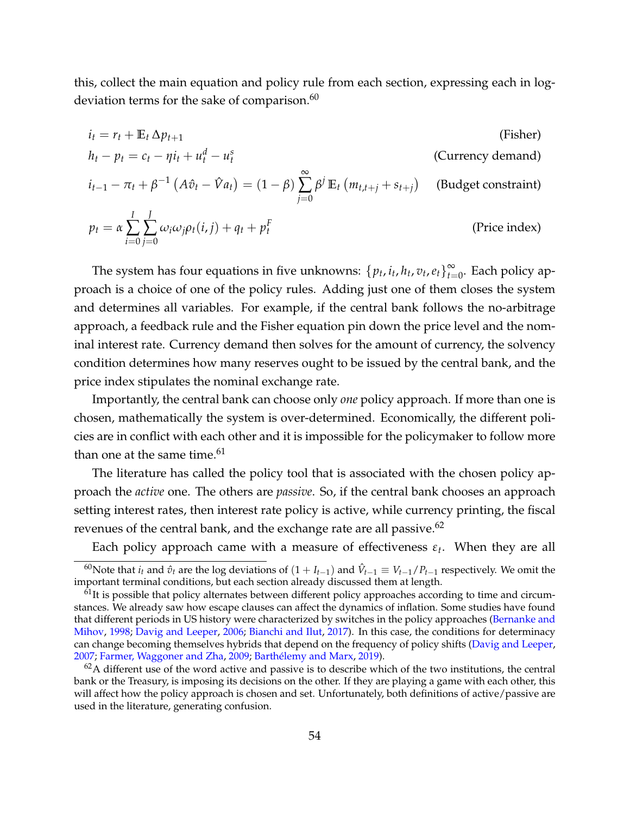this, collect the main equation and policy rule from each section, expressing each in log-deviation terms for the sake of comparison.<sup>[60](#page-54-0)</sup>

$$
i_{t} = r_{t} + \mathbb{E}_{t} \Delta p_{t+1}
$$
 (Fisher)  
\n
$$
h_{t} - p_{t} = c_{t} - \eta i_{t} + u_{t}^{d} - u_{t}^{s}
$$
 (Currently demand)  
\n
$$
i_{t-1} - \pi_{t} + \beta^{-1} (A\hat{v}_{t} - \hat{V}a_{t}) = (1 - \beta) \sum_{j=0}^{\infty} \beta^{j} \mathbb{E}_{t} (m_{t,t+j} + s_{t+j})
$$
 (Budget constraint)  
\n
$$
p_{t} = \alpha \sum_{i=0}^{I} \sum_{j=0}^{J} \omega_{i} \omega_{j} \rho_{t}(i,j) + q_{t} + p_{t}^{F}
$$
 (Price index)

The system has four equations in five unknowns:  $\{p_t, i_t, h_t, v_t, e_t\}_{t=0}^{\infty}$  $\sum_{t=0}^{\infty}$ . Each policy approach is a choice of one of the policy rules. Adding just one of them closes the system and determines all variables. For example, if the central bank follows the no-arbitrage approach, a feedback rule and the Fisher equation pin down the price level and the nominal interest rate. Currency demand then solves for the amount of currency, the solvency condition determines how many reserves ought to be issued by the central bank, and the price index stipulates the nominal exchange rate.

Importantly, the central bank can choose only *one* policy approach. If more than one is chosen, mathematically the system is over-determined. Economically, the different policies are in conflict with each other and it is impossible for the policymaker to follow more than one at the same time. $61$ 

The literature has called the policy tool that is associated with the chosen policy approach the *active* one. The others are *passive*. So, if the central bank chooses an approach setting interest rates, then interest rate policy is active, while currency printing, the fiscal revenues of the central bank, and the exchange rate are all passive.<sup>[62](#page-54-2)</sup>

<span id="page-54-0"></span>Each policy approach came with a measure of effectiveness  $\varepsilon_t$ . When they are all

 $^{60}$ Note that  $i_t$  and  $\hat{v}_t$  are the log deviations of  $(1 + I_{t-1})$  and  $\hat{V}_{t-1} \equiv V_{t-1}/P_{t-1}$  respectively. We omit the important terminal conditions, but each section already discussed them at length.

<span id="page-54-1"></span> $61$ It is possible that policy alternates between different policy approaches according to time and circumstances. We already saw how escape clauses can affect the dynamics of inflation. Some studies have found that different periods in US history were characterized by switches in the policy approaches [\(Bernanke and](#page-56-13) [Mihov,](#page-56-13) [1998;](#page-56-13) [Davig and Leeper,](#page-58-13) [2006;](#page-58-13) [Bianchi and Ilut,](#page-56-14) [2017\)](#page-56-14). In this case, the conditions for determinacy can change becoming themselves hybrids that depend on the frequency of policy shifts [\(Davig and Leeper,](#page-58-14) [2007;](#page-58-14) [Farmer, Waggoner and Zha,](#page-58-15) [2009;](#page-58-15) Barthélemy and Marx, [2019\)](#page-56-15).

<span id="page-54-2"></span> $62A$  different use of the word active and passive is to describe which of the two institutions, the central bank or the Treasury, is imposing its decisions on the other. If they are playing a game with each other, this will affect how the policy approach is chosen and set. Unfortunately, both definitions of active/passive are used in the literature, generating confusion.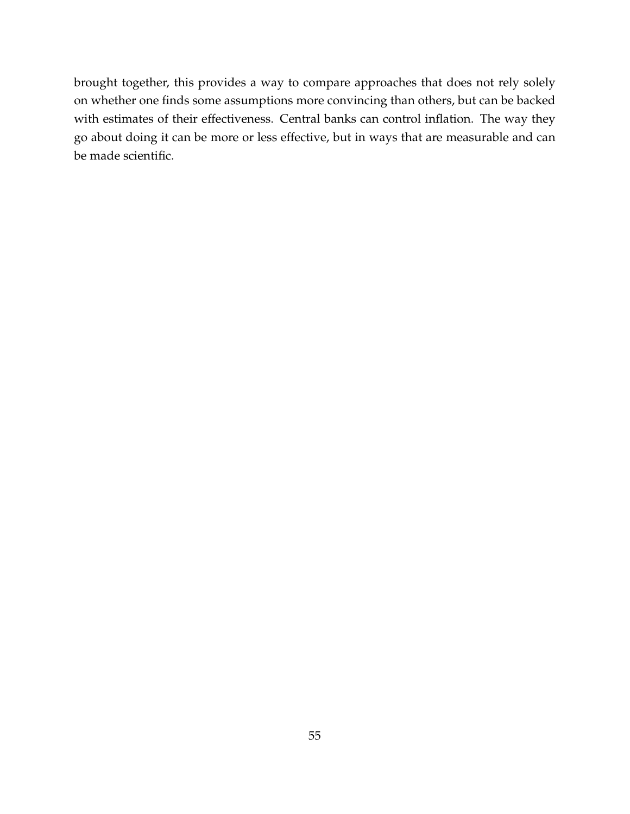brought together, this provides a way to compare approaches that does not rely solely on whether one finds some assumptions more convincing than others, but can be backed with estimates of their effectiveness. Central banks can control inflation. The way they go about doing it can be more or less effective, but in ways that are measurable and can be made scientific.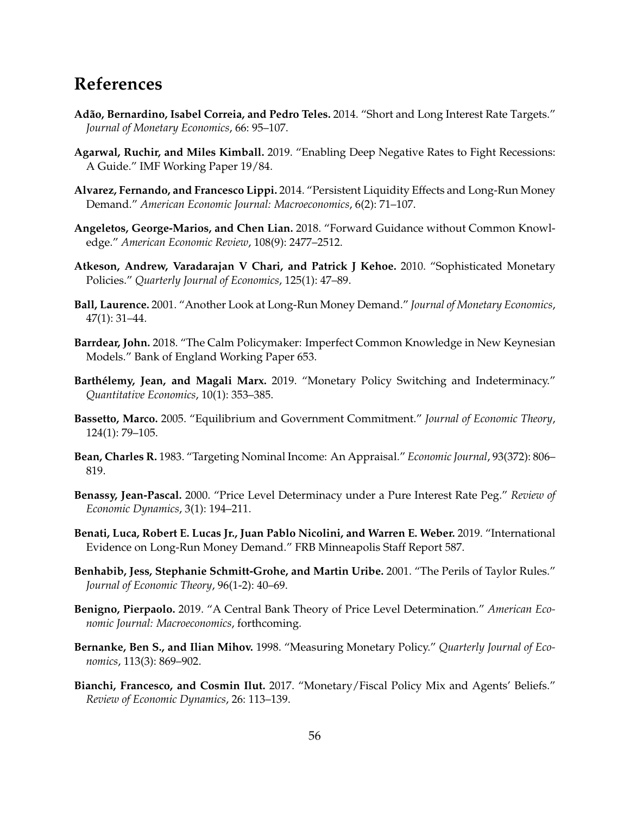## **References**

- <span id="page-56-1"></span>**Ad˜ao, Bernardino, Isabel Correia, and Pedro Teles.** 2014. "Short and Long Interest Rate Targets." *Journal of Monetary Economics*, 66: 95–107.
- <span id="page-56-6"></span>**Agarwal, Ruchir, and Miles Kimball.** 2019. "Enabling Deep Negative Rates to Fight Recessions: A Guide." IMF Working Paper 19/84.
- <span id="page-56-8"></span>**Alvarez, Fernando, and Francesco Lippi.** 2014. "Persistent Liquidity Effects and Long-Run Money Demand." *American Economic Journal: Macroeconomics*, 6(2): 71–107.
- <span id="page-56-12"></span>**Angeletos, George-Marios, and Chen Lian.** 2018. "Forward Guidance without Common Knowledge." *American Economic Review*, 108(9): 2477–2512.
- <span id="page-56-3"></span>**Atkeson, Andrew, Varadarajan V Chari, and Patrick J Kehoe.** 2010. "Sophisticated Monetary Policies." *Quarterly Journal of Economics*, 125(1): 47–89.
- <span id="page-56-9"></span>**Ball, Laurence.** 2001. "Another Look at Long-Run Money Demand." *Journal of Monetary Economics*, 47(1): 31–44.
- <span id="page-56-4"></span>**Barrdear, John.** 2018. "The Calm Policymaker: Imperfect Common Knowledge in New Keynesian Models." Bank of England Working Paper 653.
- <span id="page-56-15"></span>Barthélemy, Jean, and Magali Marx. 2019. "Monetary Policy Switching and Indeterminacy." *Quantitative Economics*, 10(1): 353–385.
- <span id="page-56-2"></span>**Bassetto, Marco.** 2005. "Equilibrium and Government Commitment." *Journal of Economic Theory*, 124(1): 79–105.
- <span id="page-56-11"></span>**Bean, Charles R.** 1983. "Targeting Nominal Income: An Appraisal." *Economic Journal*, 93(372): 806– 819.
- <span id="page-56-0"></span>**Benassy, Jean-Pascal.** 2000. "Price Level Determinacy under a Pure Interest Rate Peg." *Review of Economic Dynamics*, 3(1): 194–211.
- <span id="page-56-7"></span>**Benati, Luca, Robert E. Lucas Jr., Juan Pablo Nicolini, and Warren E. Weber.** 2019. "International Evidence on Long-Run Money Demand." FRB Minneapolis Staff Report 587.
- <span id="page-56-5"></span>**Benhabib, Jess, Stephanie Schmitt-Grohe, and Martin Uribe.** 2001. "The Perils of Taylor Rules." *Journal of Economic Theory*, 96(1-2): 40–69.
- <span id="page-56-10"></span>**Benigno, Pierpaolo.** 2019. "A Central Bank Theory of Price Level Determination." *American Economic Journal: Macroeconomics*, forthcoming.
- <span id="page-56-13"></span>**Bernanke, Ben S., and Ilian Mihov.** 1998. "Measuring Monetary Policy." *Quarterly Journal of Economics*, 113(3): 869–902.
- <span id="page-56-14"></span>**Bianchi, Francesco, and Cosmin Ilut.** 2017. "Monetary/Fiscal Policy Mix and Agents' Beliefs." *Review of Economic Dynamics*, 26: 113–139.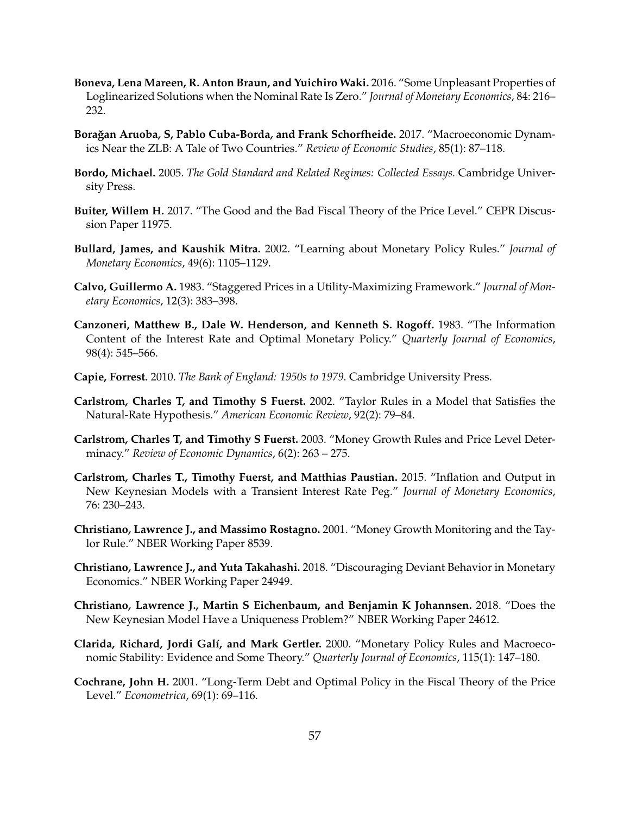- <span id="page-57-15"></span>**Boneva, Lena Mareen, R. Anton Braun, and Yuichiro Waki.** 2016. "Some Unpleasant Properties of Loglinearized Solutions when the Nominal Rate Is Zero." *Journal of Monetary Economics*, 84: 216– 232.
- <span id="page-57-5"></span>Borağan Aruoba, S, Pablo Cuba-Borda, and Frank Schorfheide. 2017. "Macroeconomic Dynamics Near the ZLB: A Tale of Two Countries." *Review of Economic Studies*, 85(1): 87–118.
- <span id="page-57-10"></span>**Bordo, Michael.** 2005. *The Gold Standard and Related Regimes: Collected Essays.* Cambridge University Press.
- <span id="page-57-8"></span>**Buiter, Willem H.** 2017. "The Good and the Bad Fiscal Theory of the Price Level." CEPR Discussion Paper 11975.
- <span id="page-57-3"></span>**Bullard, James, and Kaushik Mitra.** 2002. "Learning about Monetary Policy Rules." *Journal of Monetary Economics*, 49(6): 1105–1129.
- <span id="page-57-11"></span>**Calvo, Guillermo A.** 1983. "Staggered Prices in a Utility-Maximizing Framework." *Journal of Monetary Economics*, 12(3): 383–398.
- <span id="page-57-7"></span>**Canzoneri, Matthew B., Dale W. Henderson, and Kenneth S. Rogoff.** 1983. "The Information Content of the Interest Rate and Optimal Monetary Policy." *Quarterly Journal of Economics*, 98(4): 545–566.
- <span id="page-57-12"></span>**Capie, Forrest.** 2010. *The Bank of England: 1950s to 1979.* Cambridge University Press.
- <span id="page-57-13"></span>**Carlstrom, Charles T, and Timothy S Fuerst.** 2002. "Taylor Rules in a Model that Satisfies the Natural-Rate Hypothesis." *American Economic Review*, 92(2): 79–84.
- <span id="page-57-6"></span>**Carlstrom, Charles T, and Timothy S Fuerst.** 2003. "Money Growth Rules and Price Level Determinacy." *Review of Economic Dynamics*, 6(2): 263 – 275.
- <span id="page-57-14"></span>**Carlstrom, Charles T., Timothy Fuerst, and Matthias Paustian.** 2015. "Inflation and Output in New Keynesian Models with a Transient Interest Rate Peg." *Journal of Monetary Economics*, 76: 230–243.
- <span id="page-57-1"></span>**Christiano, Lawrence J., and Massimo Rostagno.** 2001. "Money Growth Monitoring and the Taylor Rule." NBER Working Paper 8539.
- <span id="page-57-2"></span>**Christiano, Lawrence J., and Yuta Takahashi.** 2018. "Discouraging Deviant Behavior in Monetary Economics." NBER Working Paper 24949.
- <span id="page-57-4"></span>**Christiano, Lawrence J., Martin S Eichenbaum, and Benjamin K Johannsen.** 2018. "Does the New Keynesian Model Have a Uniqueness Problem?" NBER Working Paper 24612.
- <span id="page-57-0"></span>**Clarida, Richard, Jordi Gal´ı, and Mark Gertler.** 2000. "Monetary Policy Rules and Macroeconomic Stability: Evidence and Some Theory." *Quarterly Journal of Economics*, 115(1): 147–180.
- <span id="page-57-9"></span>**Cochrane, John H.** 2001. "Long-Term Debt and Optimal Policy in the Fiscal Theory of the Price Level." *Econometrica*, 69(1): 69–116.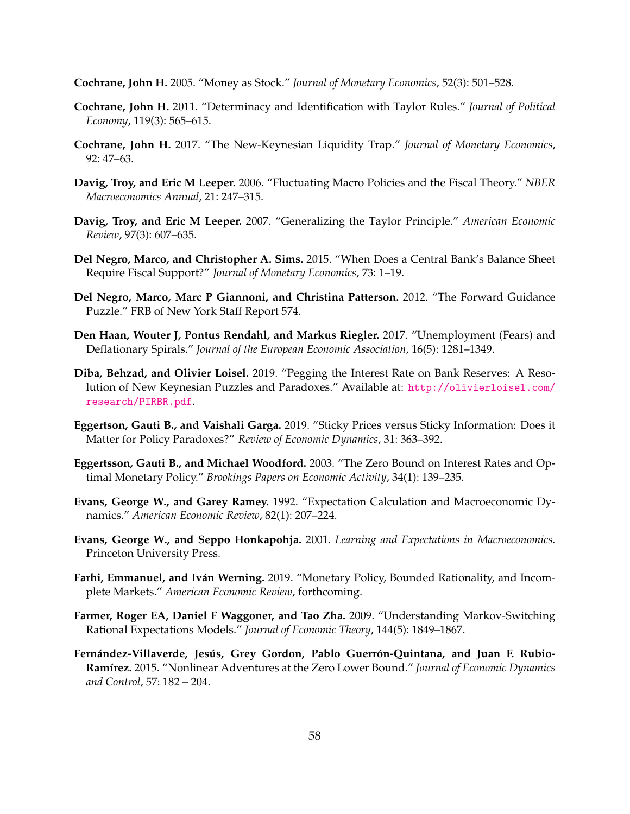<span id="page-58-6"></span>**Cochrane, John H.** 2005. "Money as Stock." *Journal of Monetary Economics*, 52(3): 501–528.

- <span id="page-58-1"></span>**Cochrane, John H.** 2011. "Determinacy and Identification with Taylor Rules." *Journal of Political Economy*, 119(3): 565–615.
- <span id="page-58-9"></span>**Cochrane, John H.** 2017. "The New-Keynesian Liquidity Trap." *Journal of Monetary Economics*, 92: 47–63.
- <span id="page-58-13"></span>**Davig, Troy, and Eric M Leeper.** 2006. "Fluctuating Macro Policies and the Fiscal Theory." *NBER Macroeconomics Annual*, 21: 247–315.
- <span id="page-58-14"></span>**Davig, Troy, and Eric M Leeper.** 2007. "Generalizing the Taylor Principle." *American Economic Review*, 97(3): 607–635.
- <span id="page-58-7"></span>**Del Negro, Marco, and Christopher A. Sims.** 2015. "When Does a Central Bank's Balance Sheet Require Fiscal Support?" *Journal of Monetary Economics*, 73: 1–19.
- <span id="page-58-10"></span>**Del Negro, Marco, Marc P Giannoni, and Christina Patterson.** 2012. "The Forward Guidance Puzzle." FRB of New York Staff Report 574.
- <span id="page-58-0"></span>**Den Haan, Wouter J, Pontus Rendahl, and Markus Riegler.** 2017. "Unemployment (Fears) and Deflationary Spirals." *Journal of the European Economic Association*, 16(5): 1281–1349.
- <span id="page-58-5"></span>**Diba, Behzad, and Olivier Loisel.** 2019. "Pegging the Interest Rate on Bank Reserves: A Resolution of New Keynesian Puzzles and Paradoxes." Available at: [http://olivierloisel.com/](http://olivierloisel.com/research/PIRBR.pdf) [research/PIRBR.pdf](http://olivierloisel.com/research/PIRBR.pdf).
- <span id="page-58-11"></span>**Eggertson, Gauti B., and Vaishali Garga.** 2019. "Sticky Prices versus Sticky Information: Does it Matter for Policy Paradoxes?" *Review of Economic Dynamics*, 31: 363–392.
- <span id="page-58-8"></span>**Eggertsson, Gauti B., and Michael Woodford.** 2003. "The Zero Bound on Interest Rates and Optimal Monetary Policy." *Brookings Papers on Economic Activity*, 34(1): 139–235.
- <span id="page-58-3"></span>**Evans, George W., and Garey Ramey.** 1992. "Expectation Calculation and Macroeconomic Dynamics." *American Economic Review*, 82(1): 207–224.
- <span id="page-58-2"></span>**Evans, George W., and Seppo Honkapohja.** 2001. *Learning and Expectations in Macroeconomics.* Princeton University Press.
- <span id="page-58-4"></span>**Farhi, Emmanuel, and Iván Werning.** 2019. "Monetary Policy, Bounded Rationality, and Incomplete Markets." *American Economic Review*, forthcoming.
- <span id="page-58-15"></span>**Farmer, Roger EA, Daniel F Waggoner, and Tao Zha.** 2009. "Understanding Markov-Switching Rational Expectations Models." *Journal of Economic Theory*, 144(5): 1849–1867.
- <span id="page-58-12"></span>Fernández-Villaverde, Jesús, Grey Gordon, Pablo Guerrón-Quintana, and Juan F. Rubio-Ramírez. 2015. "Nonlinear Adventures at the Zero Lower Bound." *Journal of Economic Dynamics and Control*, 57: 182 – 204.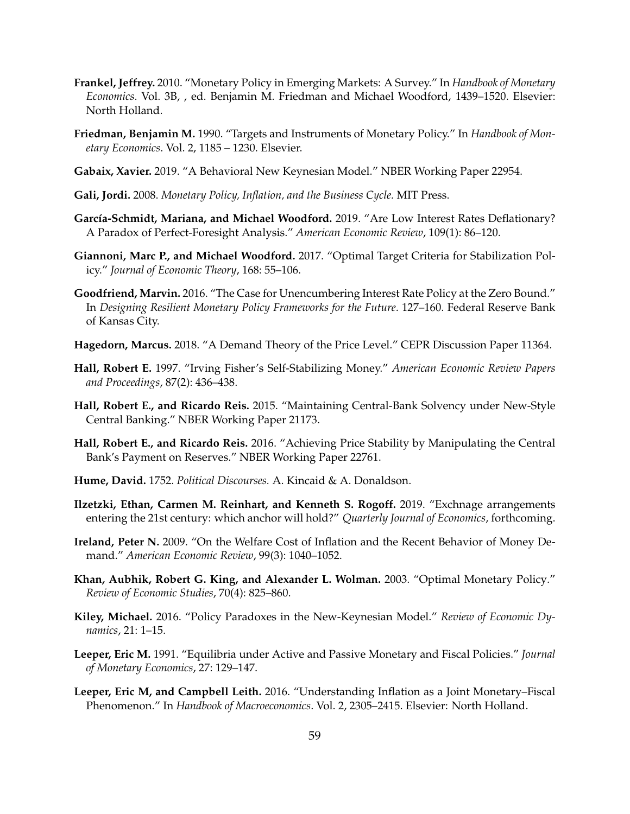- <span id="page-59-12"></span>**Frankel, Jeffrey.** 2010. "Monetary Policy in Emerging Markets: A Survey." In *Handbook of Monetary Economics*. Vol. 3B, , ed. Benjamin M. Friedman and Michael Woodford, 1439–1520. Elsevier: North Holland.
- <span id="page-59-13"></span>**Friedman, Benjamin M.** 1990. "Targets and Instruments of Monetary Policy." In *Handbook of Monetary Economics*. Vol. 2, 1185 – 1230. Elsevier.
- <span id="page-59-16"></span>**Gabaix, Xavier.** 2019. "A Behavioral New Keynesian Model." NBER Working Paper 22954.
- <span id="page-59-15"></span>**Gali, Jordi.** 2008. *Monetary Policy, Inflation, and the Business Cycle.* MIT Press.
- <span id="page-59-5"></span>García-Schmidt, Mariana, and Michael Woodford. 2019. "Are Low Interest Rates Deflationary? A Paradox of Perfect-Foresight Analysis." *American Economic Review*, 109(1): 86–120.
- <span id="page-59-14"></span>**Giannoni, Marc P., and Michael Woodford.** 2017. "Optimal Target Criteria for Stabilization Policy." *Journal of Economic Theory*, 168: 55–106.
- <span id="page-59-6"></span>**Goodfriend, Marvin.** 2016. "The Case for Unencumbering Interest Rate Policy at the Zero Bound." In *Designing Resilient Monetary Policy Frameworks for the Future*. 127–160. Federal Reserve Bank of Kansas City.
- <span id="page-59-2"></span>**Hagedorn, Marcus.** 2018. "A Demand Theory of the Price Level." CEPR Discussion Paper 11364.
- <span id="page-59-4"></span>**Hall, Robert E.** 1997. "Irving Fisher's Self-Stabilizing Money." *American Economic Review Papers and Proceedings*, 87(2): 436–438.
- <span id="page-59-9"></span>**Hall, Robert E., and Ricardo Reis.** 2015. "Maintaining Central-Bank Solvency under New-Style Central Banking." NBER Working Paper 21173.
- <span id="page-59-3"></span>**Hall, Robert E., and Ricardo Reis.** 2016. "Achieving Price Stability by Manipulating the Central Bank's Payment on Reserves." NBER Working Paper 22761.
- <span id="page-59-0"></span>**Hume, David.** 1752. *Political Discourses.* A. Kincaid & A. Donaldson.
- <span id="page-59-11"></span>**Ilzetzki, Ethan, Carmen M. Reinhart, and Kenneth S. Rogoff.** 2019. "Exchnage arrangements entering the 21st century: which anchor will hold?" *Quarterly Journal of Economics*, forthcoming.
- <span id="page-59-7"></span>**Ireland, Peter N.** 2009. "On the Welfare Cost of Inflation and the Recent Behavior of Money Demand." *American Economic Review*, 99(3): 1040–1052.
- <span id="page-59-1"></span>**Khan, Aubhik, Robert G. King, and Alexander L. Wolman.** 2003. "Optimal Monetary Policy." *Review of Economic Studies*, 70(4): 825–860.
- <span id="page-59-17"></span>**Kiley, Michael.** 2016. "Policy Paradoxes in the New-Keynesian Model." *Review of Economic Dynamics*, 21: 1–15.
- <span id="page-59-8"></span>**Leeper, Eric M.** 1991. "Equilibria under Active and Passive Monetary and Fiscal Policies." *Journal of Monetary Economics*, 27: 129–147.
- <span id="page-59-10"></span>**Leeper, Eric M, and Campbell Leith.** 2016. "Understanding Inflation as a Joint Monetary–Fiscal Phenomenon." In *Handbook of Macroeconomics*. Vol. 2, 2305–2415. Elsevier: North Holland.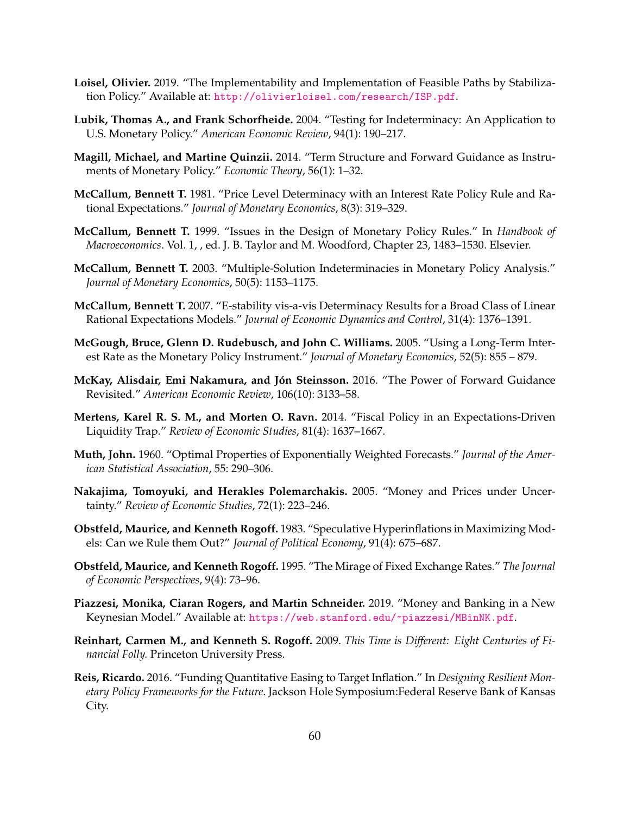- <span id="page-60-8"></span>**Loisel, Olivier.** 2019. "The Implementability and Implementation of Feasible Paths by Stabilization Policy." Available at: <http://olivierloisel.com/research/ISP.pdf>.
- <span id="page-60-4"></span>**Lubik, Thomas A., and Frank Schorfheide.** 2004. "Testing for Indeterminacy: An Application to U.S. Monetary Policy." *American Economic Review*, 94(1): 190–217.
- <span id="page-60-6"></span>**Magill, Michael, and Martine Quinzii.** 2014. "Term Structure and Forward Guidance as Instruments of Monetary Policy." *Economic Theory*, 56(1): 1–32.
- <span id="page-60-3"></span>**McCallum, Bennett T.** 1981. "Price Level Determinacy with an Interest Rate Policy Rule and Rational Expectations." *Journal of Monetary Economics*, 8(3): 319–329.
- <span id="page-60-0"></span>**McCallum, Bennett T.** 1999. "Issues in the Design of Monetary Policy Rules." In *Handbook of Macroeconomics*. Vol. 1, , ed. J. B. Taylor and M. Woodford, Chapter 23, 1483–1530. Elsevier.
- <span id="page-60-9"></span>**McCallum, Bennett T.** 2003. "Multiple-Solution Indeterminacies in Monetary Policy Analysis." *Journal of Monetary Economics*, 50(5): 1153–1175.
- <span id="page-60-10"></span>**McCallum, Bennett T.** 2007. "E-stability vis-a-vis Determinacy Results for a Broad Class of Linear Rational Expectations Models." *Journal of Economic Dynamics and Control*, 31(4): 1376–1391.
- <span id="page-60-5"></span>**McGough, Bruce, Glenn D. Rudebusch, and John C. Williams.** 2005. "Using a Long-Term Interest Rate as the Monetary Policy Instrument." *Journal of Monetary Economics*, 52(5): 855 – 879.
- <span id="page-60-16"></span>McKay, Alisdair, Emi Nakamura, and Jón Steinsson. 2016. "The Power of Forward Guidance Revisited." *American Economic Review*, 106(10): 3133–58.
- <span id="page-60-11"></span>**Mertens, Karel R. S. M., and Morten O. Ravn.** 2014. "Fiscal Policy in an Expectations-Driven Liquidity Trap." *Review of Economic Studies*, 81(4): 1637–1667.
- <span id="page-60-2"></span>**Muth, John.** 1960. "Optimal Properties of Exponentially Weighted Forecasts." *Journal of the American Statistical Association*, 55: 290–306.
- <span id="page-60-1"></span>**Nakajima, Tomoyuki, and Herakles Polemarchakis.** 2005. "Money and Prices under Uncertainty." *Review of Economic Studies*, 72(1): 223–246.
- <span id="page-60-7"></span>**Obstfeld, Maurice, and Kenneth Rogoff.** 1983. "Speculative Hyperinflations in Maximizing Models: Can we Rule them Out?" *Journal of Political Economy*, 91(4): 675–687.
- <span id="page-60-15"></span>**Obstfeld, Maurice, and Kenneth Rogoff.** 1995. "The Mirage of Fixed Exchange Rates." *The Journal of Economic Perspectives*, 9(4): 73–96.
- <span id="page-60-13"></span>**Piazzesi, Monika, Ciaran Rogers, and Martin Schneider.** 2019. "Money and Banking in a New Keynesian Model." Available at: <https://web.stanford.edu/~piazzesi/MBinNK.pdf>.
- <span id="page-60-14"></span>**Reinhart, Carmen M., and Kenneth S. Rogoff.** 2009. *This Time is Different: Eight Centuries of Financial Folly.* Princeton University Press.
- <span id="page-60-12"></span>**Reis, Ricardo.** 2016. "Funding Quantitative Easing to Target Inflation." In *Designing Resilient Monetary Policy Frameworks for the Future*. Jackson Hole Symposium:Federal Reserve Bank of Kansas City.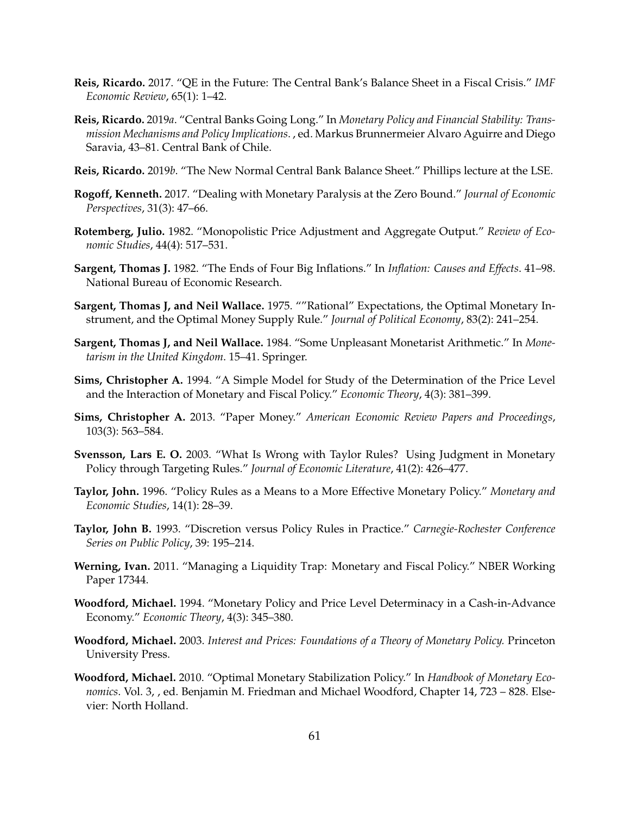- <span id="page-61-13"></span>**Reis, Ricardo.** 2017. "QE in the Future: The Central Bank's Balance Sheet in a Fiscal Crisis." *IMF Economic Review*, 65(1): 1–42.
- <span id="page-61-4"></span>**Reis, Ricardo.** 2019*a*. "Central Banks Going Long." In *Monetary Policy and Financial Stability: Transmission Mechanisms and Policy Implications*. , ed. Markus Brunnermeier Alvaro Aguirre and Diego Saravia, 43–81. Central Bank of Chile.
- <span id="page-61-9"></span>**Reis, Ricardo.** 2019*b*. "The New Normal Central Bank Balance Sheet." Phillips lecture at the LSE.
- <span id="page-61-6"></span>**Rogoff, Kenneth.** 2017. "Dealing with Monetary Paralysis at the Zero Bound." *Journal of Economic Perspectives*, 31(3): 47–66.
- <span id="page-61-16"></span>**Rotemberg, Julio.** 1982. "Monopolistic Price Adjustment and Aggregate Output." *Review of Economic Studies*, 44(4): 517–531.
- <span id="page-61-7"></span>**Sargent, Thomas J.** 1982. "The Ends of Four Big Inflations." In *Inflation: Causes and Effects*. 41–98. National Bureau of Economic Research.
- <span id="page-61-2"></span>**Sargent, Thomas J, and Neil Wallace.** 1975. ""Rational" Expectations, the Optimal Monetary Instrument, and the Optimal Money Supply Rule." *Journal of Political Economy*, 83(2): 241–254.
- <span id="page-61-8"></span>**Sargent, Thomas J, and Neil Wallace.** 1984. "Some Unpleasant Monetarist Arithmetic." In *Monetarism in the United Kingdom*. 15–41. Springer.
- <span id="page-61-11"></span>**Sims, Christopher A.** 1994. "A Simple Model for Study of the Determination of the Price Level and the Interaction of Monetary and Fiscal Policy." *Economic Theory*, 4(3): 381–399.
- <span id="page-61-12"></span>**Sims, Christopher A.** 2013. "Paper Money." *American Economic Review Papers and Proceedings*, 103(3): 563–584.
- <span id="page-61-14"></span>**Svensson, Lars E. O.** 2003. "What Is Wrong with Taylor Rules? Using Judgment in Monetary Policy through Targeting Rules." *Journal of Economic Literature*, 41(2): 426–477.
- <span id="page-61-5"></span>**Taylor, John.** 1996. "Policy Rules as a Means to a More Effective Monetary Policy." *Monetary and Economic Studies*, 14(1): 28–39.
- <span id="page-61-3"></span>**Taylor, John B.** 1993. "Discretion versus Policy Rules in Practice." *Carnegie-Rochester Conference Series on Public Policy*, 39: 195–214.
- <span id="page-61-15"></span>**Werning, Ivan.** 2011. "Managing a Liquidity Trap: Monetary and Fiscal Policy." NBER Working Paper 17344.
- <span id="page-61-10"></span>**Woodford, Michael.** 1994. "Monetary Policy and Price Level Determinacy in a Cash-in-Advance Economy." *Economic Theory*, 4(3): 345–380.
- <span id="page-61-0"></span>**Woodford, Michael.** 2003. *Interest and Prices: Foundations of a Theory of Monetary Policy.* Princeton University Press.
- <span id="page-61-1"></span>**Woodford, Michael.** 2010. "Optimal Monetary Stabilization Policy." In *Handbook of Monetary Economics*. Vol. 3, , ed. Benjamin M. Friedman and Michael Woodford, Chapter 14, 723 – 828. Elsevier: North Holland.